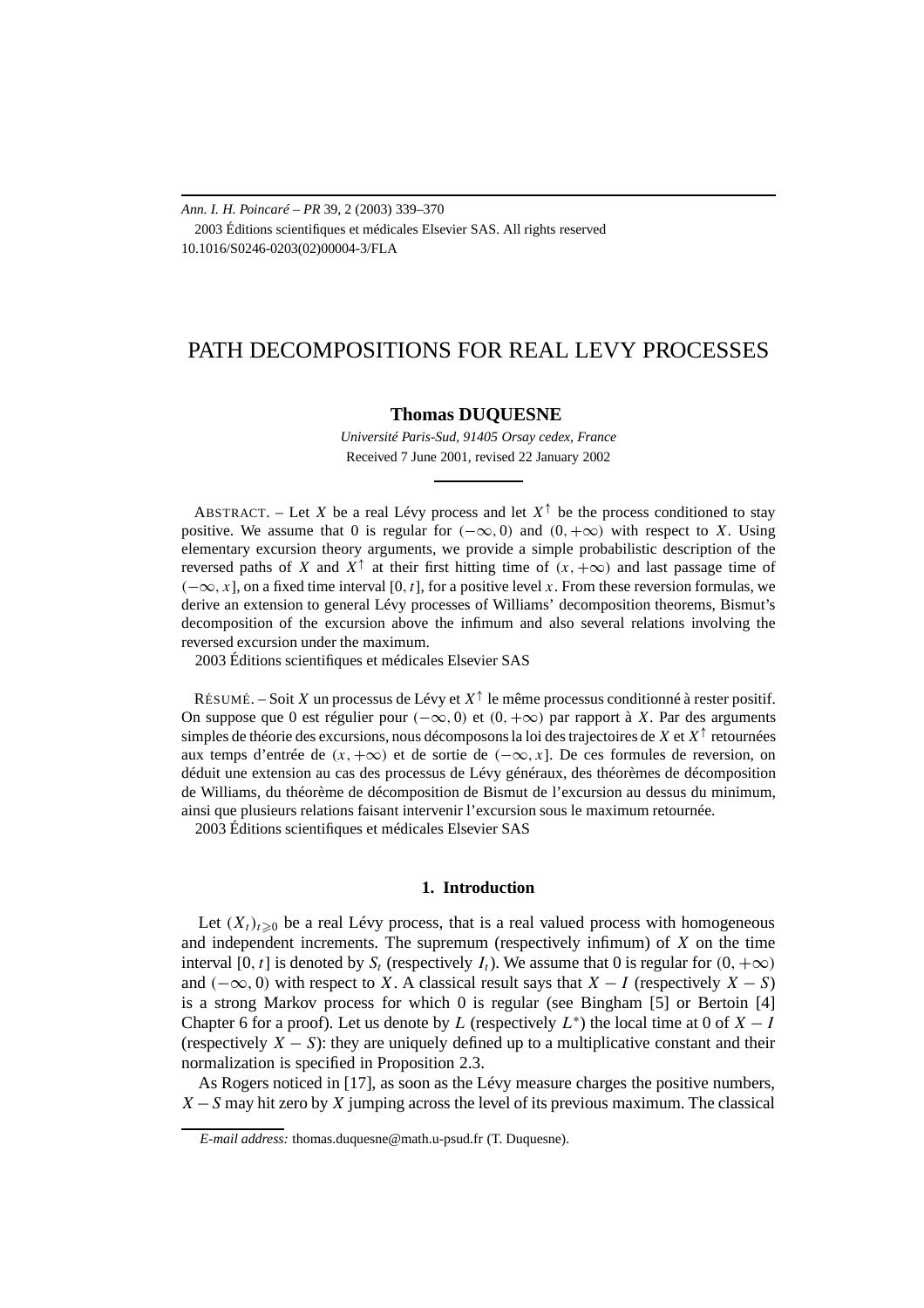*Ann. I. H. Poincaré – PR* 39, 2 (2003) 339–370 2003 Éditions scientifiques et médicales Elsevier SAS. All rights reserved 10.1016/S0246-0203(02)00004-3/FLA

# PATH DECOMPOSITIONS FOR REAL LEVY PROCESSES

# **Thomas DUQUESNE**

*Université Paris-Sud, 91405 Orsay cedex, France* Received 7 June 2001, revised 22 January 2002

ABSTRACT. – Let *X* be a real Lévy process and let  $X^{\uparrow}$  be the process conditioned to stay positive. We assume that 0 is regular for  $(-\infty, 0)$  and  $(0, +\infty)$  with respect to *X*. Using elementary excursion theory arguments, we provide a simple probabilistic description of the reversed paths of *X* and  $X^{\uparrow}$  at their first hitting time of  $(x, +\infty)$  and last passage time of *(*−∞*, x*], on a fixed time interval [0*,t*], for a positive level *x*. From these reversion formulas, we derive an extension to general Lévy processes of Williams' decomposition theorems, Bismut's decomposition of the excursion above the infimum and also several relations involving the reversed excursion under the maximum.

2003 Éditions scientifiques et médicales Elsevier SAS

RÉSUMÉ. – Soit *X* un processus de Lévy et  $X^{\uparrow}$  le même processus conditionné à rester positif. On suppose que 0 est régulier pour *(*−∞*,* 0*)* et *(*0*,*+∞*)* par rapport à *X*. Par des arguments simples de théorie des excursions, nous décomposons la loi des trajectoires de *X* et *X*<sup>↑</sup> retournées aux temps d'entrée de  $(x, +\infty)$  et de sortie de  $(-\infty, x]$ . De ces formules de reversion, on déduit une extension au cas des processus de Lévy généraux, des théorèmes de décomposition de Williams, du théorème de décomposition de Bismut de l'excursion au dessus du minimum, ainsi que plusieurs relations faisant intervenir l'excursion sous le maximum retournée. 2003 Éditions scientifiques et médicales Elsevier SAS

## **1. Introduction**

Let  $(X_t)_{t\geq0}$  be a real Lévy process, that is a real valued process with homogeneous and independent increments. The supremum (respectively infimum) of *X* on the time interval [0*, t*] is denoted by  $S_t$  (respectively  $I_t$ ). We assume that 0 is regular for  $(0, +\infty)$ and  $(-\infty, 0)$  with respect to *X*. A classical result says that *X* − *I* (respectively *X* − *S*) is a strong Markov process for which 0 is regular (see Bingham [5] or Bertoin [4] Chapter 6 for a proof). Let us denote by *L* (respectively  $L^*$ ) the local time at 0 of  $X - I$ (respectively  $X - S$ ): they are uniquely defined up to a multiplicative constant and their normalization is specified in Proposition 2.3.

As Rogers noticed in [17], as soon as the Lévy measure charges the positive numbers, *X* − *S* may hit zero by *X* jumping across the level of its previous maximum. The classical

*E-mail address:* thomas.duquesne@math.u-psud.fr (T. Duquesne).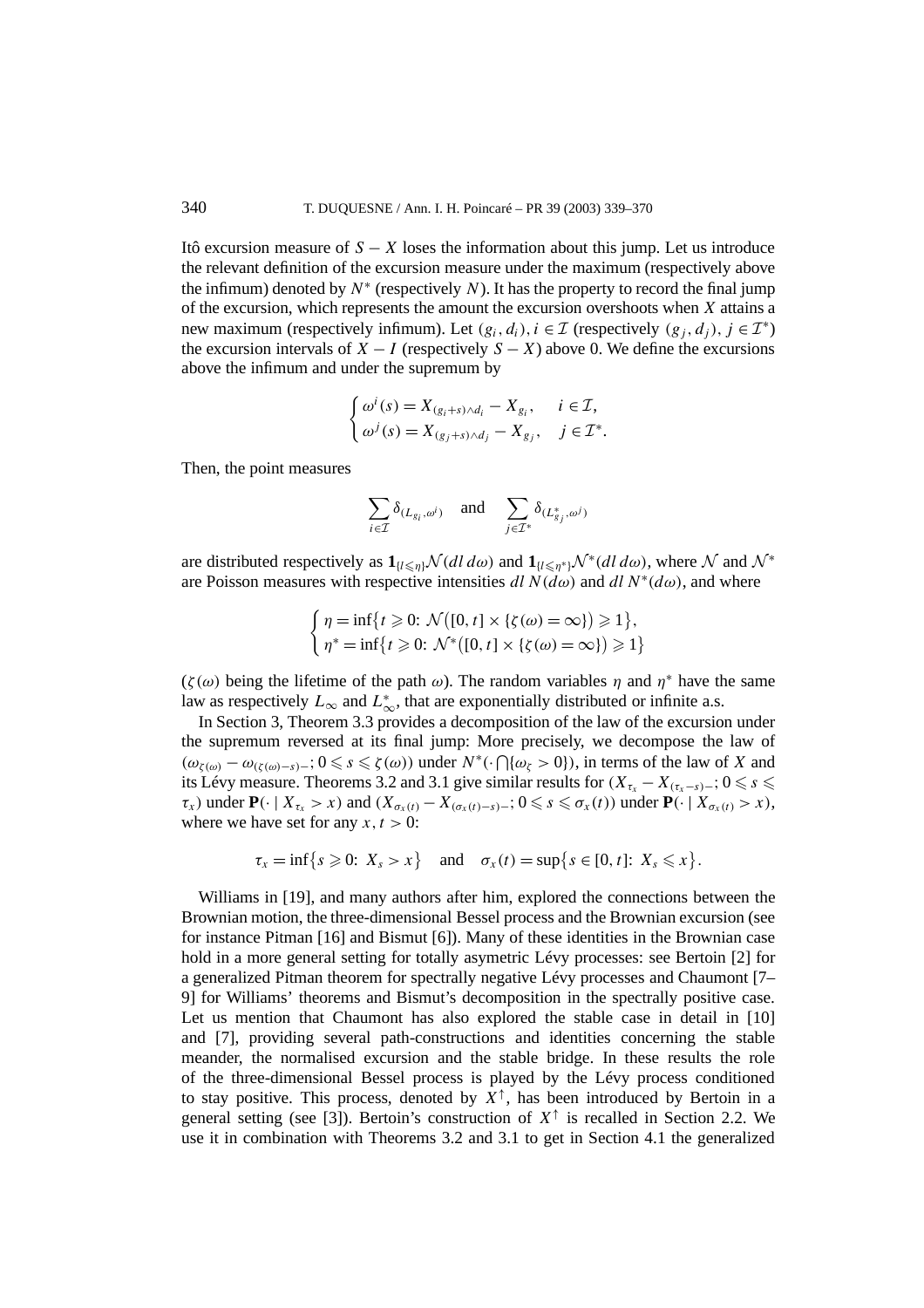Itô excursion measure of  $S - X$  loses the information about this jump. Let us introduce the relevant definition of the excursion measure under the maximum (respectively above the infimum) denoted by  $N^*$  (respectively *N*). It has the property to record the final jump of the excursion, which represents the amount the excursion overshoots when *X* attains a new maximum (respectively infimum). Let  $(g_i, d_i)$ ,  $i \in \mathcal{I}$  (respectively  $(g_i, d_i)$ ,  $j \in \mathcal{I}^*$ ) the excursion intervals of  $X - I$  (respectively  $S - X$ ) above 0. We define the excursions above the infimum and under the supremum by

$$
\begin{cases}\n\omega^i(s) = X_{(g_i+s)\wedge d_i} - X_{g_i}, & i \in \mathcal{I}, \\
\omega^j(s) = X_{(g_j+s)\wedge d_j} - X_{g_j}, & j \in \mathcal{I}^*.\n\end{cases}
$$

Then, the point measures

$$
\sum_{i \in \mathcal{I}} \delta_{(L_{g_i}, \omega^i)} \quad \text{and} \quad \sum_{j \in \mathcal{I}^*} \delta_{(L_{g_j}^*, \omega^j)}
$$

are distributed respectively as  $\mathbf{1}_{\{l \leq \eta\}}\mathcal{N}(dl \, d\omega)$  and  $\mathbf{1}_{\{l \leq \eta^*\}}\mathcal{N}^*(dl \, d\omega)$ , where  $\mathcal N$  and  $\mathcal N^*$ are Poisson measures with respective intensities  $dl N(d\omega)$  and  $dl N^*(d\omega)$ , and where

$$
\begin{cases} \eta = \inf\{t \geq 0: \ \mathcal{N}([0, t] \times \{\zeta(\omega) = \infty\}) \geq 1\}, \\ \eta^* = \inf\{t \geq 0: \ \mathcal{N}^*([0, t] \times \{\zeta(\omega) = \infty\}) \geq 1\} \end{cases}
$$

 $(\zeta(\omega))$  being the lifetime of the path  $\omega$ ). The random variables  $\eta$  and  $\eta^*$  have the same law as respectively  $L_{\infty}$  and  $L_{\infty}^{*}$ , that are exponentially distributed or infinite a.s.

In Section 3, Theorem 3.3 provides a decomposition of the law of the excursion under the supremum reversed at its final jump: More precisely, we decompose the law of  $(\omega_{\zeta(\omega)} - \omega_{(\zeta(\omega)-s)-}; 0 \leq s \leq \zeta(\omega))$  under  $N^*(\cdot \bigcap {\omega_{\zeta} > 0})$ , in terms of the law of *X* and its Lévy measure. Theorems 3.2 and 3.1 give similar results for  $(X_{\tau_x} - X_{(\tau_x - s) -}; 0 \leq s \leq$  $\tau_x$ ) under  $\mathbf{P}(\cdot \mid X_{\tau_x} > x)$  and  $(X_{\sigma_x(t)} - X_{(\sigma_x(t) - s)} -; 0 \leq s \leq \sigma_x(t))$  under  $\mathbf{P}(\cdot \mid X_{\sigma_x(t)} > x)$ , where we have set for any  $x, t > 0$ :

$$
\tau_x = \inf\{s \geqslant 0: \ X_s > x\} \quad \text{and} \quad \sigma_x(t) = \sup\{s \in [0, t]: \ X_s \leqslant x\}.
$$

Williams in [19], and many authors after him, explored the connections between the Brownian motion, the three-dimensional Bessel process and the Brownian excursion (see for instance Pitman [16] and Bismut [6]). Many of these identities in the Brownian case hold in a more general setting for totally asymetric Lévy processes: see Bertoin [2] for a generalized Pitman theorem for spectrally negative Lévy processes and Chaumont [7– 9] for Williams' theorems and Bismut's decomposition in the spectrally positive case. Let us mention that Chaumont has also explored the stable case in detail in [10] and [7], providing several path-constructions and identities concerning the stable meander, the normalised excursion and the stable bridge. In these results the role of the three-dimensional Bessel process is played by the Lévy process conditioned to stay positive. This process, denoted by  $X^{\uparrow}$ , has been introduced by Bertoin in a general setting (see [3]). Bertoin's construction of  $X^{\uparrow}$  is recalled in Section 2.2. We use it in combination with Theorems 3.2 and 3.1 to get in Section 4.1 the generalized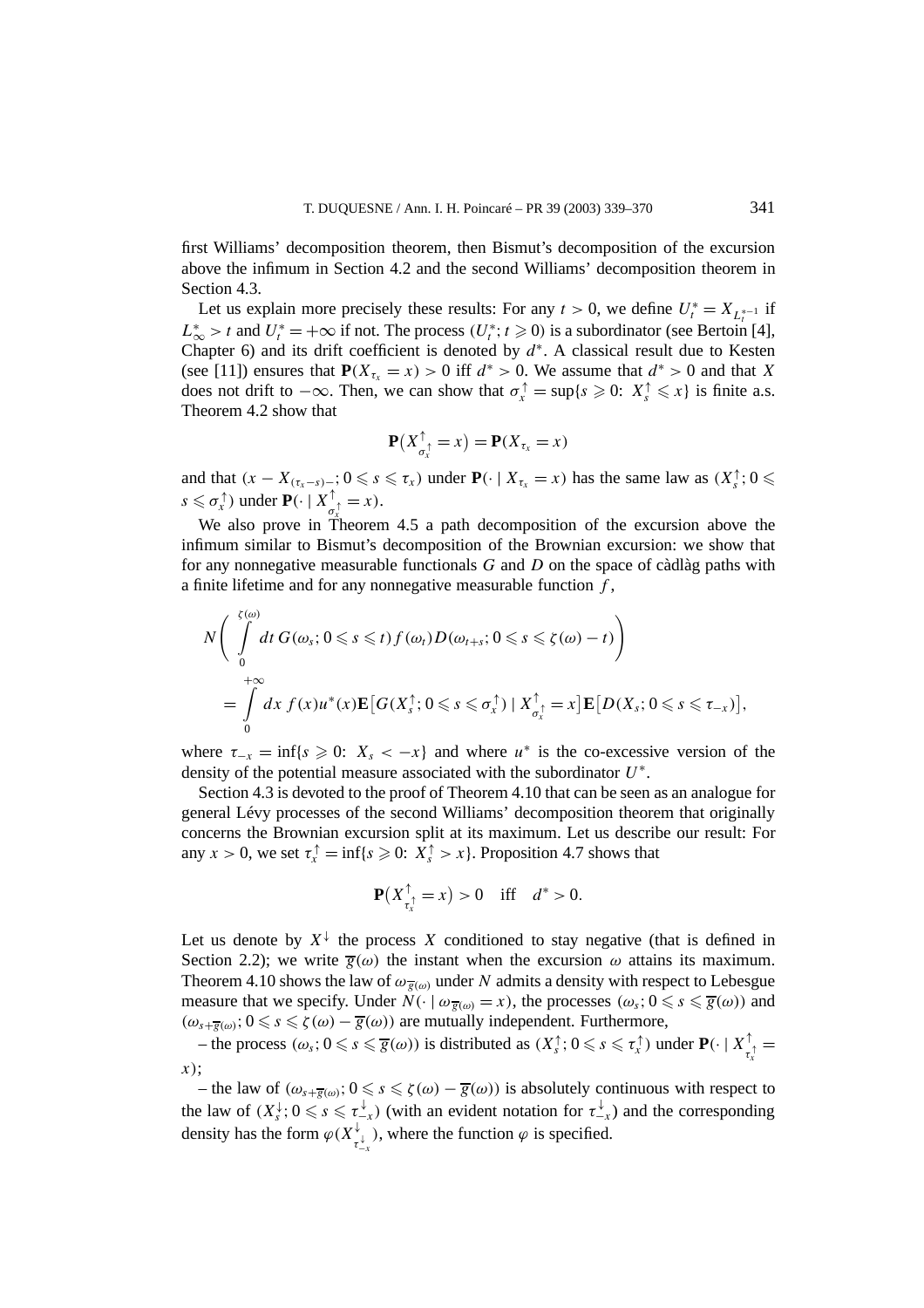first Williams' decomposition theorem, then Bismut's decomposition of the excursion above the infimum in Section 4.2 and the second Williams' decomposition theorem in Section 4.3.

Let us explain more precisely these results: For any  $t > 0$ , we define  $U_t^* = X_{L_t^{*-1}}$  if  $L^*_{\infty} > t$  and  $U_t^* = +\infty$  if not. The process  $(U_t^*; t \geq 0)$  is a subordinator (see Bertoin [4], Chapter 6) and its drift coefficient is denoted by *d*<sup>∗</sup>. A classical result due to Kesten (see [11]) ensures that  $P(X_{\tau_x} = x) > 0$  iff  $d^* > 0$ . We assume that  $d^* > 0$  and that X does not drift to  $-\infty$ . Then, we can show that  $\sigma_x^{\uparrow} = \sup\{s \geq 0: X_s^{\uparrow} \leq x\}$  is finite a.s. Theorem 4.2 show that

$$
\mathbf{P}(X_{\sigma_x^{\uparrow}}^{\uparrow}=x)=\mathbf{P}(X_{\tau_x}=x)
$$

and that  $(x - X_{(\tau_x - s) - z}; 0 \leqslant s \leqslant \tau_x)$  under  $\mathbf{P}(\cdot | X_{\tau_x} = x)$  has the same law as  $(X_s^{\uparrow}; 0 \leqslant$  $s \leq \sigma_x^{\uparrow}$ ) under  $\mathbf{P}(\cdot \mid X_{\sigma_x^{\uparrow}}^{\uparrow} = x)$ .

We also prove in Theorem 4.5 a path decomposition of the excursion above the infimum similar to Bismut's decomposition of the Brownian excursion: we show that for any nonnegative measurable functionals *G* and *D* on the space of càdlàg paths with a finite lifetime and for any nonnegative measurable function *f* ,

$$
N\Bigg(\int\limits_{0}^{\zeta(\omega)}dt\,G(\omega_{s};0\leqslant s\leqslant t)f(\omega_{t})D(\omega_{t+s};0\leqslant s\leqslant \zeta(\omega)-t)\Bigg)\\
=\int\limits_{0}^{+\infty}dx\,f(x)u^{*}(x)\mathbf{E}\big[G(X_{s}^{\uparrow};0\leqslant s\leqslant \sigma_{x}^{\uparrow})\mid X_{\sigma_{x}^{\uparrow}}^{\uparrow}=x\big]\mathbf{E}\big[D(X_{s};0\leqslant s\leqslant \tau_{-x})\big],
$$

where  $\tau_{-x} = \inf\{s \geq 0: X_s < -x\}$  and where  $u^*$  is the co-excessive version of the density of the potential measure associated with the subordinator *U*<sup>∗</sup>.

Section 4.3 is devoted to the proof of Theorem 4.10 that can be seen as an analogue for general Lévy processes of the second Williams' decomposition theorem that originally concerns the Brownian excursion split at its maximum. Let us describe our result: For any  $x > 0$ , we set  $\tau_x^{\uparrow} = \inf\{s \geq 0: X_s^{\uparrow} > x\}$ . Proposition 4.7 shows that

$$
\mathbf{P}(X_{\tau_x}^{\uparrow} = x) > 0 \quad \text{iff} \quad d^* > 0.
$$

Let us denote by  $X^{\downarrow}$  the process X conditioned to stay negative (that is defined in Section 2.2); we write  $\bar{g}(\omega)$  the instant when the excursion  $\omega$  attains its maximum. Theorem 4.10 shows the law of  $\omega_{\overline{g}(\omega)}$  under *N* admits a density with respect to Lebesgue measure that we specify. Under  $N(\cdot \mid \omega_{\overline{g}(\omega)} = x)$ , the processes  $(\omega_s; 0 \leq s \leq \overline{g}(\omega))$  and  $(\omega_{s+\overline{g}(\omega)}; 0 \leq s \leq \zeta(\omega) - \overline{g}(\omega))$  are mutually independent. Furthermore,

 $-$  the process  $(\omega_s; 0 \le s \le \overline{g}(\omega))$  is distributed as  $(X_s^{\uparrow}; 0 \le s \le \tau_x^{\uparrow})$  under  $\mathbf{P}(\cdot | X_{\tau_x^{\uparrow}}^{\uparrow} =$ *x x)*;

– the law of  $(ω_{s+g(ω)}$ ; 0 ≤  $s$  ≤  $\zeta(ω) - g(ω))$  is absolutely continuous with respect to the law of  $(X_s^{\downarrow}; 0 \leq s \leq \tau_{-x}^{\downarrow})$  (with an evident notation for  $\tau_{-x}^{\downarrow}$ ) and the corresponding density has the form  $\varphi(X_{\tau_{-x}^{\downarrow}}^{\downarrow})$ , where the function  $\varphi$  is specified.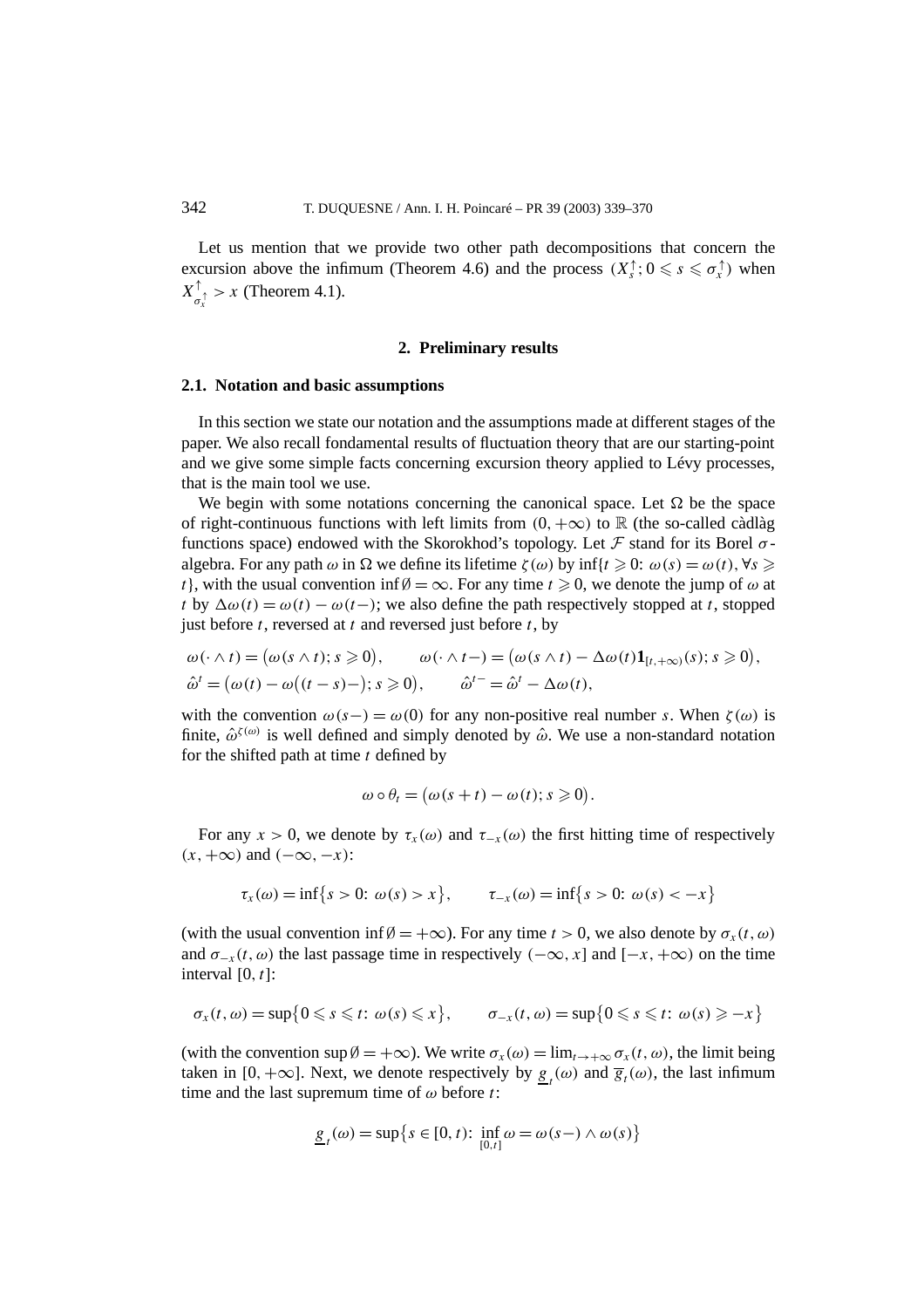Let us mention that we provide two other path decompositions that concern the excursion above the infimum (Theorem 4.6) and the process  $(X_s^{\uparrow}; 0 \leq s \leq \sigma_x^{\uparrow})$  when  $X^{\uparrow}_{\sigma_x^{\uparrow}} > x$  (Theorem 4.1). *x*

## **2. Preliminary results**

### **2.1. Notation and basic assumptions**

In this section we state our notation and the assumptions made at different stages of the paper. We also recall fondamental results of fluctuation theory that are our starting-point and we give some simple facts concerning excursion theory applied to Lévy processes, that is the main tool we use.

We begin with some notations concerning the canonical space. Let  $\Omega$  be the space of right-continuous functions with left limits from  $(0, +\infty)$  to R (the so-called càdlàg functions space) endowed with the Skorokhod's topology. Let F stand for its Borel *σ* algebra. For any path  $\omega$  in  $\Omega$  we define its lifetime  $\zeta(\omega)$  by inf{ $t \geq 0$ :  $\omega(s) = \omega(t)$ ,  $\forall s \geq 0$ *t*}, with the usual convention inf  $\emptyset = \infty$ . For any time  $t \ge 0$ , we denote the jump of  $\omega$  at *t* by  $\Delta\omega(t) = \omega(t) - \omega(t-)$ ; we also define the path respectively stopped at *t*, stopped just before *t*, reversed at *t* and reversed just before *t*, by

$$
\omega(\cdot \wedge t) = (\omega(s \wedge t); s \geqslant 0), \qquad \omega(\cdot \wedge t-) = (\omega(s \wedge t) - \Delta \omega(t) \mathbf{1}_{[t, +\infty)}(s); s \geqslant 0),
$$
  

$$
\hat{\omega}^t = (\omega(t) - \omega((t - s) -); s \geqslant 0), \qquad \hat{\omega}^{t-} = \hat{\omega}^t - \Delta \omega(t),
$$

with the convention  $\omega(s-) = \omega(0)$  for any non-positive real number *s*. When  $\zeta(\omega)$  is finite,  $\hat{\omega}^{\zeta(\omega)}$  is well defined and simply denoted by  $\hat{\omega}$ . We use a non-standard notation for the shifted path at time *t* defined by

$$
\omega \circ \theta_t = (\omega(s+t) - \omega(t); s \geq 0).
$$

For any  $x > 0$ , we denote by  $\tau_x(\omega)$  and  $\tau_{-x}(\omega)$  the first hitting time of respectively *(x,*+∞*)* and *(*−∞*,*−*x)*:

$$
\tau_x(\omega) = \inf\{s > 0: \omega(s) > x\}, \qquad \tau_{-x}(\omega) = \inf\{s > 0: \omega(s) < -x\}
$$

(with the usual convention inf  $\emptyset = +\infty$ ). For any time  $t > 0$ , we also denote by  $\sigma_x(t, \omega)$ and  $\sigma_{-x}(t, \omega)$  the last passage time in respectively  $(-\infty, x]$  and  $[-x, +\infty)$  on the time interval [0*, t*]:

$$
\sigma_x(t,\omega)=\sup\{0\leq s\leq t\colon \omega(s)\leq x\},\qquad \sigma_{-x}(t,\omega)=\sup\{0\leq s\leq t\colon \omega(s)\geq -x\}
$$

(with the convention  $\sup \emptyset = +\infty$ ). We write  $\sigma_x(\omega) = \lim_{t \to +\infty} \sigma_x(t, \omega)$ , the limit being taken in [0, + $\infty$ ]. Next, we denote respectively by  $g_t(\omega)$  and  $\overline{g}_t(\omega)$ , the last infimum time and the last supremum time of *ω* before *t*:

$$
\underline{g}_t(\omega) = \sup \{ s \in [0, t) : \inf_{[0, t]} \omega = \omega(s-) \wedge \omega(s) \}
$$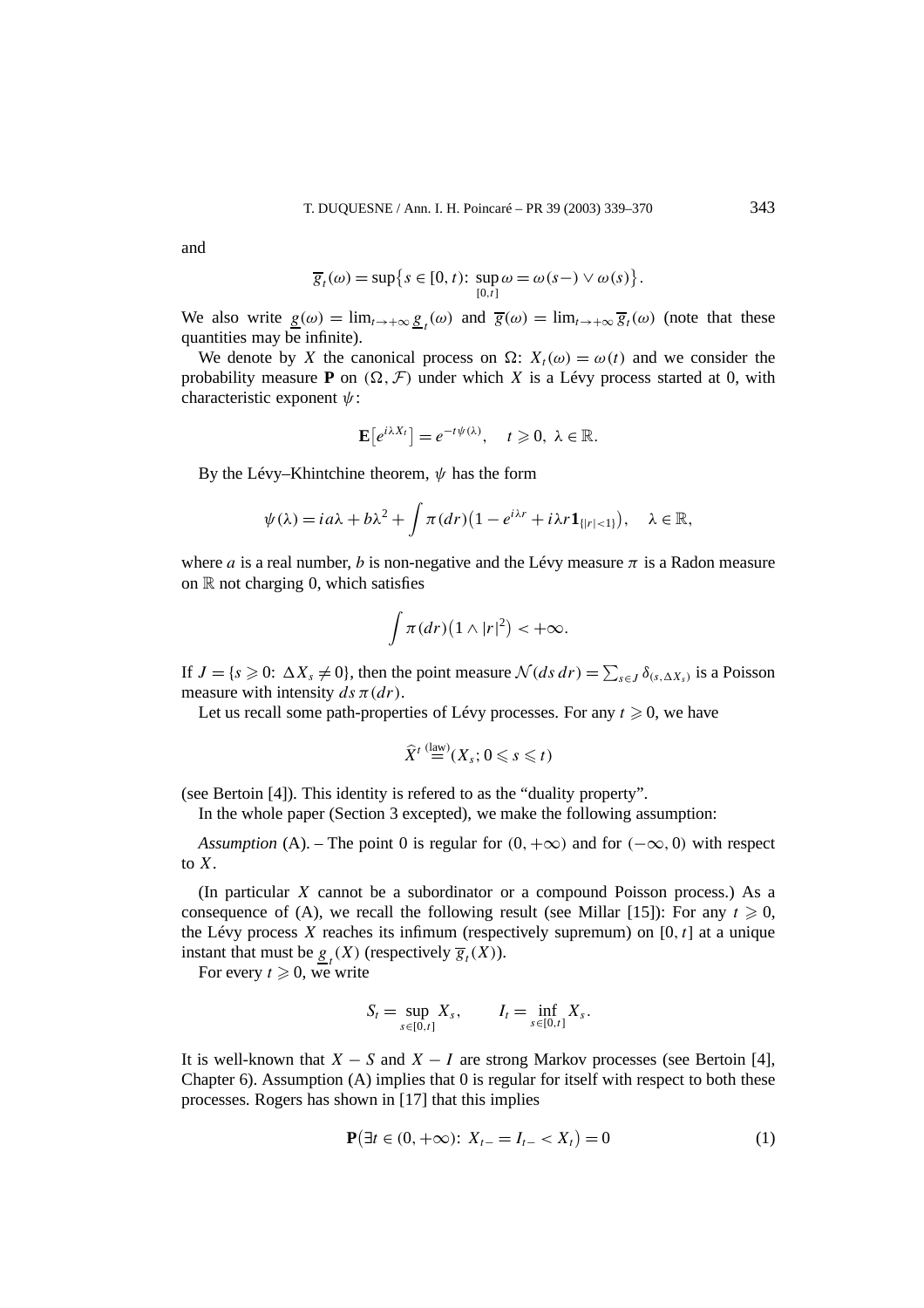and

$$
\overline{g}_t(\omega) = \sup \{ s \in [0, t) : \sup_{[0, t]} \omega = \omega(s-) \vee \omega(s) \}.
$$

We also write  $g(\omega) = \lim_{t \to +\infty} g_t(\omega)$  and  $\overline{g}(\omega) = \lim_{t \to +\infty} \overline{g}_t(\omega)$  (note that these quantities may be infinite).

We denote by *X* the canonical process on  $\Omega$ :  $X_t(\omega) = \omega(t)$  and we consider the probability measure **P** on  $(\Omega, \mathcal{F})$  under which *X* is a Lévy process started at 0, with characteristic exponent *ψ*:

$$
\mathbf{E}[e^{i\lambda X_t}]=e^{-t\psi(\lambda)},\quad t\geqslant 0,\ \lambda\in\mathbb{R}.
$$

By the Lévy–Khintchine theorem, *ψ* has the form

$$
\psi(\lambda) = ia\lambda + b\lambda^2 + \int \pi(dr)\big(1 - e^{i\lambda r} + i\lambda r \mathbf{1}_{\{|r| < 1\}}\big), \quad \lambda \in \mathbb{R},
$$

where *a* is a real number, *b* is non-negative and the Lévy measure  $\pi$  is a Radon measure on  $\mathbb R$  not charging 0, which satisfies

$$
\int \pi(dr)\big(1\wedge|r|^2\big) < +\infty.
$$

If  $J = \{s \ge 0: \Delta X_s \ne 0\}$ , then the point measure  $\mathcal{N}(ds \, dr) = \sum_{s \in J} \delta_{(s, \Delta X_s)}$  is a Poisson measure with intensity  $ds \pi(dr)$ .

Let us recall some path-properties of Lévy processes. For any  $t \geq 0$ , we have

$$
\widehat{X}^t \stackrel{\text{(law)}}{=} (X_s; 0 \leqslant s \leqslant t)
$$

(see Bertoin [4]). This identity is refered to as the "duality property".

In the whole paper (Section 3 excepted), we make the following assumption:

*Assumption* (A). – The point 0 is regular for  $(0, +\infty)$  and for  $(-\infty, 0)$  with respect to *X*.

(In particular *X* cannot be a subordinator or a compound Poisson process.) As a consequence of (A), we recall the following result (see Millar [15]): For any  $t \ge 0$ , the Lévy process  $X$  reaches its infimum (respectively supremum) on  $[0, t]$  at a unique instant that must be  $\underline{g}_t(X)$  (respectively  $\overline{g}_t(X)$ ).

For every  $t \geq 0$ , we write

$$
S_t = \sup_{s \in [0,t]} X_s, \qquad I_t = \inf_{s \in [0,t]} X_s.
$$

It is well-known that  $X - S$  and  $X - I$  are strong Markov processes (see Bertoin [4], Chapter 6). Assumption  $(A)$  implies that 0 is regular for itself with respect to both these processes. Rogers has shown in [17] that this implies

$$
\mathbf{P}(\exists t \in (0, +\infty): X_{t-} = I_{t-} < X_t) = 0 \tag{1}
$$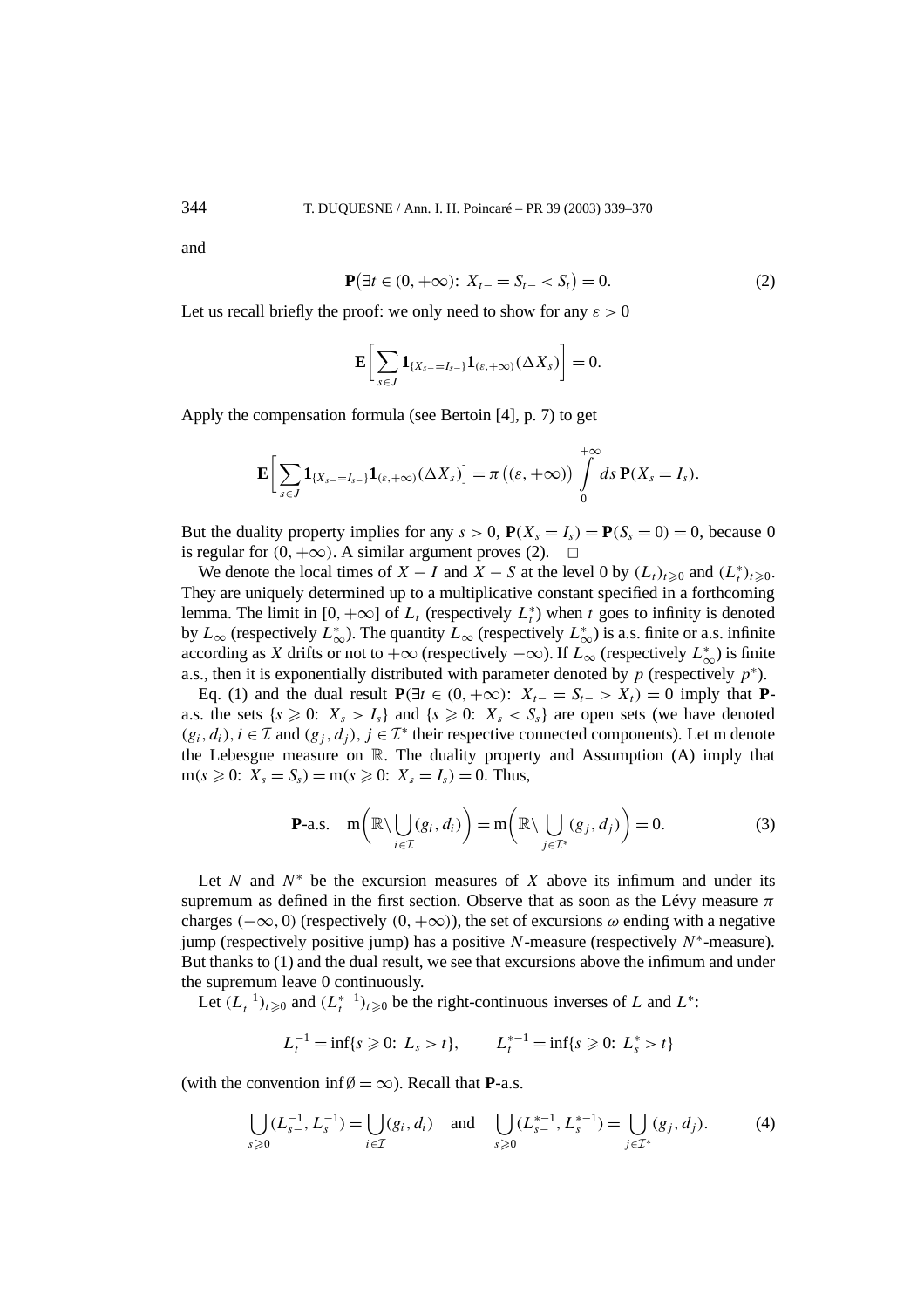and

$$
\mathbf{P}(\exists t \in (0, +\infty): X_{t-} = S_{t-} < S_t) = 0. \tag{2}
$$

Let us recall briefly the proof: we only need to show for any  $\varepsilon > 0$ 

$$
\mathbf{E}\bigg[\sum_{s\in J}\mathbf{1}_{\{X_{s-}=I_{s-}\}}\mathbf{1}_{(\varepsilon,+\infty)}(\Delta X_s)\bigg]=0.
$$

Apply the compensation formula (see Bertoin [4], p. 7) to get

$$
\mathbf{E}\bigg[\sum_{s\in J}\mathbf{1}_{\{X_{s-}=I_{s-}\}}\mathbf{1}_{(\varepsilon,+\infty)}(\Delta X_{s})\bigg]=\pi\big((\varepsilon,+\infty)\big)\int\limits_{0}^{+\infty}ds\,\mathbf{P}(X_{s}=I_{s}).
$$

But the duality property implies for any  $s > 0$ ,  $P(X_s = I_s) = P(S_s = 0) = 0$ , because 0 is regular for  $(0, +\infty)$ . A similar argument proves (2).  $\Box$ 

We denote the local times of  $X - I$  and  $X - S$  at the level 0 by  $(L_t)_{t \geq 0}$  and  $(L_t^*)_{t \geq 0}$ . They are uniquely determined up to a multiplicative constant specified in a forthcoming lemma. The limit in [0,  $+\infty$ ] of  $L_t$  (respectively  $L_t^*$ ) when *t* goes to infinity is denoted by  $L_{\infty}$  (respectively  $L_{\infty}^{*}$ ). The quantity  $L_{\infty}$  (respectively  $L_{\infty}^{*}$ ) is a.s. finite or a.s. infinite according as *X* drifts or not to  $+\infty$  (respectively  $-\infty$ ). If  $L_{\infty}$  (respectively  $L_{\infty}^{*}$ ) is finite a.s., then it is exponentially distributed with parameter denoted by  $p$  (respectively  $p^*$ ).

Eq. (1) and the dual result  $P(\exists t \in (0, +\infty))$ :  $X_{t-} = S_{t-} > X_t$  = 0 imply that **P**a.s. the sets  $\{s \ge 0: X_s > I_s\}$  and  $\{s \ge 0: X_s < S_s\}$  are open sets (we have denoted  $(g_i, d_i)$ ,  $i \in \mathcal{I}$  and  $(g_i, d_i)$ ,  $j \in \mathcal{I}^*$  their respective connected components). Let m denote the Lebesgue measure on R. The duality property and Assumption (A) imply that  $m(s \ge 0: X_s = S_s) = m(s \ge 0: X_s = I_s) = 0$ . Thus,

$$
\textbf{P-a.s.} \quad \text{m}\bigg(\mathbb{R}\setminus\bigcup_{i\in\mathcal{I}}(g_i,d_i)\bigg)=\text{m}\bigg(\mathbb{R}\setminus\bigcup_{j\in\mathcal{I}^*}(g_j,d_j)\bigg)=0. \tag{3}
$$

Let  $N$  and  $N^*$  be the excursion measures of  $X$  above its infimum and under its supremum as defined in the first section. Observe that as soon as the Lévy measure *π* charges  $(-\infty, 0)$  (respectively  $(0, +\infty)$ ), the set of excursions  $\omega$  ending with a negative jump (respectively positive jump) has a positive *N*-measure (respectively *N*<sup>∗</sup>-measure). But thanks to (1) and the dual result, we see that excursions above the infimum and under the supremum leave 0 continuously.

Let  $(L_t^{-1})_{t \geq 0}$  and  $(L_t^{*-1})_{t \geq 0}$  be the right-continuous inverses of *L* and  $L^*$ :

$$
L_t^{-1} = \inf\{s \geq 0: \ L_s > t\}, \qquad L_t^{*-1} = \inf\{s \geq 0: \ L_s^* > t\}
$$

(with the convention inf $\emptyset = \infty$ ). Recall that **P**-a.s.

$$
\bigcup_{s\geqslant 0} (L_{s-}^{-1}, L_s^{-1}) = \bigcup_{i\in \mathcal{I}} (g_i, d_i) \quad \text{and} \quad \bigcup_{s\geqslant 0} (L_{s-}^{*-1}, L_s^{*-1}) = \bigcup_{j\in \mathcal{I}^*} (g_j, d_j). \tag{4}
$$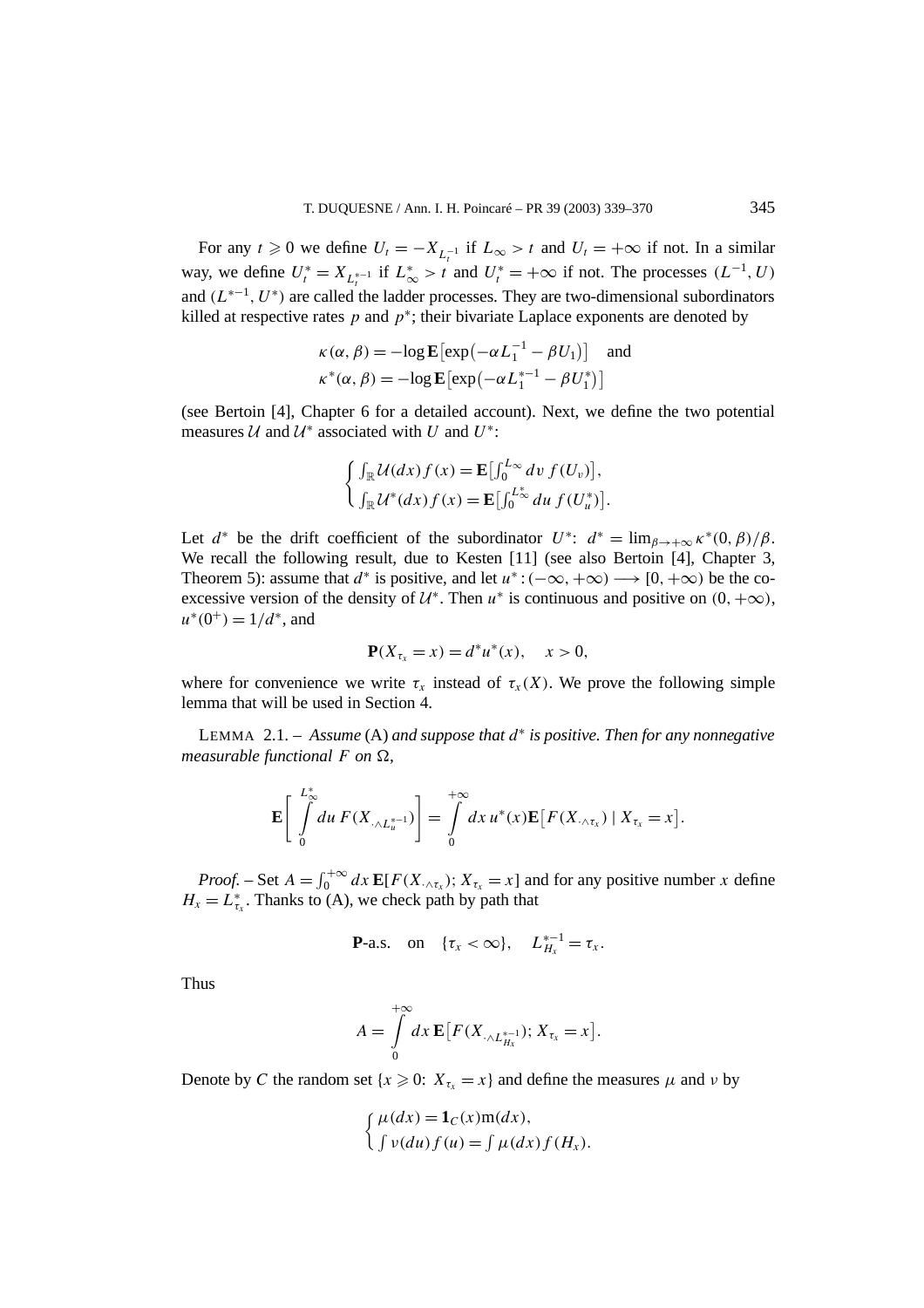For any  $t \ge 0$  we define  $U_t = -X_{L_t^{-1}}$  if  $L_\infty > t$  and  $U_t = +\infty$  if not. In a similar way, we define  $U_t^* = X_{L_t^{*-1}}$  if  $L_{\infty}^* > t$  and  $U_t^* = +\infty$  if not. The processes  $(L^{-1}, U)$ and *(L*∗−<sup>1</sup>*, U*<sup>∗</sup>*)* are called the ladder processes. They are two-dimensional subordinators killed at respective rates  $p$  and  $p^*$ ; their bivariate Laplace exponents are denoted by

$$
\kappa(\alpha, \beta) = -\log \mathbf{E} \left[ \exp\left( -\alpha L_1^{-1} - \beta U_1 \right) \right] \text{ and}
$$
  

$$
\kappa^*(\alpha, \beta) = -\log \mathbf{E} \left[ \exp\left( -\alpha L_1^{*-1} - \beta U_1^* \right) \right]
$$

(see Bertoin [4], Chapter 6 for a detailed account). Next, we define the two potential measures  $U$  and  $U^*$  associated with *U* and  $U^*$ :

$$
\begin{cases} \int_{\mathbb{R}} \mathcal{U}(dx) f(x) = \mathbf{E} \big[ \int_0^{L_{\infty}} dv f(U_v) \big], \\ \int_{\mathbb{R}} \mathcal{U}^*(dx) f(x) = \mathbf{E} \big[ \int_0^{L_{\infty}^*} du f(U_u^*) \big]. \end{cases}
$$

Let  $d^*$  be the drift coefficient of the subordinator  $U^*$ :  $d^* = \lim_{\beta \to +\infty} \kappa^*(0, \beta)/\beta$ . We recall the following result, due to Kesten [11] (see also Bertoin [4], Chapter 3, Theorem 5): assume that  $d^*$  is positive, and let  $u^*: (-\infty, +\infty) \longrightarrow [0, +\infty)$  be the coexcessive version of the density of  $\mathcal{U}^*$ . Then  $u^*$  is continuous and positive on  $(0, +\infty)$ ,  $u^*(0^+) = 1/d^*$ , and

$$
\mathbf{P}(X_{\tau_x} = x) = d^* u^*(x), \quad x > 0,
$$

where for convenience we write  $\tau_x$  instead of  $\tau_x(X)$ . We prove the following simple lemma that will be used in Section 4.

LEMMA 2.1. – *Assume* (A) *and suppose that d*<sup>∗</sup> *is positive. Then for any nonnegative measurable functional*  $F$  *on*  $\Omega$ *,* 

$$
\mathbf{E}\left[\int\limits_{0}^{L_{\infty}^{*}} du \, F(X_{\cdot \wedge L_{u}^{*-1}})\right] = \int\limits_{0}^{+\infty} dx \, u^{*}(x) \mathbf{E}\big[F(X_{\cdot \wedge \tau_{x}}) \mid X_{\tau_{x}} = x\big].
$$

*Proof.* – Set  $A = \int_0^{+\infty} dx \mathbf{E}[F(X_{\cdot \wedge \tau_X})$ ;  $X_{\tau_X} = x]$  and for any positive number *x* define  $H_x = L_{\tau_x}^*$ . Thanks to (A), we check path by path that

$$
\mathbf{P}\text{-a.s. on }\{\tau_x < \infty\}, \quad L_{H_x}^{*-1} = \tau_x.
$$

Thus

$$
A=\int\limits_{0}^{+\infty}dx\,\mathbf{E}\big[F(X_{\cdot\wedge L_{H_{x}}^{*-1}});X_{\tau_{x}}=x\big].
$$

Denote by *C* the random set  $\{x \geq 0: X_{\tau_x} = x\}$  and define the measures  $\mu$  and  $\nu$  by

$$
\begin{cases} \mu(dx) = \mathbf{1}_C(x) \operatorname{m}(dx), \\ \int v(du) f(u) = \int \mu(dx) f(H_x). \end{cases}
$$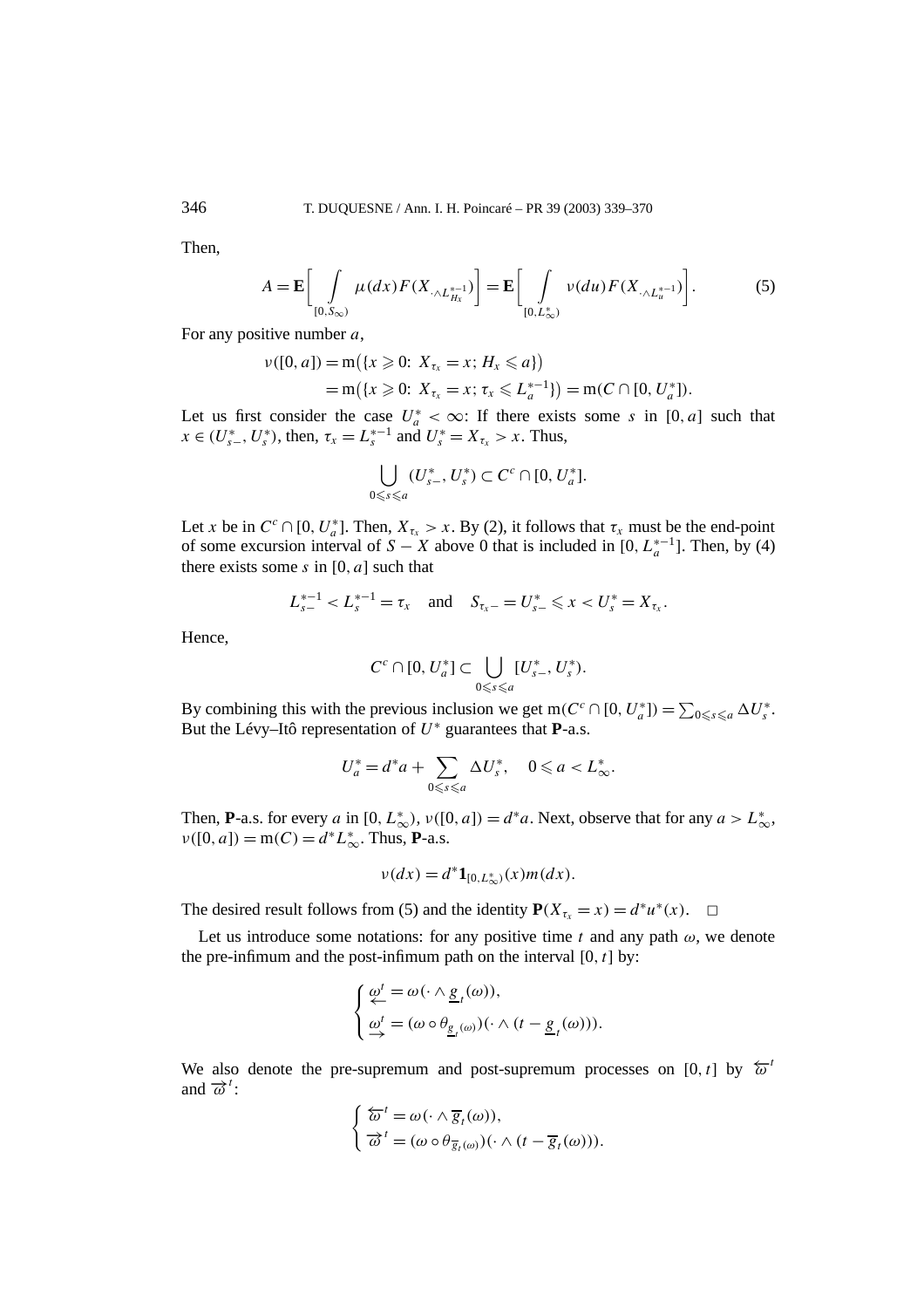Then,

$$
A = \mathbf{E} \bigg[ \int\limits_{[0,S_{\infty})} \mu(dx) F(X_{\cdot \wedge L_{H_x}^{*-1}}) \bigg] = \mathbf{E} \bigg[ \int\limits_{[0,L_{\infty}^*)} \nu(du) F(X_{\cdot \wedge L_u^{*-1}}) \bigg]. \tag{5}
$$

For any positive number *a*,

$$
\nu([0, a]) = m({x \geq 0: X_{\tau_x} = x; H_x \leq a})
$$
  
= m({x \geq 0: X\_{\tau\_x} = x; \tau\_x \leq L\_a^{\*-1}}) = m(C \cap [0, U\_a^\*]).

Let us first consider the case  $U_a^* < \infty$ : If there exists some *s* in [0*, a*] such that  $x \in (U_{s-}^*, U_s^*)$ , then,  $\tau_x = L_s^{*-1}$  and  $U_s^* = X_{\tau_x} > x$ . Thus,

$$
\bigcup_{0\leq s\leq a}(U^*_{s-},U^*_s)\subset C^c\cap[0,U^*_a].
$$

Let *x* be in  $C^c \cap [0, U_a^*]$ . Then,  $X_{\tau_x} > x$ . By (2), it follows that  $\tau_x$  must be the end-point of some excursion interval of *S* − *X* above 0 that is included in [0,  $L_n^{*-1}$ ]. Then, by (4) there exists some *s* in [0*, a*] such that

$$
L_{s-}^{*-1} < L_s^{*-1} = \tau_x \quad \text{and} \quad S_{\tau_x-} = U_{s-}^* \leq x < U_s^* = X_{\tau_x}.
$$

Hence,

$$
C^c \cap [0, U_a^*] \subset \bigcup_{0 \leq s \leq a} [U_{s-}^*, U_s^*).
$$

By combining this with the previous inclusion we get m( $C^c \cap [0, U_a^*]$ ) =  $\sum_{0 \le s \le a} \Delta U_s^*$ . But the Lévy–Itô representation of *U*<sup>∗</sup> guarantees that **P**-a.s.

$$
U_a^* = d^*a + \sum_{0 \le s \le a} \Delta U_s^*, \quad 0 \le a < L_\infty^*.
$$

Then, **P**-a.s. for every *a* in  $[0, L^*_{\infty}), v([0, a]) = d^*a$ . Next, observe that for any  $a > L^*_{\infty}$ ,  $\nu([0, a]) = m(C) = d^* L^*_{\infty}$ . Thus, **P**-a.s.

$$
v(dx) = d^* \mathbf{1}_{[0, L^*_{\infty})}(x) m(dx).
$$

The desired result follows from (5) and the identity  $P(X_{\tau_x} = x) = d^* u^*(x)$ .  $\Box$ 

Let us introduce some notations: for any positive time  $t$  and any path  $\omega$ , we denote the pre-infimum and the post-infimum path on the interval  $[0, t]$  by:

$$
\begin{cases} \underbrace{\omega^t}_{\leftarrow} = \omega(\cdot \wedge \underbrace{g}_t(\omega)), \\ \underbrace{\omega^t}_{\rightarrow} = (\omega \circ \theta_{\underbrace{g}_t(\omega)})(\cdot \wedge (t - \underbrace{g}_t(\omega))). \end{cases}
$$

We also denote the pre-supremum and post-supremum processes on [0, t] by  $\overleftarrow{\omega}^t$ and  $\vec{\omega}^t$ :

$$
\begin{cases} \overleftarrow{\omega}^t = \omega(\cdot \wedge \overline{g}_t(\omega)), \\ \overrightarrow{\omega}^t = (\omega \circ \theta_{\overline{g}_t(\omega)})(\cdot \wedge (t - \overline{g}_t(\omega))). \end{cases}
$$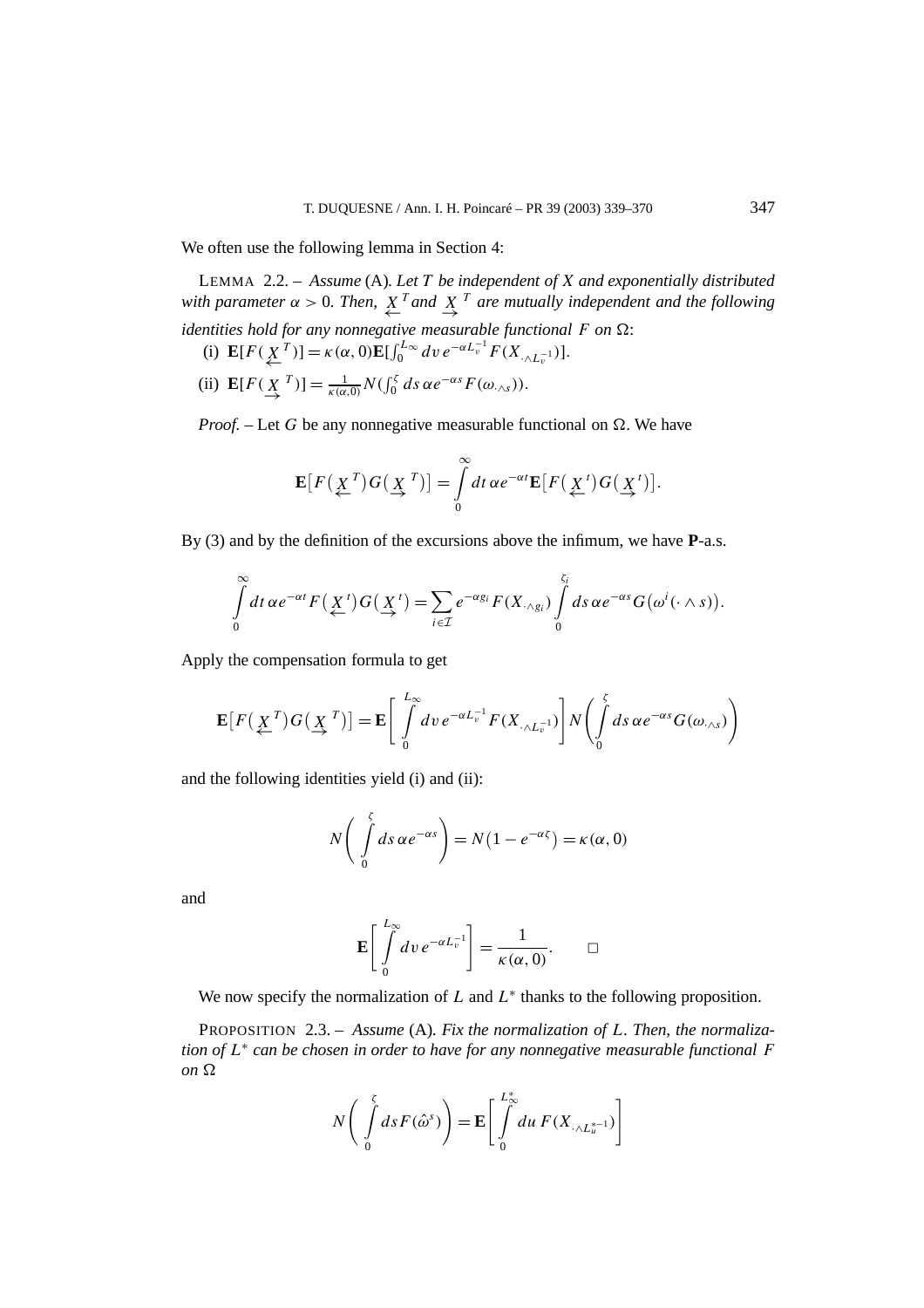We often use the following lemma in Section 4:

LEMMA 2.2. – *Assume* (A)*. Let T be independent of X and exponentially distributed with parameter*  $\alpha > 0$ . Then,  $\overline{X}^T$  *and*  $\overline{X}^T$  *are mutually independent and the following identities hold for any nonnegative measurable functional*  $F$  *on*  $\Omega$ : (i)  $\mathbf{E}[F(\mathbf{X}^T)] = \kappa(\alpha, 0)\mathbf{E}[\int_0^{L_\infty} dv \, e^{-\alpha L_v^{-1}} F(X_{\cdot \wedge L_v^{-1}})].$ 

(ii)  $\mathbf{E}[F(\mathbf{X}^T)] = \frac{1}{\kappa(\alpha,0)} N(\int_0^{\zeta} ds \, \alpha e^{-\alpha s} F(\omega_{\cdot \wedge s}))$ .

*Proof.* – Let G be any nonnegative measurable functional on  $\Omega$ . We have

$$
\mathbf{E}[F(\underline{X}^T)G(\underline{X}^T)]=\int\limits_0^\infty dt\,\alpha e^{-\alpha t}\mathbf{E}[F(\underline{X}^t)G(\underline{X}^t)].
$$

By (3) and by the definition of the excursions above the infimum, we have **P**-a.s.

$$
\int\limits_{0}^{\infty}dt\,\alpha e^{-\alpha t}F(\underbrace{X}^{t})G(\underbrace{X}^{t})=\sum_{i\in\mathcal{I}}e^{-\alpha g_{i}}F(X_{\cdot\wedge g_{i}})\int\limits_{0}^{\zeta_{i}}ds\,\alpha e^{-\alpha s}G(\omega^{i}(\cdot\wedge s)).
$$

Apply the compensation formula to get

$$
\mathbf{E}\big[F\big(\underline{X}^T\big)G\big(\underline{X}^T\big)\big] = \mathbf{E}\Bigg[\int_0^{L_{\infty}} dv \, e^{-\alpha L_v^{-1}} F(X_{\cdot \wedge L_v^{-1}})\Bigg] N\Bigg(\int_0^{\zeta} ds \, \alpha e^{-\alpha s} G(\omega_{\cdot \wedge s})\Bigg)
$$

and the following identities yield (i) and (ii):

$$
N\left(\int\limits_{0}^{\zeta}ds\,\alpha e^{-\alpha s}\right) = N(1 - e^{-\alpha \zeta}) = \kappa(\alpha,0)
$$

and

$$
\mathbf{E}\left[\int\limits_{0}^{L_{\infty}} dv \, e^{-\alpha L_{v}^{-1}}\right] = \frac{1}{\kappa(\alpha,0)}.\qquad \Box
$$

We now specify the normalization of  $L$  and  $L^*$  thanks to the following proposition.

PROPOSITION 2.3. – *Assume* (A)*. Fix the normalization of L. Then, the normalization of L*<sup>∗</sup> *can be chosen in order to have for any nonnegative measurable functional F*  $\omega$ <sup>*on*</sup> $\Omega$ 

$$
N\bigg(\int\limits_{0}^{\zeta}ds F(\hat{\omega}^{s})\bigg)=\mathbf{E}\bigg[\int\limits_{0}^{L_{\infty}^{*}}du F(X_{\cdot\wedge L_{u}^{*}}^{-1})\bigg]
$$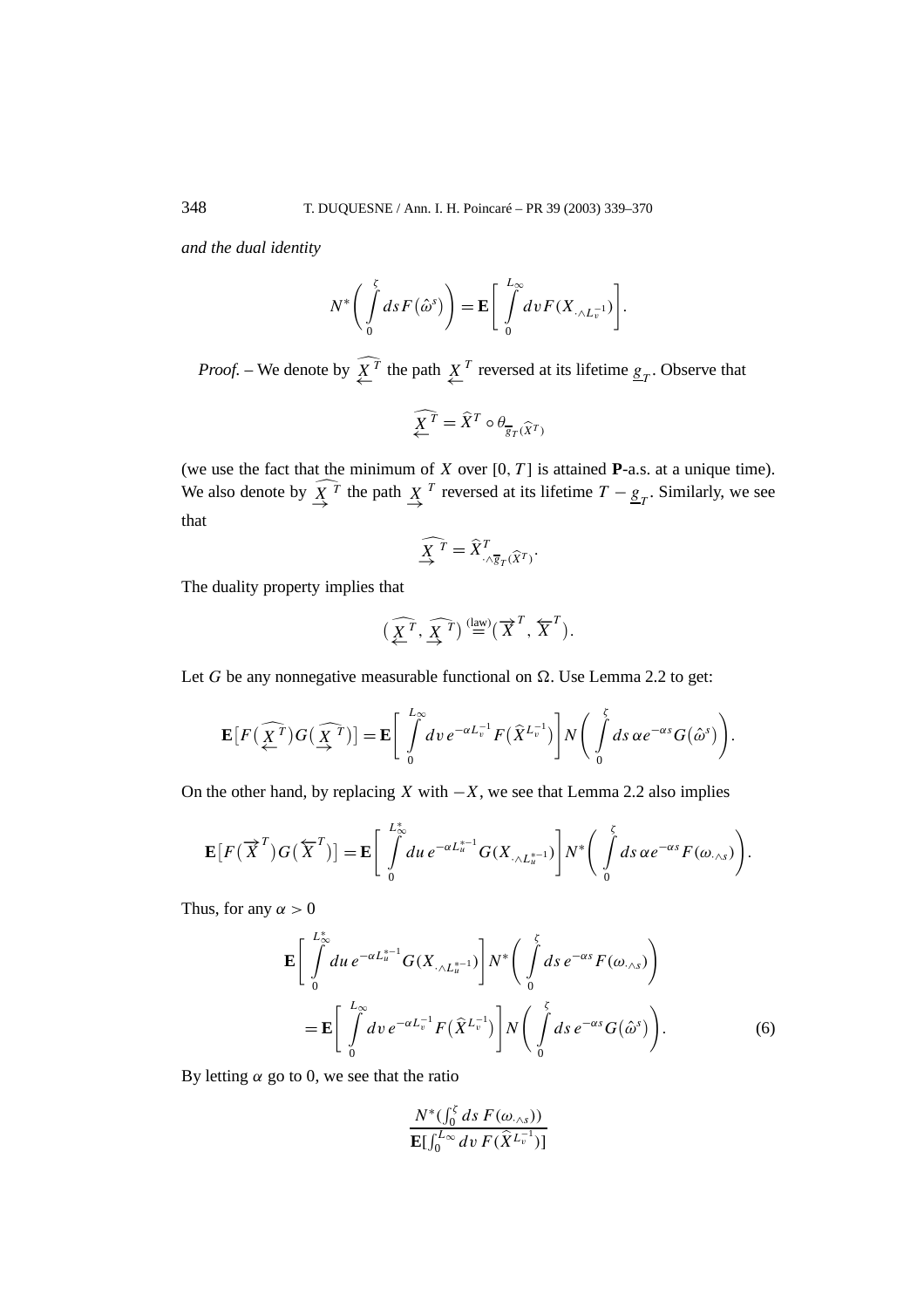*and the dual identity*

$$
N^* \bigg( \int\limits_0^{\zeta} ds F(\hat{\omega}^s) \bigg) = \mathbf{E} \bigg[ \int\limits_0^{L_{\infty}} dv F(X_{\cdot \wedge L_{v}^{-1}}) \bigg].
$$

*Proof.* – We denote by  $\underset{\leftarrow}{X}^T$  the path  $\underset{\leftarrow}{X}^T$  reversed at its lifetime  $\underline{g}_T$ . Observe that

$$
\widehat{\underline{X}^T} = \widehat{X}^T \circ \theta_{\overline{g}_T(\widehat{X}^T)}
$$

(we use the fact that the minimum of *X* over  $[0, T]$  is attained **P**-a.s. at a unique time). We also denote by  $\overline{X}^T$  the path  $\overline{X}^T$  reversed at its lifetime  $T - g_T$ . Similarly, we see that

$$
\widehat{\underline{X}^T} = \widehat{X}^T_{\cdot \wedge \overline{g}_T(\widehat{X}^T)}.
$$

The duality property implies that

$$
\left(\widehat{\underline{X}^T}, \widehat{\underline{X}^T}\right) \stackrel{\text{(law)}}{=} \left(\overrightarrow{X}^T, \overleftarrow{X}^T\right).
$$

Let *G* be any nonnegative measurable functional on  $\Omega$ . Use Lemma 2.2 to get:

$$
\mathbf{E}\big[F\big(\widehat{\underline{X}^T}\big)G\big(\widehat{\underline{X}^T}\big)\big]=\mathbf{E}\Bigg[\int\limits_0^{L_{\infty}}dv\,e^{-\alpha L_v^{-1}}F\big(\widehat{X}^{L_v^{-1}}\big)\Bigg]N\Bigg(\int\limits_0^{\zeta}ds\,\alpha e^{-\alpha s}G\big(\widehat{\omega}^s\big)\Bigg).
$$

On the other hand, by replacing *X* with  $-X$ , we see that Lemma 2.2 also implies

$$
\mathbf{E}[F(\overrightarrow{X}^T)G(\overleftarrow{X}^T)]=\mathbf{E}\bigg[\int\limits_{0}^{L_{\infty}^*} du\,e^{-\alpha L_{u}^{*-1}}G(X_{\cdot\wedge L_{u}^{*-1}})\bigg]N^*\bigg(\int\limits_{0}^{\zeta}ds\,\alpha e^{-\alpha s}F(\omega_{\cdot\wedge s})\bigg).
$$

Thus, for any  $\alpha > 0$ 

$$
\mathbf{E}\left[\int\limits_{0}^{L_{\infty}^{*}} du \, e^{-\alpha L_{u}^{*-1}} G(X_{\cdot \wedge L_{u}^{*-1}})\right] N^{*}\left(\int\limits_{0}^{\zeta} ds \, e^{-\alpha s} F(\omega_{\cdot \wedge s})\right)
$$
\n
$$
= \mathbf{E}\left[\int\limits_{0}^{L_{\infty}} dv \, e^{-\alpha L_{v}^{-1}} F(\widehat{X}^{L_{v}^{-1}})\right] N\left(\int\limits_{0}^{\zeta} ds \, e^{-\alpha s} G(\widehat{\omega}^{s})\right).
$$
\n(6)

By letting  $\alpha$  go to 0, we see that the ratio

$$
\frac{N^*(\int_0^{\zeta} ds F(\omega_{\cdot \wedge s}))}{\mathbf{E}[\int_0^{L_{\infty}} dv F(\hat{X}^{L_v^{-1}})]}
$$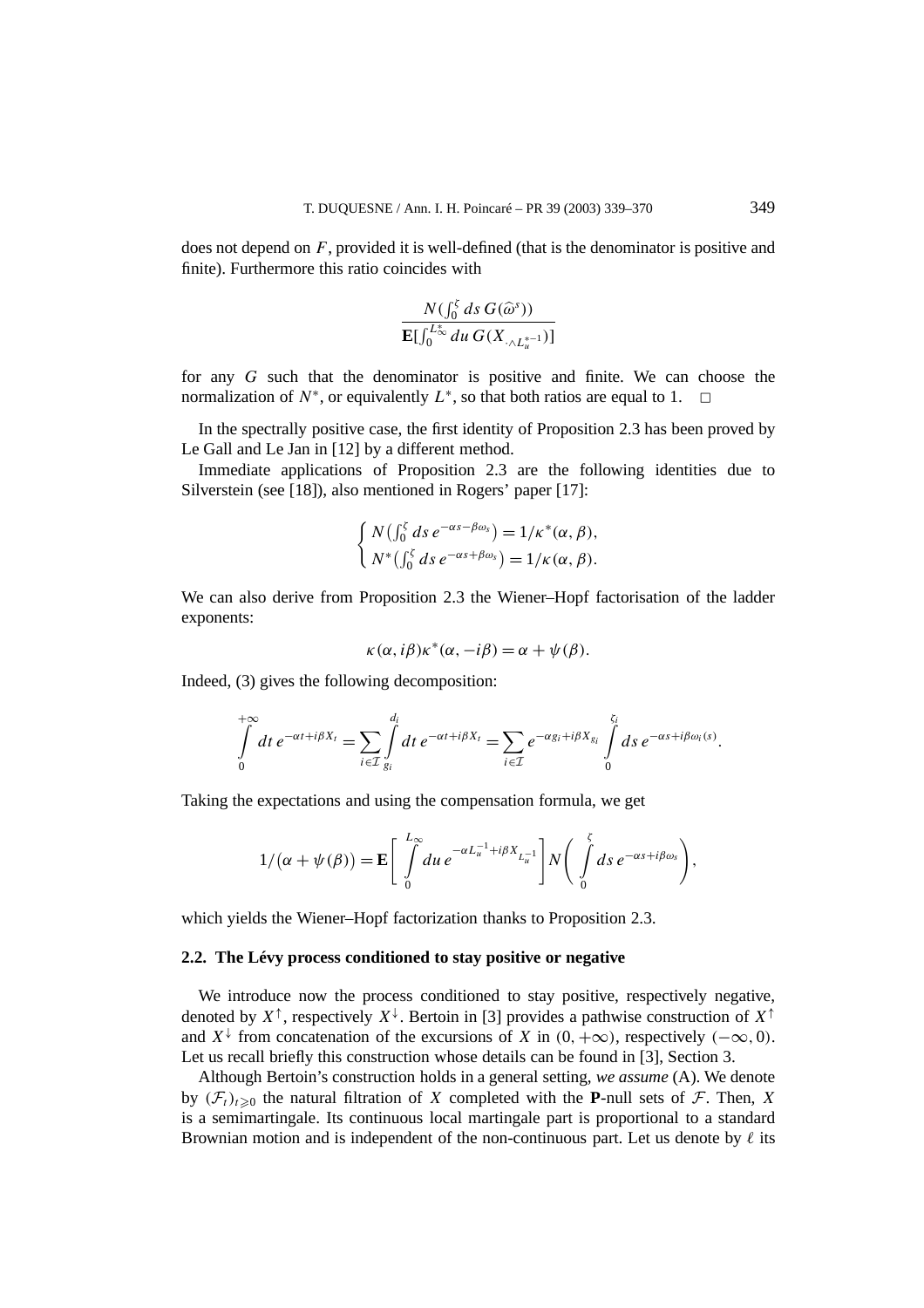does not depend on *F*, provided it is well-defined (that is the denominator is positive and finite). Furthermore this ratio coincides with

$$
\frac{N(\int_0^{\zeta} ds G(\widehat{\omega}^s))}{\mathbf{E}[\int_0^{L_{\infty}^*} du G(X_{\cdot \wedge L_u^{*-1}})]}
$$

for any *G* such that the denominator is positive and finite. We can choose the normalization of  $N^*$ , or equivalently  $L^*$ , so that both ratios are equal to 1.  $\Box$ 

In the spectrally positive case, the first identity of Proposition 2.3 has been proved by Le Gall and Le Jan in [12] by a different method.

Immediate applications of Proposition 2.3 are the following identities due to Silverstein (see [18]), also mentioned in Rogers' paper [17]:

$$
\begin{cases} N\left(\int_0^{\zeta} ds \, e^{-\alpha s - \beta \omega_s}\right) = 1/\kappa^*(\alpha, \beta), \\ N^*\left(\int_0^{\zeta} ds \, e^{-\alpha s + \beta \omega_s}\right) = 1/\kappa(\alpha, \beta). \end{cases}
$$

We can also derive from Proposition 2.3 the Wiener–Hopf factorisation of the ladder exponents:

$$
\kappa(\alpha, i\beta)\kappa^*(\alpha, -i\beta) = \alpha + \psi(\beta).
$$

Indeed, (3) gives the following decomposition:

$$
\int\limits_{0}^{+\infty} dt \, e^{-\alpha t + i\beta X_t} = \sum_{i \in \mathcal{I}} \int\limits_{g_i}^{d_i} dt \, e^{-\alpha t + i\beta X_t} = \sum_{i \in \mathcal{I}} e^{-\alpha g_i + i\beta X_{g_i}} \int\limits_{0}^{\zeta_i} ds \, e^{-\alpha s + i\beta \omega_i(s)}.
$$

Taking the expectations and using the compensation formula, we get

$$
1/(\alpha + \psi(\beta)) = \mathbf{E} \left[ \int\limits_{0}^{L_{\infty}} du \, e^{-\alpha L_{u}^{-1} + i\beta X_{L_{u}^{-1}}} \right] N \left( \int\limits_{0}^{\zeta} ds \, e^{-\alpha s + i\beta \omega_{s}} \right),
$$

which yields the Wiener–Hopf factorization thanks to Proposition 2.3.

# **2.2. The Lévy process conditioned to stay positive or negative**

We introduce now the process conditioned to stay positive, respectively negative, denoted by  $X^{\uparrow}$ , respectively  $X^{\downarrow}$ . Bertoin in [3] provides a pathwise construction of  $X^{\uparrow}$ and  $X^{\downarrow}$  from concatenation of the excursions of *X* in  $(0, +\infty)$ , respectively  $(-\infty, 0)$ . Let us recall briefly this construction whose details can be found in [3], Section 3.

Although Bertoin's construction holds in a general setting, *we assume* (A). We denote by  $(F_t)_{t>0}$  the natural filtration of *X* completed with the **P**-null sets of *F*. Then, *X* is a semimartingale. Its continuous local martingale part is proportional to a standard Brownian motion and is independent of the non-continuous part. Let us denote by  $\ell$  its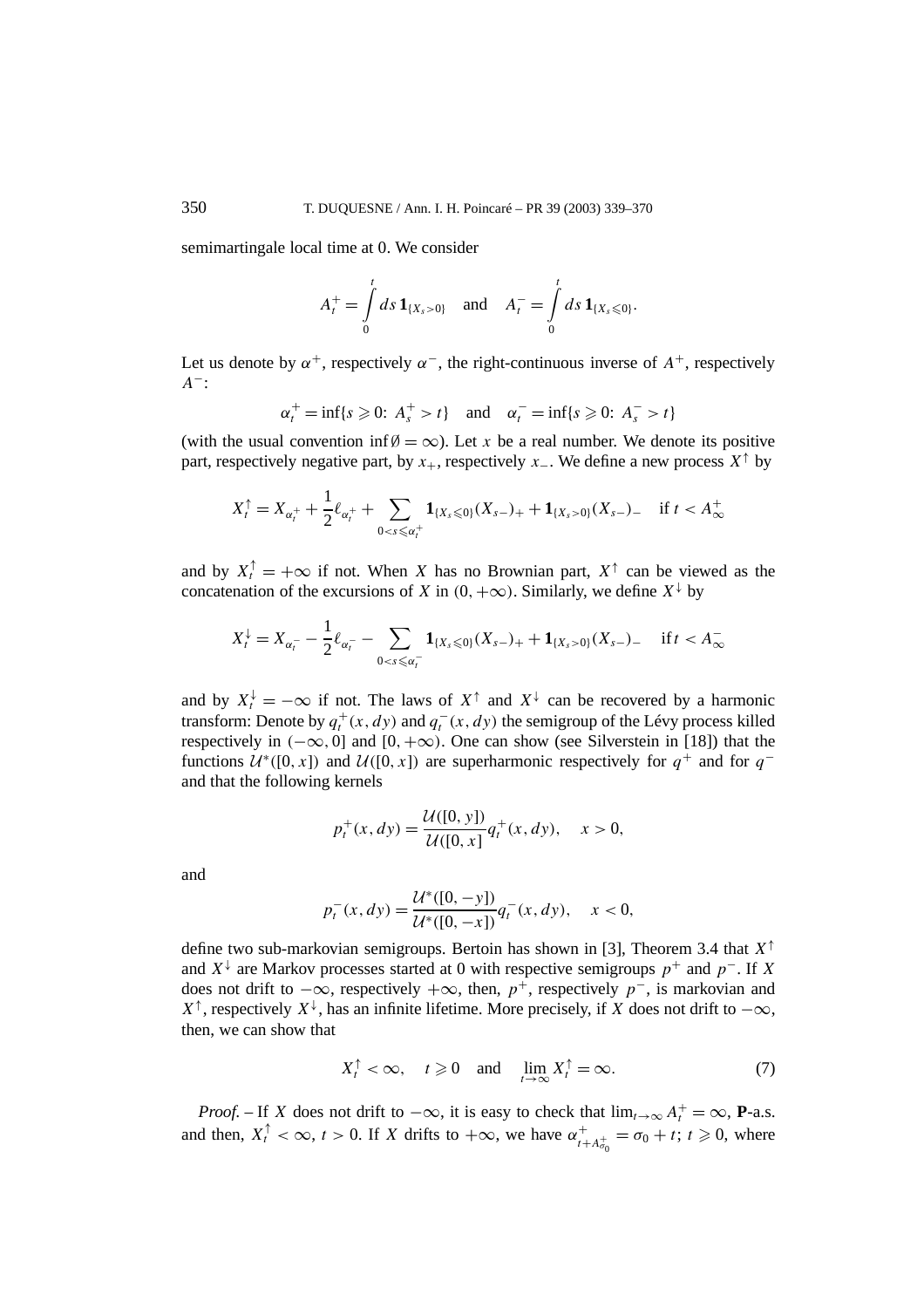semimartingale local time at 0. We consider

$$
A_t^+ = \int_0^t ds \, \mathbf{1}_{\{X_s > 0\}} \quad \text{and} \quad A_t^- = \int_0^t ds \, \mathbf{1}_{\{X_s \leq 0\}}.
$$

Let us denote by  $\alpha^+$ , respectively  $\alpha^-$ , the right-continuous inverse of  $A^+$ , respectively *A*<sup>−</sup>:

$$
\alpha_t^+ = \inf\{s \geqslant 0: A_s^+ > t\} \quad \text{and} \quad \alpha_t^- = \inf\{s \geqslant 0: A_s^- > t\}
$$

(with the usual convention inf  $\emptyset = \infty$ ). Let *x* be a real number. We denote its positive part, respectively negative part, by  $x_+$ , respectively  $x_-$ . We define a new process  $X^{\uparrow}$  by

$$
X_t^{\uparrow} = X_{\alpha_t^+} + \frac{1}{2} \ell_{\alpha_t^+} + \sum_{0 < s \leq \alpha_t^+} \mathbf{1}_{\{X_s \leq 0\}} (X_{s-})_+ + \mathbf{1}_{\{X_s > 0\}} (X_{s-})_- \quad \text{if } t < A_{\infty}^+
$$

and by  $X_t^{\uparrow} = +\infty$  if not. When *X* has no Brownian part,  $X^{\uparrow}$  can be viewed as the concatenation of the excursions of *X* in  $(0, +\infty)$ . Similarly, we define  $X^{\downarrow}$  by

$$
X_t^{\downarrow} = X_{\alpha_t^-} - \frac{1}{2} \ell_{\alpha_t^-} - \sum_{0 < s \leq \alpha_t^-} \mathbf{1}_{\{X_s \leq 0\}} (X_{s-})_+ + \mathbf{1}_{\{X_s > 0\}} (X_{s-})_- \quad \text{if } t < A_\infty^-
$$

and by  $X_t^{\downarrow} = -\infty$  if not. The laws of  $X^{\uparrow}$  and  $X^{\downarrow}$  can be recovered by a harmonic transform: Denote by  $q_t^+(x, dy)$  and  $q_t^-(x, dy)$  the semigroup of the Lévy process killed respectively in  $(-\infty, 0]$  and  $[0, +\infty)$ . One can show (see Silverstein in [18]) that the functions  $U^*(0, x)$  and  $U([0, x])$  are superharmonic respectively for  $q^+$  and for  $q^$ and that the following kernels

$$
p_t^+(x, dy) = \frac{\mathcal{U}([0, y])}{\mathcal{U}([0, x])} q_t^+(x, dy), \quad x > 0,
$$

and

$$
p_t^-(x, dy) = \frac{\mathcal{U}^*([0, -y])}{\mathcal{U}^*([0, -x])} q_t^-(x, dy), \quad x < 0,
$$

define two sub-markovian semigroups. Bertoin has shown in [3], Theorem 3.4 that *X*<sup>↑</sup> and  $X^{\downarrow}$  are Markov processes started at 0 with respective semigroups  $p^+$  and  $p^-$ . If X does not drift to  $-\infty$ , respectively  $+\infty$ , then,  $p^+$ , respectively  $p^-$ , is markovian and *X*<sup>↑</sup>, respectively *X*<sup> $\downarrow$ </sup>, has an infinite lifetime. More precisely, if *X* does not drift to  $-\infty$ , then, we can show that

$$
X_t^{\uparrow} < \infty, \quad t \geq 0 \quad \text{and} \quad \lim_{t \to \infty} X_t^{\uparrow} = \infty. \tag{7}
$$

*Proof.* – If *X* does not drift to  $-\infty$ , it is easy to check that  $\lim_{t\to\infty} A_t^+ = \infty$ , **P**-a.s. and then,  $X_t^{\uparrow} < \infty$ ,  $t > 0$ . If *X* drifts to  $+\infty$ , we have  $\alpha_{t+A_{\sigma_0}^+}^+ = \sigma_0 + t$ ;  $t \ge 0$ , where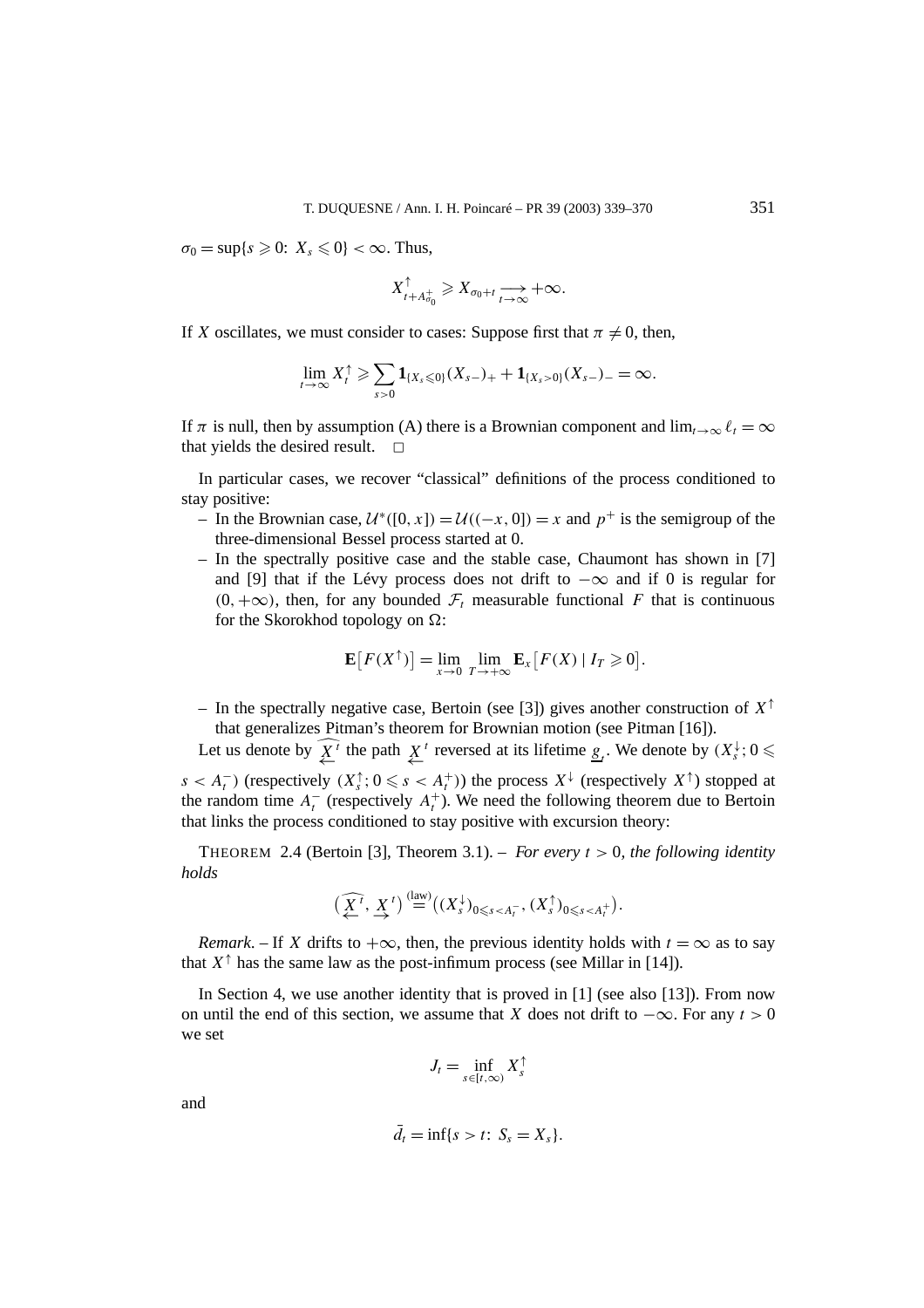$\sigma_0 = \sup\{s \geq 0: X_s \leq 0\} < \infty$ . Thus,

$$
X_{t+A_{\sigma_0}^+}^{\uparrow} \geqslant X_{\sigma_0+t} \xrightarrow[t\to\infty]{} +\infty.
$$

If *X* oscillates, we must consider to cases: Suppose first that  $\pi \neq 0$ , then,

$$
\lim_{t\to\infty}X_t^{\uparrow}\geqslant \sum_{s>0}\mathbf{1}_{\{X_s\leqslant 0\}}(X_{s-})_{+}+\mathbf{1}_{\{X_s>0\}}(X_{s-})_{-}=\infty.
$$

If  $\pi$  is null, then by assumption (A) there is a Brownian component and  $\lim_{t\to\infty} \ell_t = \infty$ that yields the desired result.  $\Box$ 

In particular cases, we recover "classical" definitions of the process conditioned to stay positive:

- − In the Brownian case,  $U^*(0, x) = U((-x, 0]) = x$  and  $p^+$  is the semigroup of the three-dimensional Bessel process started at 0.
- In the spectrally positive case and the stable case, Chaumont has shown in [7] and [9] that if the Lévy process does not drift to −∞ and if 0 is regular for  $(0, +\infty)$ , then, for any bounded  $\mathcal{F}_t$  measurable functional *F* that is continuous for the Skorokhod topology on  $\Omega$ :

$$
\mathbf{E}\big[F(X^{\uparrow})\big] = \lim_{x \to 0} \lim_{T \to +\infty} \mathbf{E}_x\big[F(X) \mid I_T \geq 0\big].
$$

– In the spectrally negative case, Bertoin (see [3]) gives another construction of *X*<sup>↑</sup> that generalizes Pitman's theorem for Brownian motion (see Pitman [16]).

Let us denote by  $\overline{X}^i$  the path  $\underline{X}^t$  reversed at its lifetime  $\underline{g}_t$ . We denote by  $(X_s^{\downarrow}; 0 \leq$ *s* < *A*<sup> $τ$ </sup> ) (respectively *(X*<sup> $>†$ </sup>); 0 ≤ *s* < *A*<sup> $+$ </sup>)) the process *X*<sup> ${+}$ </sup> (respectively *X*<sup> ${+}$ </sup>) stopped at the random time  $A_t^-$  (respectively  $A_t^+$ ). We need the following theorem due to Bertoin that links the process conditioned to stay positive with excursion theory:

THEOREM 2.4 (Bertoin [3], Theorem 3.1). – *For every t >* 0*, the following identity holds*

$$
\left(\widehat{\underline{X}^t}, \, \underline{X}^t\right) \stackrel{\text{(law)}}{=} \left((X_s^\downarrow)_{0\leqslant s < A_t^-}, \, (X_s^\uparrow)_{0\leqslant s < A_t^+}\right).
$$

*Remark*. – If *X* drifts to  $+\infty$ , then, the previous identity holds with  $t = \infty$  as to say that  $X^{\uparrow}$  has the same law as the post-infimum process (see Millar in [14]).

In Section 4, we use another identity that is proved in  $[1]$  (see also  $[13]$ ). From now on until the end of this section, we assume that *X* does not drift to  $-\infty$ . For any  $t > 0$ we set

$$
J_t = \inf_{s \in [t,\infty)} X_s^{\uparrow}
$$

and

$$
\bar{d}_t = \inf\{s > t: S_s = X_s\}.
$$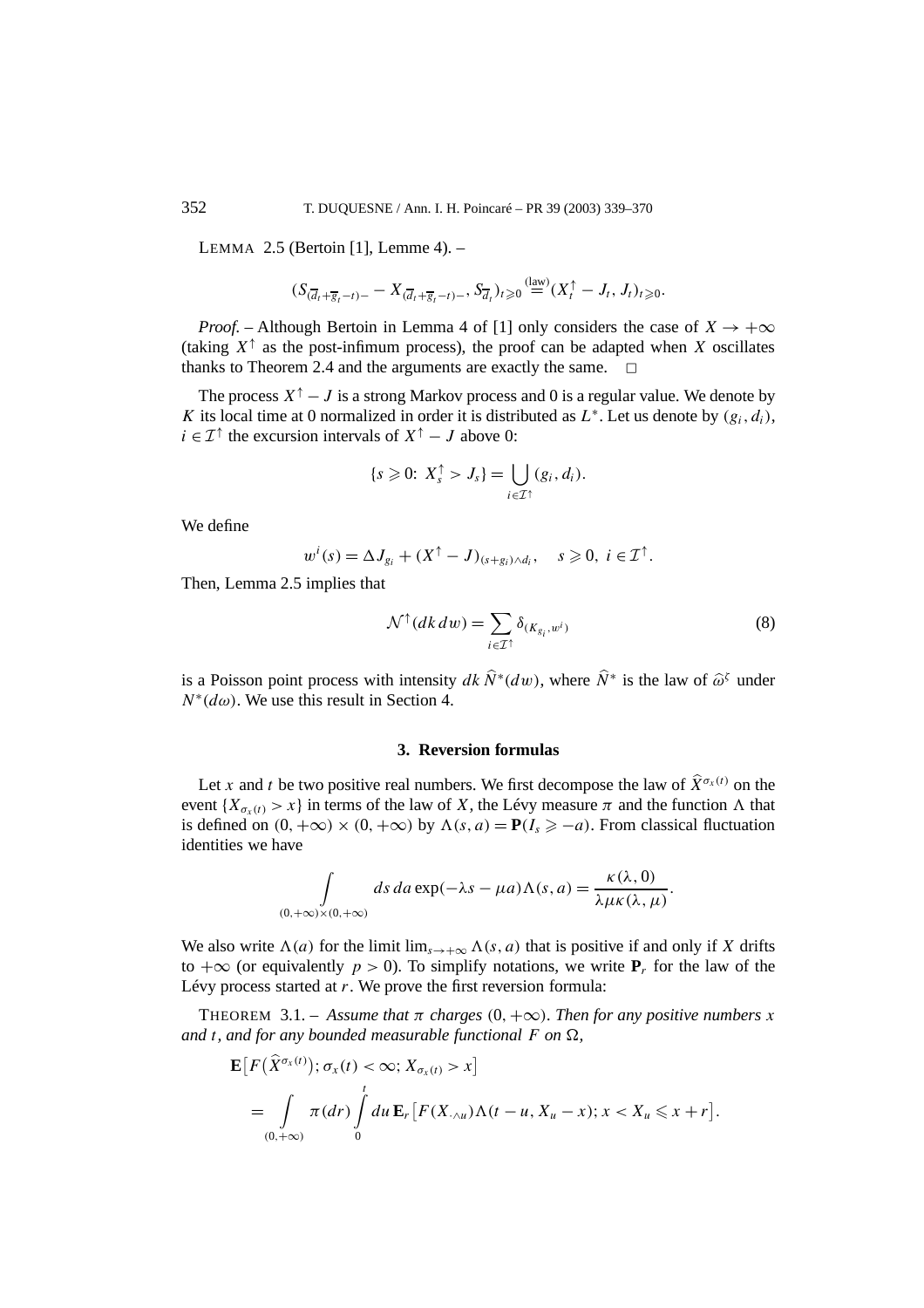LEMMA 2.5 (Bertoin [1], Lemme 4). –

$$
(S_{(\overline{d}_t+\overline{g}_t-t)-}-X_{(\overline{d}_t+\overline{g}_t-t)-},S_{\overline{d}_t})_{t\geq 0}(\stackrel{\text{(law)}}{=} (X_t^{\uparrow}-J_t,J_t)_{t\geq 0}.
$$

*Proof.* – Although Bertoin in Lemma 4 of [1] only considers the case of  $X \rightarrow +\infty$ (taking  $X^{\uparrow}$  as the post-infimum process), the proof can be adapted when *X* oscillates thanks to Theorem 2.4 and the arguments are exactly the same.  $\Box$ 

The process  $X^{\uparrow} - J$  is a strong Markov process and 0 is a regular value. We denote by *K* its local time at 0 normalized in order it is distributed as  $L^*$ . Let us denote by  $(g_i, d_i)$ , *i* ∈  $\mathcal{I}^{\uparrow}$  the excursion intervals of  $X^{\uparrow} - J$  above 0:

$$
\{s\geqslant 0\colon X_s^{\uparrow} > J_s\} = \bigcup_{i\in\mathcal{I}^{\uparrow}}(g_i,d_i).
$$

We define

$$
w^{i}(s) = \Delta J_{g_{i}} + (X^{\uparrow} - J)_{(s+g_{i}) \wedge d_{i}}, \quad s \geqslant 0, \ i \in \mathcal{I}^{\uparrow}.
$$

Then, Lemma 2.5 implies that

$$
\mathcal{N}^{\uparrow}(dk \, dw) = \sum_{i \in \mathcal{I}^{\uparrow}} \delta_{(K_{g_i}, w^i)} \tag{8}
$$

is a Poisson point process with intensity  $dk \hat{N}^*(dw)$ , where  $\hat{N}^*$  is the law of  $\hat{\omega}^{\zeta}$  under  $N^*(d\omega)$ . We use this result in Section 4.

## **3. Reversion formulas**

Let *x* and *t* be two positive real numbers. We first decompose the law of  $\hat{X}^{\sigma_x(t)}$  on the event  ${X_{\sigma_x(t)} > x}$  in terms of the law of *X*, the Lévy measure  $\pi$  and the function  $\Lambda$  that is defined on  $(0, +\infty) \times (0, +\infty)$  by  $\Lambda(s, a) = P(I_s \ge -a)$ . From classical fluctuation identities we have

$$
\int_{(0,+\infty)\times(0,+\infty)} ds \, da \exp(-\lambda s - \mu a) \Lambda(s,a) = \frac{\kappa(\lambda,0)}{\lambda \mu \kappa(\lambda,\mu)}.
$$

We also write  $\Lambda(a)$  for the limit  $\lim_{s\to+\infty} \Lambda(s,a)$  that is positive if and only if *X* drifts to  $+\infty$  (or equivalently *p* > 0). To simplify notations, we write **P**<sub>*r*</sub> for the law of the Lévy process started at *r*. We prove the first reversion formula:

THEOREM 3.1. – Assume that  $\pi$  *charges* (0*,* + $\infty$ ). Then for any positive numbers *x and t*, and for any bounded measurable functional F on  $\Omega$ ,

$$
\mathbf{E}\big[F\big(\widehat{X}^{\sigma_x(t)}\big); \sigma_x(t) < \infty; X_{\sigma_x(t)} > x\big] \\
= \int\limits_{(0,+\infty)} \pi(dr) \int\limits_0^t du \, \mathbf{E}_r\big[F(X_{\cdot \wedge u})\Lambda(t-u, X_u-x); x < X_u \leq x+r\big].
$$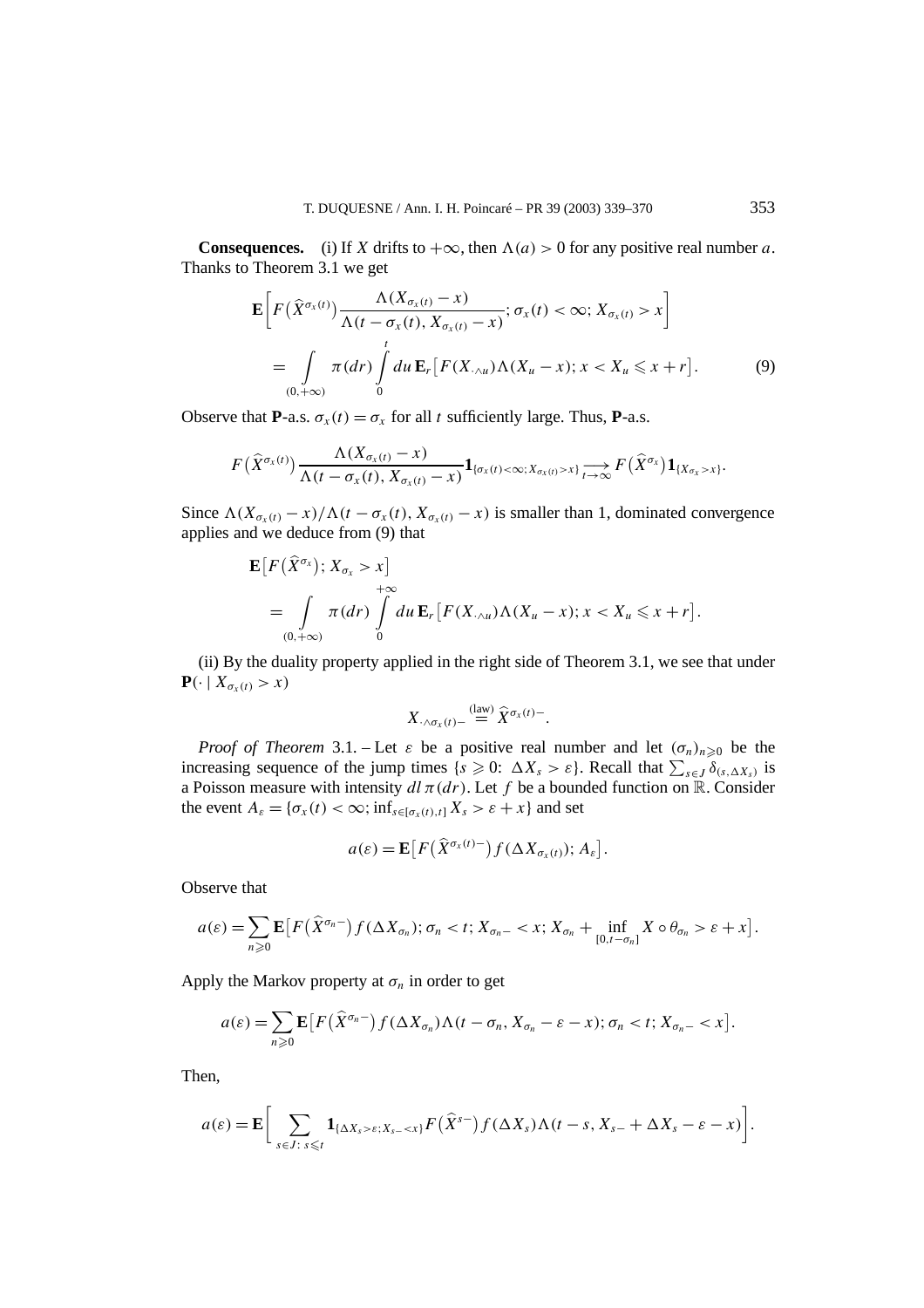**Consequences.** (i) If *X* drifts to  $+\infty$ , then  $\Lambda(a) > 0$  for any positive real number *a*. Thanks to Theorem 3.1 we get

$$
\mathbf{E}\bigg[F\big(\widehat{X}^{\sigma_{x}(t)}\big)\frac{\Lambda(X_{\sigma_{x}(t)}-x)}{\Lambda(t-\sigma_{x}(t),X_{\sigma_{x}(t)}-x)};\sigma_{x}(t)<\infty;X_{\sigma_{x}(t)}>x\bigg]
$$
\n
$$
=\int\limits_{(0,+\infty)}\pi(dr)\int\limits_{0}^{t}du\,\mathbf{E}_{r}\big[F(X_{\cdot\wedge u})\Lambda(X_{u}-x);x
$$

Observe that **P**-a.s.  $\sigma_x(t) = \sigma_x$  for all *t* sufficiently large. Thus, **P**-a.s.

$$
F(\widehat{X}^{\sigma_x(t)})\frac{\Lambda(X_{\sigma_x(t)}-x)}{\Lambda(t-\sigma_x(t),X_{\sigma_x(t)}-x)}\mathbf{1}_{\{\sigma_x(t)<\infty;X_{\sigma_x(t)>x\}}\underset{t\to\infty}{\longrightarrow}F(\widehat{X}^{\sigma_x})\mathbf{1}_{\{X_{\sigma_x}>x\}}.
$$

Since  $\Lambda (X_{\sigma_{x}(t)} - x)/\Lambda (t - \sigma_{x}(t), X_{\sigma_{x}(t)} - x)$  is smaller than 1, dominated convergence applies and we deduce from (9) that

$$
\mathbf{E}\big[F\big(\widehat{X}^{\sigma_{x}}\big);X_{\sigma_{x}}>x\big] + \infty
$$
  
= 
$$
\int\limits_{(0,+\infty)} \pi(dr)\int\limits_{0}^{+\infty} du \,\mathbf{E}_{r}\big[F(X_{\cdot\wedge u})\Lambda(X_{u}-x);x
$$

(ii) By the duality property applied in the right side of Theorem 3.1, we see that under  $\mathbf{P}(\cdot \mid X_{\sigma_x(t)} > x)$ 

$$
X_{\cdot \wedge \sigma_x(t)-} \stackrel{\text{(law)}}{=} \widehat{X}^{\sigma_x(t)-}.
$$

*Proof of Theorem* 3.1. – Let  $\varepsilon$  be a positive real number and let  $(\sigma_n)_{n\geq 0}$  be the increasing sequence of the jump times  $\{s \geq 0: \Delta X_s > \varepsilon\}$ . Recall that  $\sum_{s \in J} \delta_{(s, \Delta X_s)}$  is a Poisson measure with intensity  $d\bar{t}$   $\pi(dr)$ . Let f be a bounded function on R. Consider the event  $A_{\varepsilon} = {\sigma_x(t) < \infty; \inf_{s \in [\sigma_x(t), t]} X_s > \varepsilon + x}$  and set

$$
a(\varepsilon) = \mathbf{E}\big[F\big(\widehat{X}^{\sigma_x(t)-}\big)f(\Delta X_{\sigma_x(t)}); A_{\varepsilon}\big].
$$

Observe that

$$
a(\varepsilon) = \sum_{n \geq 0} \mathbf{E} \big[ F(\widehat{X}^{\sigma_n-}) f(\Delta X_{\sigma_n}); \sigma_n < t; X_{\sigma_n-} < x; X_{\sigma_n} + \inf_{[0, t-\sigma_n]} X \circ \theta_{\sigma_n} > \varepsilon + x \big].
$$

Apply the Markov property at  $\sigma_n$  in order to get

$$
a(\varepsilon) = \sum_{n\geqslant 0} \mathbf{E}\big[F\big(\widehat{X}^{\sigma_n}\big) f(\Delta X_{\sigma_n}) \Lambda(t-\sigma_n, X_{\sigma_n}-\varepsilon-x); \sigma_n < t; X_{\sigma_n} < x\big].
$$

Then,

$$
a(\varepsilon) = \mathbf{E} \bigg[ \sum_{s \in J: \ s \leq t} \mathbf{1}_{\{\Delta X_s > \varepsilon; X_{s-} < x\}} F(\widehat{X}^{s-}) f(\Delta X_s) \Lambda(t-s, X_{s-} + \Delta X_s - \varepsilon - x) \bigg].
$$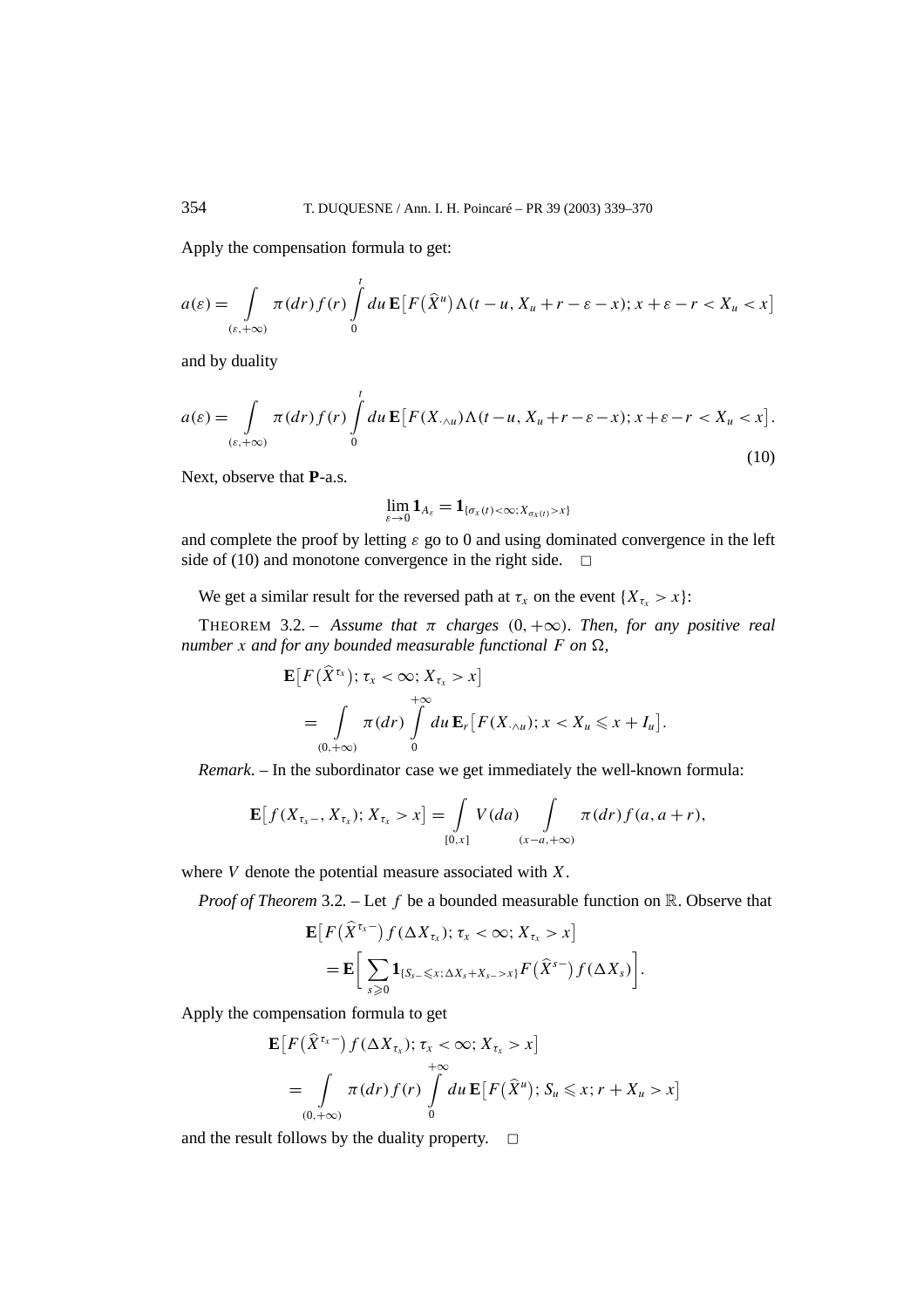Apply the compensation formula to get:

$$
a(\varepsilon) = \int\limits_{(\varepsilon, +\infty)} \pi(dr) f(r) \int\limits_0^t du \, \mathbf{E} \big[ F(\widehat{X}^u) \Lambda(t-u, X_u + r - \varepsilon - x); x + \varepsilon - r < X_u < x \big]
$$

and by duality

$$
a(\varepsilon) = \int\limits_{(\varepsilon, +\infty)} \pi(dr) f(r) \int\limits_0^t du \, \mathbf{E} \big[ F(X_{\cdot \wedge u}) \Lambda(t - u, X_u + r - \varepsilon - x); x + \varepsilon - r < X_u < x \big]. \tag{10}
$$

Next, observe that **P**-a.s.

$$
\lim_{\varepsilon\to 0} \mathbf{1}_{A_\varepsilon} = \mathbf{1}_{\{\sigma_x(t) < \infty; X_{\sigma_x(t)} > x\}}
$$

and complete the proof by letting  $\varepsilon$  go to 0 and using dominated convergence in the left side of (10) and monotone convergence in the right side.  $\Box$ 

We get a similar result for the reversed path at  $\tau_x$  on the event  $\{X_{\tau_x} > x\}$ :

THEOREM 3.2. – Assume that  $\pi$  charges  $(0, +\infty)$ *. Then, for any positive real number x and for any bounded measurable functional*  $F$  *on*  $\Omega$ *,* 

$$
\mathbf{E}\big[F\big(\widehat{X}^{\tau_x}\big);\tau_x<\infty;X_{\tau_x}>x\big] \n= \int\limits_{(0,+\infty)} \pi(dr)\int\limits_0^{+\infty} du \,\mathbf{E}_r\big[F(X_{\cdot\wedge u});x
$$

*Remark*. – In the subordinator case we get immediately the well-known formula:

$$
\mathbf{E}\big[f(X_{\tau_x-}, X_{\tau_x}); X_{\tau_x} > x\big] = \int_{[0,x]} V(da) \int_{(x-a,+\infty)} \pi(dr) f(a, a+r),
$$

where *V* denote the potential measure associated with *X*.

*Proof of Theorem* 3.2. – Let *f* be a bounded measurable function on R. Observe that

$$
\mathbf{E}\big[F\big(\widehat{X}^{\tau_{x}-}\big)f(\Delta X_{\tau_{x}});\,\tau_{x}<\infty;\,X_{\tau_{x}}>x\big] \n= \mathbf{E}\bigg[\sum_{s\geqslant 0}\mathbf{1}_{\{S_{s-}\leqslant x;\,\Delta X_{s}+X_{s-}>x\}}F\big(\widehat{X}^{s-}\big)f(\Delta X_{s})\bigg].
$$

Apply the compensation formula to get

$$
\mathbf{E}\big[F\big(\widehat{X}^{\tau_x-}\big)f(\Delta X_{\tau_x}); \tau_x < \infty; X_{\tau_x} > x\big] + \infty
$$
  
= 
$$
\int_{(0,+\infty)} \pi(dr)f(r) \int_0^{+\infty} du \,\mathbf{E}\big[F\big(\widehat{X}^u\big); S_u \le x; r + X_u > x\big]
$$

and the result follows by the duality property.  $\Box$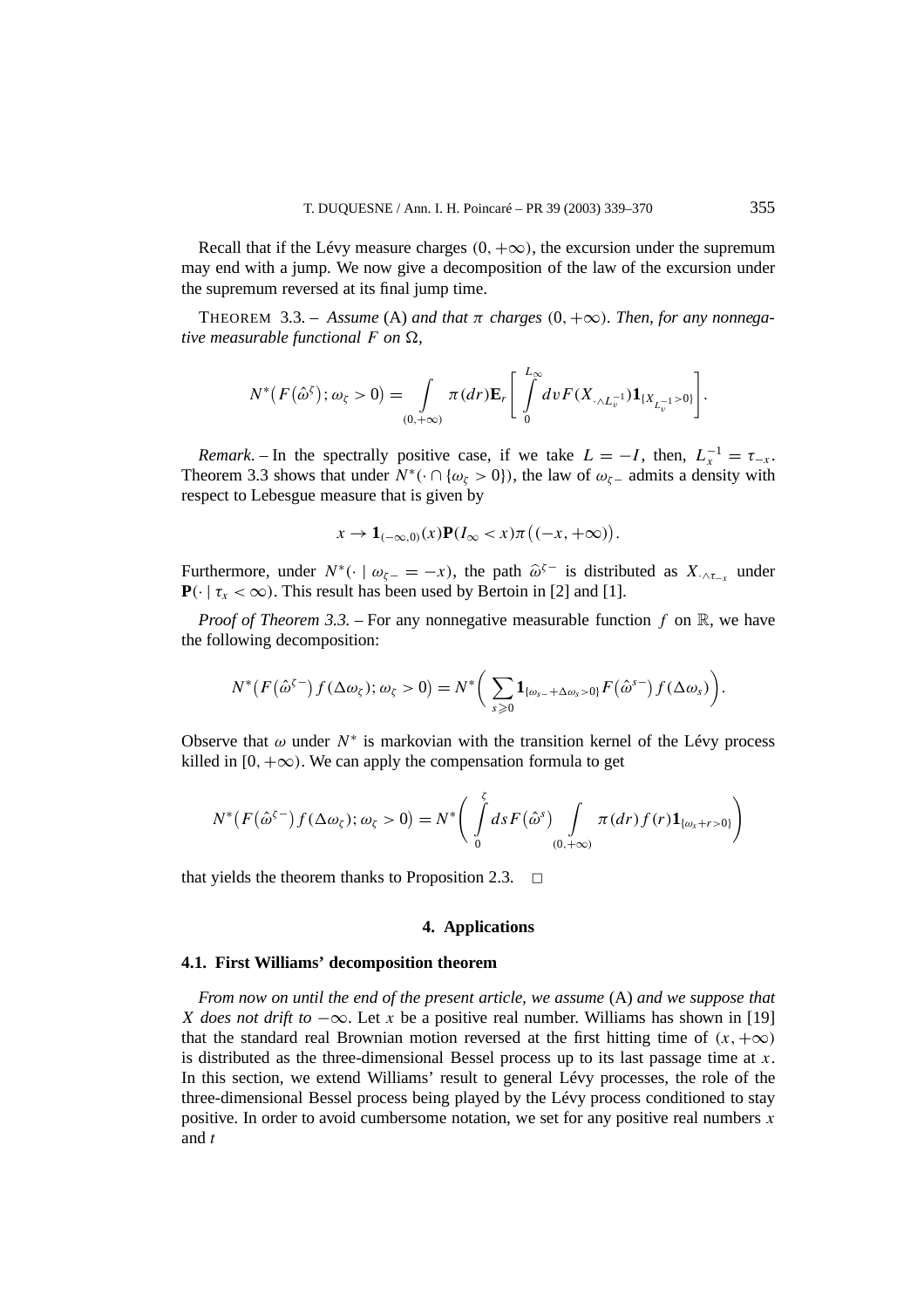Recall that if the Lévy measure charges  $(0, +\infty)$ , the excursion under the supremum may end with a jump. We now give a decomposition of the law of the excursion under the supremum reversed at its final jump time.

THEOREM 3.3. – Assume (A) and that  $\pi$  charges (0,  $+\infty$ ). Then, for any nonnega*tive measurable functional*  $F$  *on*  $\Omega$ *,* 

$$
N^*(F(\hat{\omega}^{\zeta}); \omega_{\zeta} > 0) = \int\limits_{(0,+\infty)} \pi(dr) \mathbf{E}_r \left[ \int\limits_0^{L_{\infty}} dv F(X_{\cdot \wedge L_v^{-1}}) \mathbf{1}_{\{X_{L_v^{-1}} > 0\}} \right].
$$

*Remark*. – In the spectrally positive case, if we take  $L = -I$ , then,  $L_x^{-1} = \tau_{-x}$ . Theorem 3.3 shows that under  $N^*$  ( $\cdot \cap \{\omega_\zeta > 0\}$ ), the law of  $\omega_{\zeta}$  admits a density with respect to Lebesgue measure that is given by

$$
x \to \mathbf{1}_{(-\infty,0)}(x)\mathbf{P}(I_{\infty} < x)\pi\big((-x,+\infty)\big).
$$

Furthermore, under  $N^*$ (· |  $\omega_{\zeta-} = -x$ ), the path  $\hat{\omega}^{\zeta-}$  is distributed as  $X_{\zeta,\zeta-}$  under  $\mathbf{P}(\cdot \mid \tau_x < \infty)$ . This result has been used by Bertoin in [2] and [1].

*Proof of Theorem 3.3.* – For any nonnegative measurable function  $f$  on  $\mathbb{R}$ , we have the following decomposition:

$$
N^*\big(F(\hat{\omega}^{\zeta-})f(\Delta\omega_{\zeta});\omega_{\zeta}>0\big)=N^*\bigg(\sum_{s\geqslant 0}\mathbf{1}_{\{\omega_{s-}+\Delta\omega_{s}>0\}}F(\hat{\omega}^{s-})f(\Delta\omega_{s})\bigg).
$$

Observe that  $\omega$  under  $N^*$  is markovian with the transition kernel of the Lévy process killed in  $[0, +\infty)$ . We can apply the compensation formula to get

$$
N^*\big(F(\hat{\omega}^{\zeta-})f(\Delta\omega_{\zeta});\omega_{\zeta}>0\big)=N^*\bigg(\int\limits_0^{\zeta}dsF(\hat{\omega}^s)\int\limits_{(0,+\infty)}\pi(dr)f(r)\mathbf{1}_{\{\omega_s+r>0\}}\bigg)
$$

that yields the theorem thanks to Proposition 2.3.  $\Box$ 

## **4. Applications**

## **4.1. First Williams' decomposition theorem**

*From now on until the end of the present article, we assume* (A) *and we suppose that X does not drift to*  $-\infty$ . Let *x* be a positive real number. Williams has shown in [19] that the standard real Brownian motion reversed at the first hitting time of  $(x, +\infty)$ is distributed as the three-dimensional Bessel process up to its last passage time at *x*. In this section, we extend Williams' result to general Lévy processes, the role of the three-dimensional Bessel process being played by the Lévy process conditioned to stay positive. In order to avoid cumbersome notation, we set for any positive real numbers *x* and *t*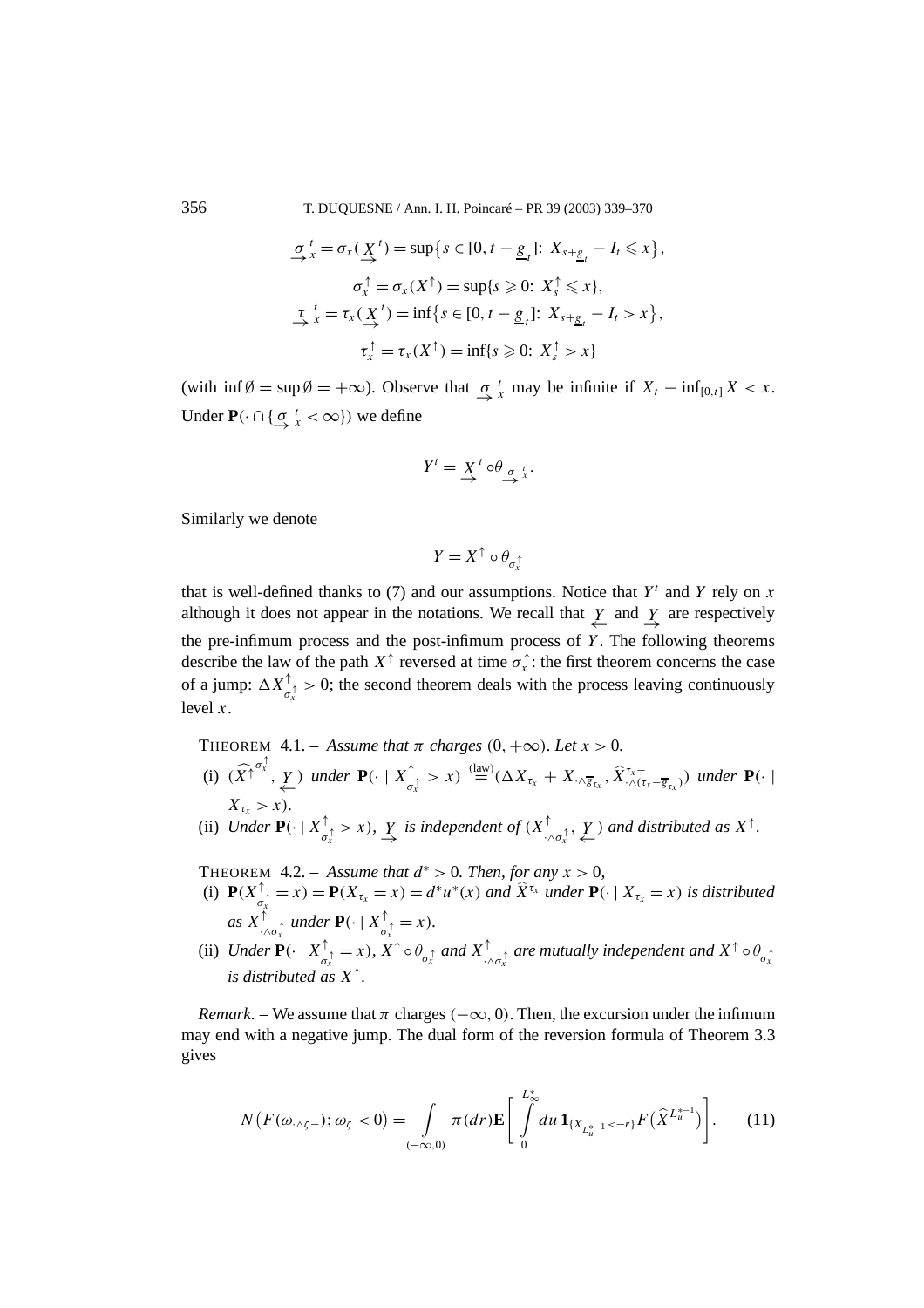356 T. DUQUESNE / Ann. I. H. Poincaré – PR 39 (2003) 339–370

$$
\underbrace{\sigma}_{x}^{t} = \sigma_{x}(\underbrace{X}^{t}) = \sup\{s \in [0, t - \underline{g}_{t}]; X_{s + \underline{g}_{t}} - I_{t} \leq x\},
$$
  

$$
\sigma_{x}^{\uparrow} = \sigma_{x}(X^{\uparrow}) = \sup\{s \geq 0: X_{s}^{\uparrow} \leq x\},
$$
  

$$
\underbrace{\tau}_{x}^{t} = \tau_{x}(\underbrace{X}^{t}) = \inf\{s \in [0, t - \underline{g}_{t}]; X_{s + \underline{g}_{t}} - I_{t} > x\},
$$
  

$$
\tau_{x}^{\uparrow} = \tau_{x}(X^{\uparrow}) = \inf\{s \geq 0: X_{s}^{\uparrow} > x\}
$$

(with  $\inf \emptyset = \sup \emptyset = +\infty$ ). Observe that  $\int_{-\infty}^t x \text{ may be infinite if } X_t - \inf_{[0,t]} X < x$ . Under  $P(\cdot \cap {\sigma \to \infty \atop \to}^t \times \infty)$  we define

$$
Y^t = \underset{\longrightarrow}{X^t} \circ \theta_{\underset{\longrightarrow}{\sigma} \underset{x}{t}}.
$$

Similarly we denote

$$
Y=X^\uparrow\circ\theta_{\sigma_x^\uparrow}
$$

that is well-defined thanks to (7) and our assumptions. Notice that  $Y^t$  and  $Y$  rely on  $x$ although it does not appear in the notations. We recall that  $\frac{Y}{\leftarrow}$  and  $\frac{Y}{\rightarrow}$  are respectively the pre-infimum process and the post-infimum process of *Y* . The following theorems describe the law of the path  $X^{\uparrow}$  reversed at time  $\sigma_x^{\uparrow}$ : the first theorem concerns the case of a jump:  $\Delta X^{\uparrow}_{\sigma_x^{\uparrow}} > 0$ ; the second theorem deals with the process leaving continuously level *x*.

THEOREM 4.1. – *Assume that*  $\pi$  *charges*  $(0, +\infty)$ *. Let*  $x > 0$ *.* (i)  $(\widehat{X}^{\uparrow} \overbrace{X}^{\sigma_x^{\uparrow}}$ ,  $\underbrace{Y}$ ) under  $\mathbf{P}(\cdot \mid X^{\uparrow}_{\sigma_x^{\uparrow}} > x) \stackrel{\text{(law)}}{=} (\Delta X_{\tau_x} + X_{\cdot \wedge \overline{g}_{\tau_x}}, \widehat{X}_{\cdot \wedge (\tau_x - \overline{g}_{\tau_x})}^{\tau_x -} )$  under  $\mathbf{P}(\cdot \mid X^{\uparrow} \cap \overline{g}_{\tau_x})$  $X_{\tau_r} > x$ )*.* (ii) Under  $P(\cdot | X^{\uparrow}_{\sigma_x^{\uparrow}} > x)$ ,  $Y$  is independent of  $(X^{\uparrow}_{\cdot \wedge \sigma_x^{\uparrow}}, Y)$  and distributed as  $X^{\uparrow}$ .

THEOREM  $4.2. - Assume that  $d^* > 0$ . Then, for any  $x > 0$ ,$ 

- (i)  $\mathbf{P}(X_{\sigma_x}^{\uparrow} = x) = \mathbf{P}(X_{\tau_x} = x) = d^*u^*(x)$  and  $\widehat{X}^{\tau_x}$  under  $\mathbf{P}(\cdot | X_{\tau_x} = x)$  is distributed  $\int_{-\infty}^{\infty} x \cdot dx \cdot d\theta$  *as*  $X \uparrow_{\sigma_x}^{\uparrow} dx = x$ .
- (ii) Under  $\mathbf{P}(\cdot | X^{\uparrow}_{\sigma_x^{\uparrow}} = x)$ ,  $X^{\uparrow} \circ \theta_{\sigma_x^{\uparrow}}$  and  $X^{\uparrow}_{\cdot \wedge \sigma_x^{\uparrow}}$  are mutually independent and  $X^{\uparrow} \circ \theta_{\sigma_x^{\uparrow}}$ *is distributed as X*<sup>↑</sup>*.*

*Remark.* – We assume that  $\pi$  charges  $(-\infty, 0)$ . Then, the excursion under the infimum may end with a negative jump. The dual form of the reversion formula of Theorem 3.3 gives

$$
N(F(\omega_{\cdot \wedge \zeta -}); \omega_{\zeta} < 0) = \int_{(-\infty, 0)} \pi(dr) \mathbf{E} \left[ \int_{0}^{L_{\infty}^{*}} du \, \mathbf{1}_{\{X_{L_{u}^{*-1}} < -r\}} F(\hat{X}^{L_{u}^{*-1}}) \right]. \tag{11}
$$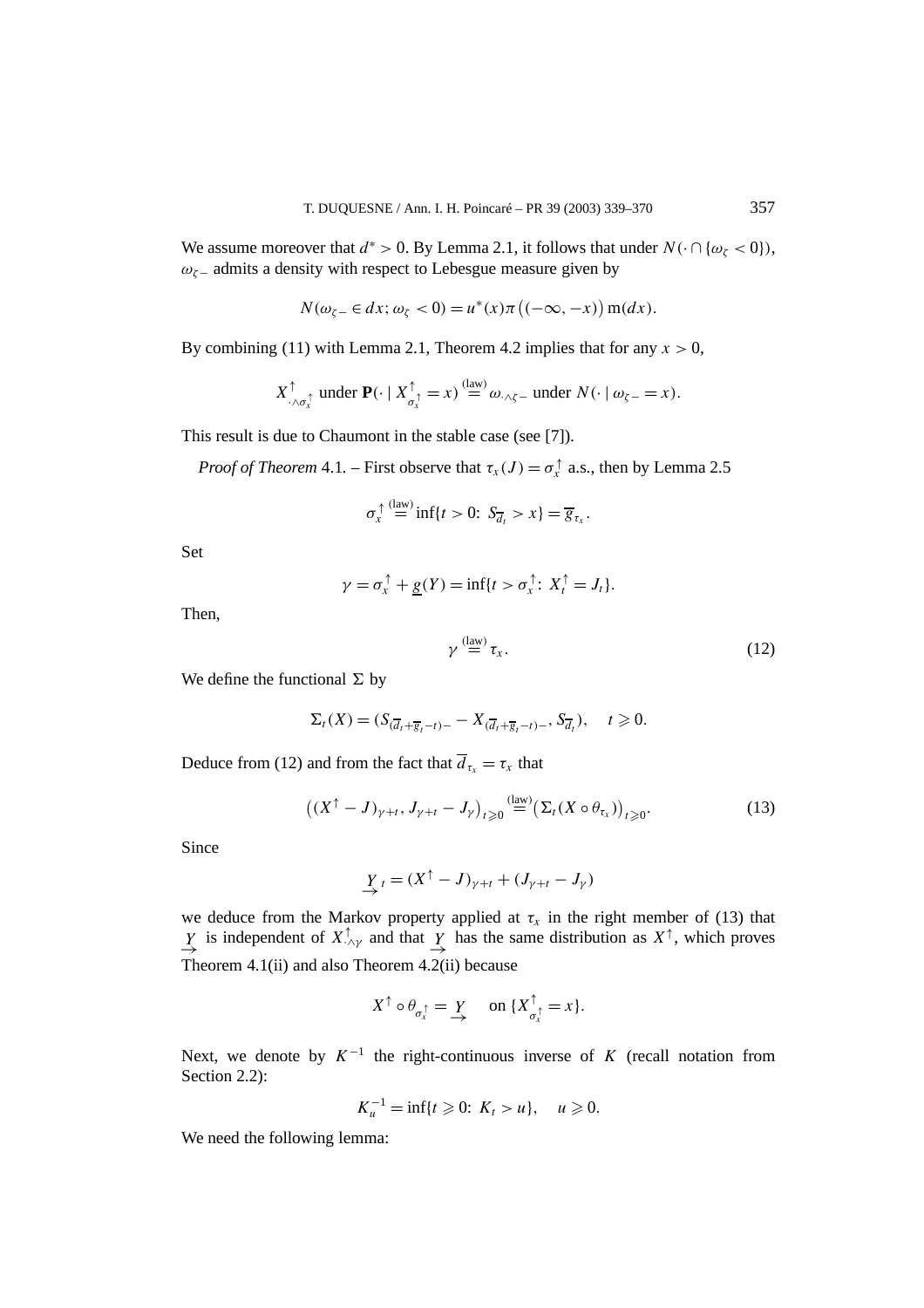We assume moreover that  $d^* > 0$ . By Lemma 2.1, it follows that under  $N(\cdot \cap {\omega_{\zeta} < 0})$ , *ωζ*<sup>−</sup> admits a density with respect to Lebesgue measure given by

$$
N(\omega_{\zeta-} \in dx; \omega_{\zeta} < 0) = u^*(x)\pi\left((-\infty, -x)\right) \operatorname{m}(dx).
$$

By combining (11) with Lemma 2.1, Theorem 4.2 implies that for any  $x > 0$ ,

$$
X_{\cdot \wedge \sigma_x^{\uparrow}}^{\uparrow} \text{ under } \mathbf{P}(\cdot \mid X_{\sigma_x^{\uparrow}}^{\uparrow} = x) \stackrel{\text{(law)}}{=} \omega_{\cdot \wedge \zeta} \text{ under } N(\cdot \mid \omega_{\zeta} = x).
$$

This result is due to Chaumont in the stable case (see [7]).

*Proof of Theorem* 4.1. – First observe that  $\tau_x(J) = \sigma_x^{\uparrow}$  a.s., then by Lemma 2.5

$$
\sigma_x^{\uparrow} \stackrel{\text{(law)}}{=} \inf\{t > 0: S_{\overline{d}_t} > x\} = \overline{g}_{\tau_x}.
$$

Set

$$
\gamma = \sigma_x^{\uparrow} + \underline{g}(Y) = \inf\{t > \sigma_x^{\uparrow} : X_t^{\uparrow} = J_t\}.
$$

Then,

$$
\gamma \stackrel{\text{(law)}}{=} \tau_x. \tag{12}
$$

We define the functional  $\Sigma$  by

$$
\Sigma_t(X)=(S_{(\overline{d}_t+\overline{g}_t-t)-}-X_{(\overline{d}_t+\overline{g}_t-t)-},S_{\overline{d}_t}),\quad t\geqslant 0.
$$

Deduce from (12) and from the fact that  $\overline{d}_{\tau_x} = \tau_x$  that

$$
\left( (X^{\uparrow} - J)_{\gamma + t}, J_{\gamma + t} - J_{\gamma} \right)_{t \geq 0} \stackrel{\text{(law)}}{=} \left( \Sigma_t (X \circ \theta_{\tau_x}) \right)_{t \geq 0}.
$$
\n(13)

Since

$$
\underline{Y}_{t} = (X^{\uparrow} - J)_{\gamma+t} + (J_{\gamma+t} - J_{\gamma})
$$

we deduce from the Markov property applied at  $\tau_x$  in the right member of (13) that *Y* is independent of  $X^{\uparrow}_{\cdot \wedge \gamma}$  and that  $\frac{Y}{\rightarrow}$  has the same distribution as  $X^{\uparrow}$ , which proves Theorem 4.1(ii) and also Theorem 4.2(ii) because

$$
X^{\uparrow} \circ \theta_{\sigma_x^{\uparrow}} = \underline{Y} \quad \text{ on } \{X^{\uparrow}_{\sigma_x^{\uparrow}} = x\}.
$$

Next, we denote by  $K^{-1}$  the right-continuous inverse of *K* (recall notation from Section 2.2):

$$
K_u^{-1} = \inf\{t \ge 0: \ K_t > u\}, \quad u \ge 0.
$$

We need the following lemma: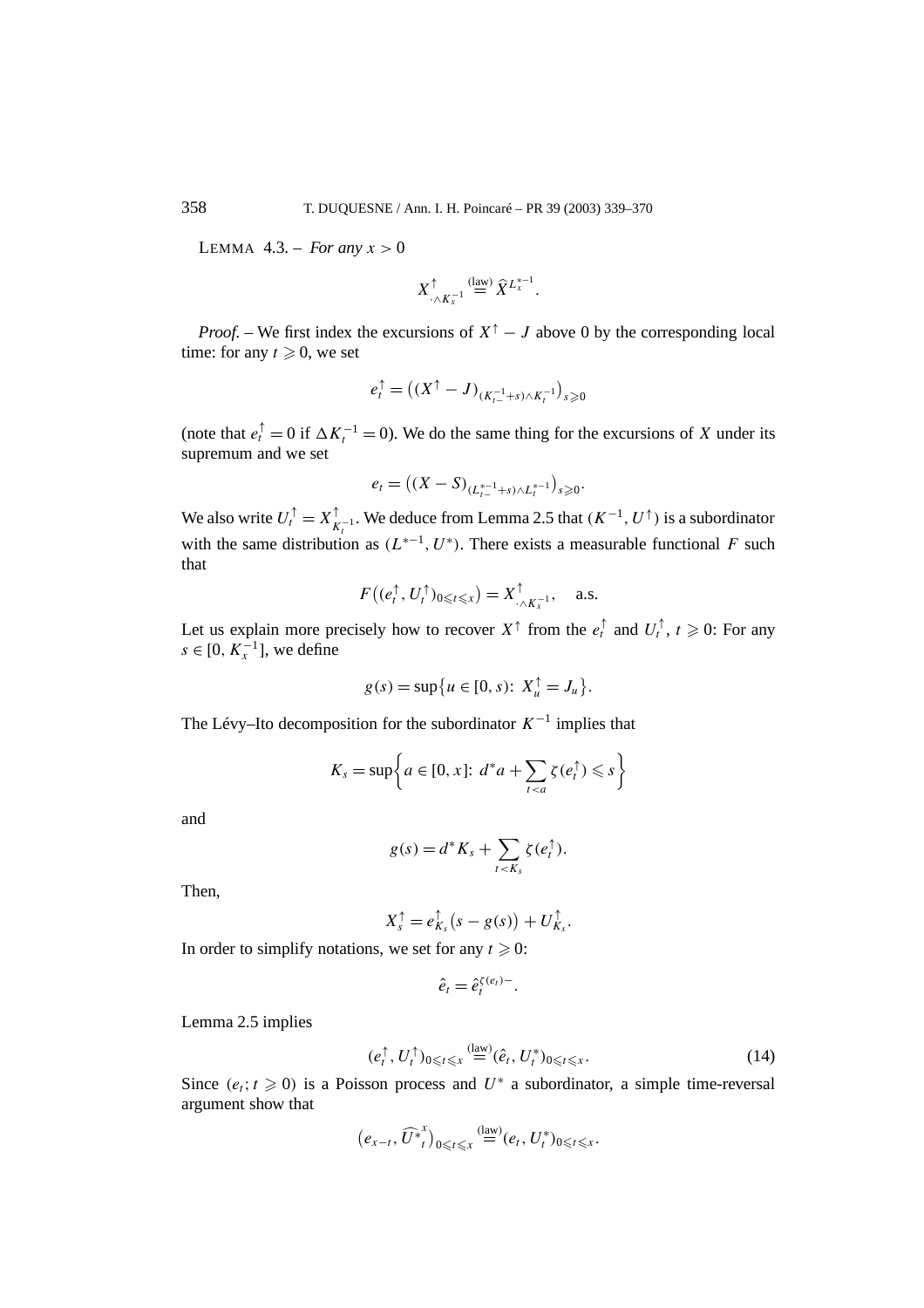LEMMA  $4.3$ . – *For any*  $x > 0$ 

$$
X_{\cdot \wedge K_{x}^{-1}}^{\uparrow} \stackrel{\text{(law)}}{=} \widehat{X}^{L_{x}^{*-1}}.
$$

*Proof.* – We first index the excursions of  $X^{\dagger} - J$  above 0 by the corresponding local time: for any  $t \ge 0$ , we set

$$
e_t^{\uparrow} = ((X^{\uparrow} - J)_{(K_{t-}^{-1} + s) \wedge K_t^{-1}})_{s \geq 0}
$$

(note that  $e_t^{\uparrow} = 0$  if  $\Delta K_t^{-1} = 0$ ). We do the same thing for the excursions of *X* under its supremum and we set

$$
e_t = ((X - S)_{(L^{*-1}_{t-} + s) \wedge L^{*-1}_t})_{s \geq 0}.
$$

We also write  $U_t^{\uparrow} = X_{K_t^{-1}}^{\uparrow}$ . We deduce from Lemma 2.5 that  $(K^{-1}, U^{\uparrow})$  is a subordinator with the same distribution as  $(L^{*-1}, U^*)$ . There exists a measurable functional *F* such that

$$
F\big((e_t^{\uparrow}, U_t^{\uparrow})_{0\leqslant t\leqslant x}\big)=X^{\uparrow}_{\cdot\wedge K_x^{-1}}, \quad \text{a.s.}
$$

Let us explain more precisely how to recover  $X^{\uparrow}$  from the  $e_t^{\uparrow}$  and  $U_t^{\uparrow}$ ,  $t \geq 0$ : For any  $s \in [0, K<sub>x</sub><sup>-1</sup>]$ , we define

$$
g(s) = \sup \{ u \in [0, s) : X_u^{\uparrow} = J_u \}.
$$

The Lévy–Ito decomposition for the subordinator  $K^{-1}$  implies that

$$
K_s = \sup \bigg\{ a \in [0, x] \colon d^* a + \sum_{t < a} \zeta(e_t^{\uparrow}) \leqslant s \bigg\}
$$

and

$$
g(s) = d^*K_s + \sum_{t < K_s} \zeta(e_t^{\uparrow}).
$$

Then,

$$
X_{s}^{\uparrow}=e_{K_{s}}^{\uparrow}(s-g(s))+U_{K_{s}}^{\uparrow}.
$$

In order to simplify notations, we set for any  $t \ge 0$ :

$$
\hat{e}_t = \hat{e}_t^{\zeta(e_t)-}.
$$

Lemma 2.5 implies

$$
(e_t^\uparrow, U_t^\uparrow)_{0 \le t \le x} \stackrel{\text{(law)}}{=} (\hat{e}_t, U_t^*)_{0 \le t \le x}.
$$

Since  $(e_t; t \geq 0)$  is a Poisson process and  $U^*$  a subordinator, a simple time-reversal argument show that

$$
\big(e_{x-t}, \widehat{U^*}^x_t\big)_{0\leq t\leqslant x} \stackrel{\text{(law)}}{=} (e_t, U^*_t)_{0\leqslant t\leqslant x}.
$$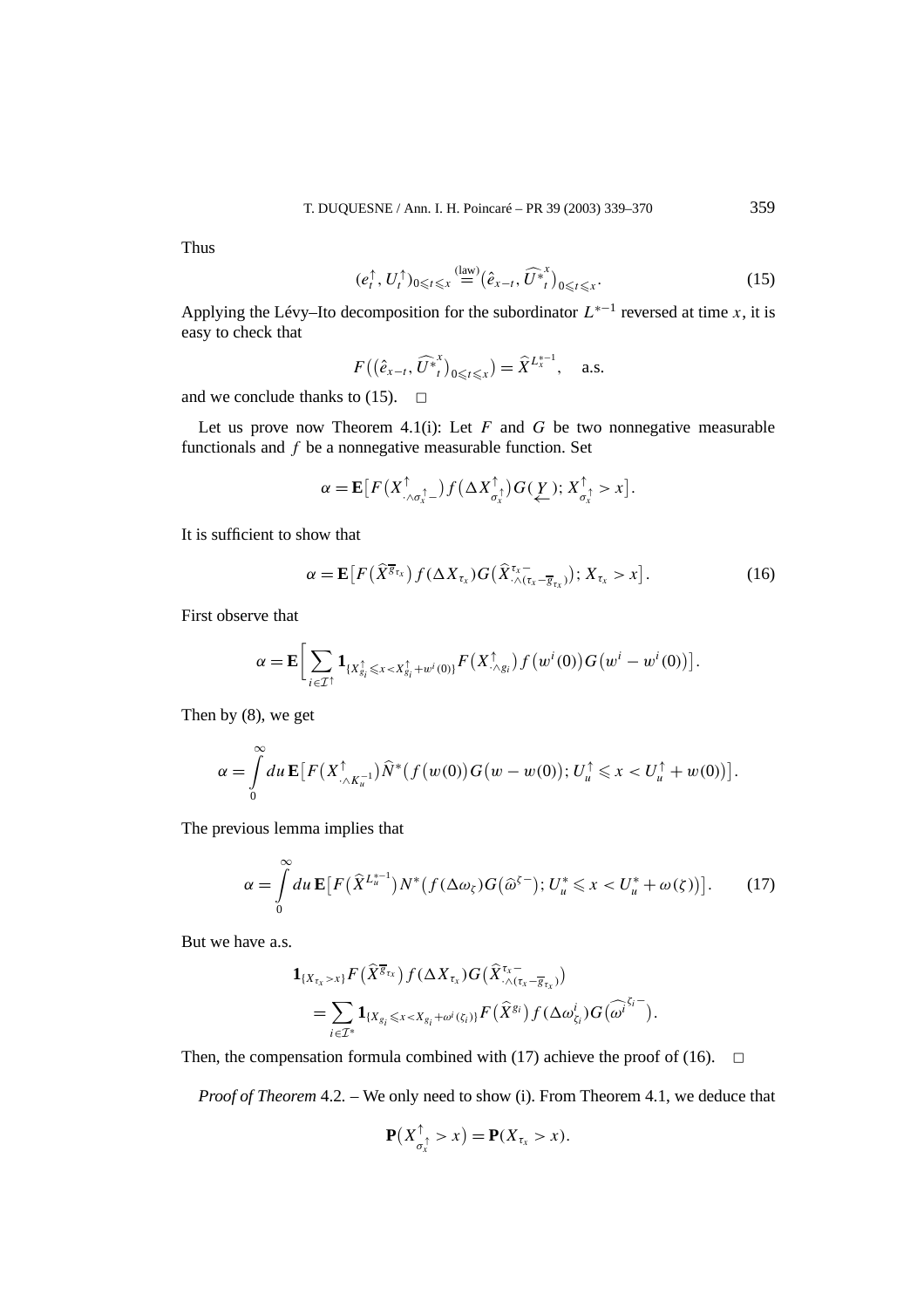Thus

$$
(e_t^\uparrow, U_t^\uparrow)_{0\leq t\leq x} \stackrel{\text{(law)}}{=} \left(\hat{e}_{x-t}, \widehat{U}_{t}^*\right)_{0\leq t\leq x}.\tag{15}
$$

Applying the Lévy–Ito decomposition for the subordinator  $L^{*-1}$  reversed at time *x*, it is easy to check that

$$
F((\hat{e}_{x-t}, \widehat{U}_{t}^{*})_{0\leqslant t\leqslant x})=\widehat{X}^{L_{x}^{*-1}}, \quad \text{a.s.}
$$

and we conclude thanks to (15).  $\Box$ 

Let us prove now Theorem 4.1(i): Let  $F$  and  $G$  be two nonnegative measurable functionals and *f* be a nonnegative measurable function. Set

$$
\alpha = \mathbf{E}\big[F\big(X_{\cdot \wedge \sigma_x^{\uparrow}}^{\uparrow}\big) f\big(\Delta X_{\sigma_x^{\uparrow}}^{\uparrow}\big)G(\underline{Y}); X_{\sigma_x^{\uparrow}}^{\uparrow} > x\big].
$$

It is sufficient to show that

$$
\alpha = \mathbf{E}\big[F\big(\widehat{X}^{\overline{g}_{\tau_x}}\big)f(\Delta X_{\tau_x})G\big(\widehat{X}^{\tau_x-}_{\cdot \wedge(\tau_x-\overline{g}_{\tau_x})}\big); X_{\tau_x} > x\big].\tag{16}
$$

First observe that

$$
\alpha = \mathbf{E} \Big[ \sum_{i \in \mathcal{I}^{\uparrow}} \mathbf{1}_{\{X_{g_i}^{\uparrow} \leq x < X_{g_i}^{\uparrow} + w^i(0)\}} F\big(X_{\cdot \wedge g_i}^{\uparrow}\big) f\big(w^i(0)\big) G\big(w^i - w^i(0)\big) \Big].
$$

Then by (8), we get

$$
\alpha = \int\limits_0^\infty du \, \mathbf{E} \big[ F\big(X_{\cdot \wedge K_{u}}^\uparrow \big) \widehat{N}^*\big(f\big(w(0)\big)G\big(w - w(0)\big); U_{u}^\uparrow \leq x < U_{u}^\uparrow + w(0)\big) \big].
$$

The previous lemma implies that

$$
\alpha = \int_{0}^{\infty} du \, \mathbf{E} \big[ F\big(\widehat{X}^{L_{u}^{*-1}}\big) N^*\big(f(\Delta \omega_{\zeta}) G\big(\widehat{\omega}^{\zeta-}\big); U_{u}^{*} \leq x < U_{u}^{*} + \omega(\zeta)\big) \big].\tag{17}
$$

But we have a.s.

$$
\mathbf{1}_{\{X_{\tau_x} > x\}} F\left(\widehat{X}^{\overline{g}_{\tau_x}}\right) f(\Delta X_{\tau_x}) G\left(\widehat{X}_{\cdot \wedge (\tau_x - \overline{g}_{\tau_x})}^{\tau_x}\right) \n= \sum_{i \in \mathcal{I}^*} \mathbf{1}_{\{X_{g_i} \leq x < X_{g_i} + \omega^i(\zeta_i)\}} F\left(\widehat{X}^{g_i}\right) f(\Delta \omega_{\zeta_i}^i) G\left(\widehat{\omega^i}^{\zeta_i -}\right).
$$

Then, the compensation formula combined with (17) achieve the proof of (16).  $\Box$ 

*Proof of Theorem* 4.2*. –* We only need to show (i). From Theorem 4.1, we deduce that

$$
\mathbf{P}(X_{\sigma_x^{\uparrow}}^{\uparrow} > x) = \mathbf{P}(X_{\tau_x} > x).
$$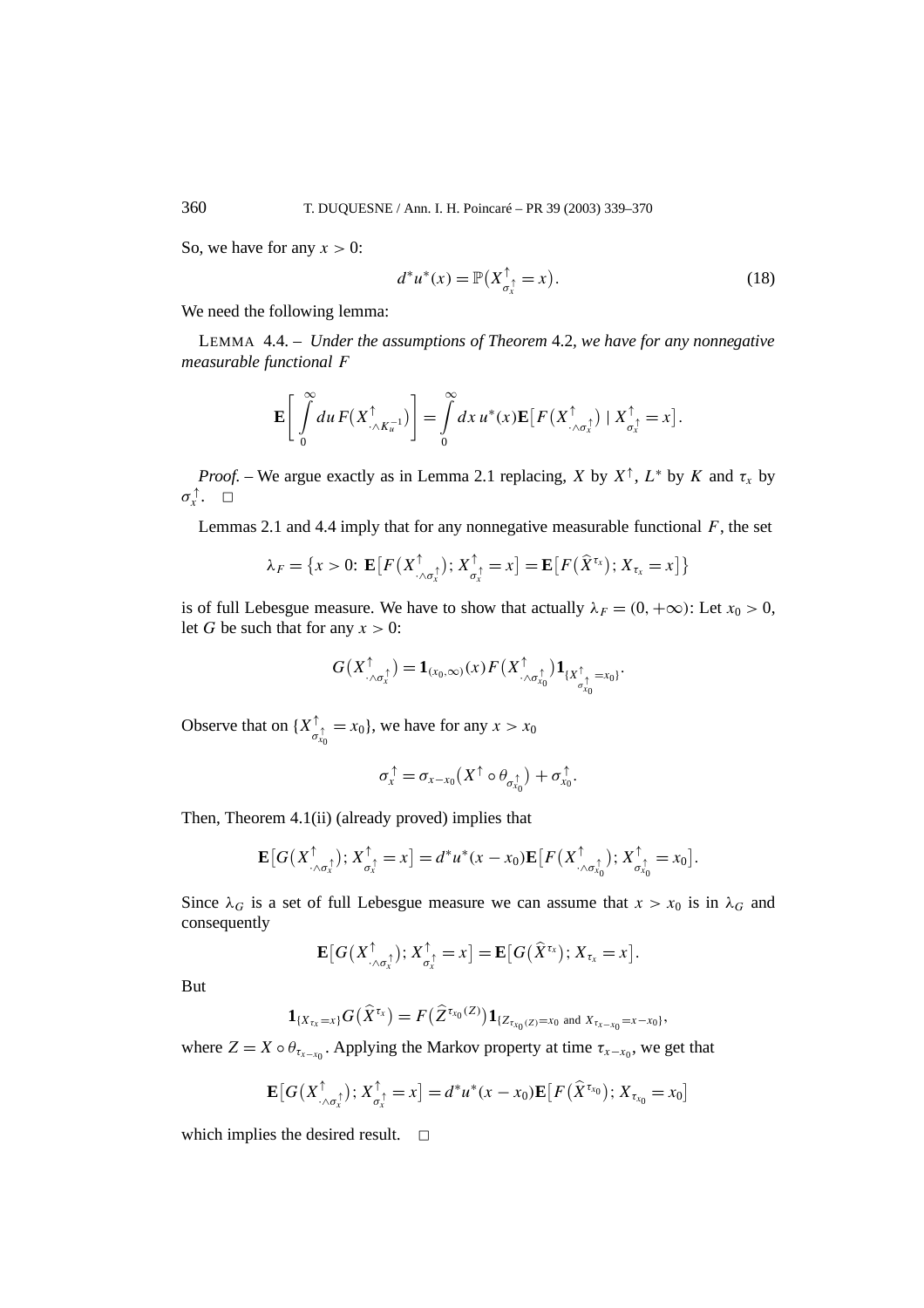So, we have for any  $x > 0$ :

$$
d^*u^*(x) = \mathbb{P}(X_{\sigma_x^+}^\uparrow = x). \tag{18}
$$

We need the following lemma:

LEMMA 4.4. – *Under the assumptions of Theorem* 4.2*, we have for any nonnegative measurable functional F*

$$
\mathbf{E}\left[\int\limits_0^\infty du\,F(X_{\cdot\wedge K_{u}^{-1}}^\uparrow)\right]=\int\limits_0^\infty dx\,u^*(x)\mathbf{E}\big[F(X_{\cdot\wedge\sigma_x^{\uparrow}}^\uparrow)\mid X_{\sigma_x^{\uparrow}}^\uparrow=x\big].
$$

*Proof.* – We argue exactly as in Lemma 2.1 replacing, *X* by  $X^{\uparrow}$ ,  $L^*$  by *K* and  $\tau_x$  by *σ*<sup>†</sup>, □

Lemmas 2.1 and 4.4 imply that for any nonnegative measurable functional *F*, the set

$$
\lambda_F = \{x > 0: \mathbf{E}\big[F(X_{\cdot \wedge \sigma_x^{\uparrow}}^{\uparrow}); X_{\sigma_x^{\uparrow}}^{\uparrow} = x\big] = \mathbf{E}\big[F(\widehat{X}^{\tau_x}); X_{\tau_x} = x\big]\big\}
$$

is of full Lebesgue measure. We have to show that actually  $\lambda_F = (0, +\infty)$ : Let  $x_0 > 0$ , let *G* be such that for any  $x > 0$ :

$$
G(X^{\uparrow}_{\cdot \wedge \sigma_x^{\uparrow}}) = \mathbf{1}_{(x_0,\infty)}(x) F(X^{\uparrow}_{\cdot \wedge \sigma_{x_0}^{\uparrow}}) \mathbf{1}_{\{X^{\uparrow}_{\sigma_{x_0}^{\uparrow}} = x_0\}}.
$$

Observe that on  $\{X^{\uparrow}_{\sigma_{x_0}^{\uparrow}} = x_0\}$ , we have for any  $x > x_0$ 

$$
\sigma_x^{\uparrow} = \sigma_{x-x_0}(X^{\uparrow} \circ \theta_{\sigma_{x_0}^{\uparrow}}) + \sigma_{x_0}^{\uparrow}.
$$

Then, Theorem 4.1(ii) (already proved) implies that

$$
\mathbf{E}\big[G\big(X_{\cdot\wedge\sigma_x^{\uparrow}}^{\uparrow}\big);X_{\sigma_x^{\uparrow}}^{\uparrow}=x\big]=d^*u^*(x-x_0)\mathbf{E}\big[F\big(X_{\cdot\wedge\sigma_{x_0}^{\uparrow}}^{\uparrow}\big);X_{\sigma_{x_0}^{\uparrow}}^{\uparrow}=x_0\big].
$$

Since  $\lambda_G$  is a set of full Lebesgue measure we can assume that  $x > x_0$  is in  $\lambda_G$  and consequently

$$
\mathbf{E}[G(X_{\cdot\wedge\sigma_x^{\uparrow}}^{\uparrow});X_{\sigma_x^{\uparrow}}^{\uparrow}=x]=\mathbf{E}[G(\widehat{X}^{\tau_x});X_{\tau_x}=x].
$$

But

$$
\mathbf{1}_{\{X_{\tau_x}=x\}}G(\widehat{X}^{\tau_x})=F(\widehat{Z}^{\tau_{x_0}(Z)})\mathbf{1}_{\{Z_{\tau_{x_0}(Z)}=x_0 \text{ and } X_{\tau_{x-x_0}=x-x_0\}},
$$

where  $Z = X \circ \theta_{\tau_{x-x_0}}$ . Applying the Markov property at time  $\tau_{x-x_0}$ , we get that

$$
\mathbf{E}\big[G\big(X_{\cdot\wedge\sigma_x^{\uparrow}}^{\uparrow}\big);X_{\sigma_x^{\uparrow}}^{\uparrow}=x\big]=d^*u^*(x-x_0)\mathbf{E}\big[F\big(\widehat{X}^{\tau_{x_0}}\big);X_{\tau_{x_0}}=x_0\big]
$$

which implies the desired result.  $\square$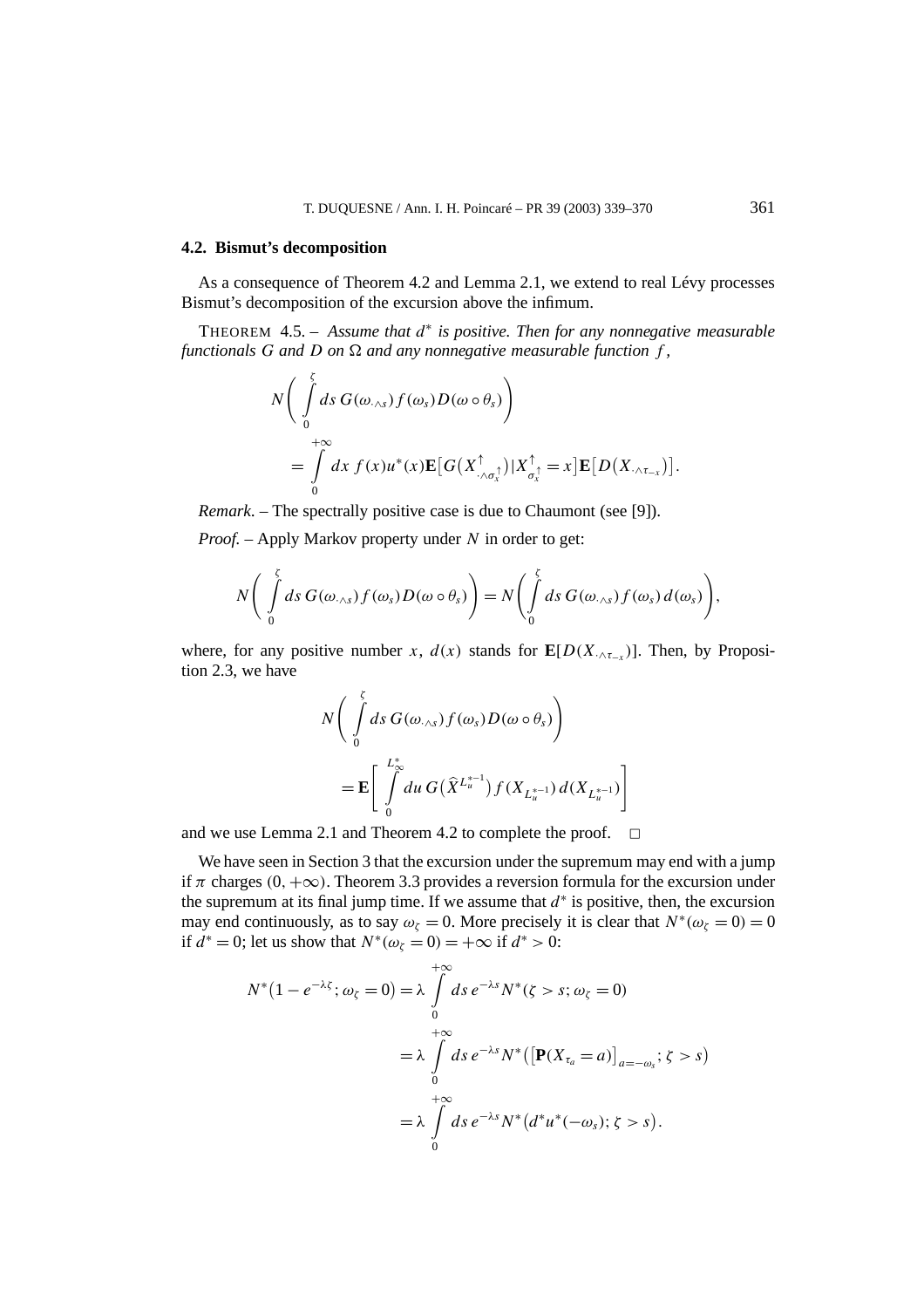### **4.2. Bismut's decomposition**

As a consequence of Theorem 4.2 and Lemma 2.1, we extend to real Lévy processes Bismut's decomposition of the excursion above the infimum.

THEOREM 4.5. – *Assume that d*<sup>∗</sup> *is positive. Then for any nonnegative measurable functionals G and D on*  $\Omega$  *and any nonnegative measurable function f*,

$$
N\left(\int\limits_{0}^{\zeta}ds\ G(\omega_{\cdot\wedge s})f(\omega_{s})D(\omega\circ\theta_{s})\right)\\ =\int\limits_{0}^{+\infty}dx\ f(x)u^{*}(x)\mathbf{E}\big[G(X_{\cdot\wedge\sigma_{x}}^{\uparrow})|X_{\sigma_{x}}^{\uparrow}=x\big]\mathbf{E}\big[D(X_{\cdot\wedge\tau_{-x}})\big].
$$

*Remark*. – The spectrally positive case is due to Chaumont (see [9]).

*Proof. –* Apply Markov property under *N* in order to get:

$$
N\bigg(\int\limits_{0}^{\zeta}ds\,G(\omega_{\cdot\wedge s})f(\omega_{s})D(\omega\circ\theta_{s})\bigg)=N\bigg(\int\limits_{0}^{\zeta}ds\,G(\omega_{\cdot\wedge s})f(\omega_{s})d(\omega_{s})\bigg),
$$

where, for any positive number *x*,  $d(x)$  stands for  $\mathbf{E}[D(X_{\cdot\wedge\tau_{-x}})]$ . Then, by Proposition 2.3, we have

$$
N\left(\int\limits_{0}^{\zeta}ds\,G(\omega_{\cdot\wedge s})f(\omega_{s})D(\omega\circ\theta_{s})\right)
$$
  
=
$$
\mathbf{E}\left[\int\limits_{0}^{L_{\infty}^{*}}du\,G(\widehat{X}^{L_{u}^{*-1}})f(X_{L_{u}^{*-1}})d(X_{L_{u}^{*-1}})\right]
$$

and we use Lemma 2.1 and Theorem 4.2 to complete the proof.  $\Box$ 

We have seen in Section 3 that the excursion under the supremum may end with a jump if  $\pi$  charges  $(0, +\infty)$ . Theorem 3.3 provides a reversion formula for the excursion under the supremum at its final jump time. If we assume that *d*<sup>∗</sup> is positive, then, the excursion may end continuously, as to say  $\omega_{\zeta} = 0$ . More precisely it is clear that  $N^*(\omega_{\zeta} = 0) = 0$ if  $d^* = 0$ ; let us show that  $N^*(\omega_\zeta = 0) = +\infty$  if  $d^* > 0$ :

$$
N^*(1 - e^{-\lambda \zeta}; \omega_{\zeta} = 0) = \lambda \int_0^{+\infty} ds \, e^{-\lambda s} N^*(\zeta > s; \omega_{\zeta} = 0)
$$
  
=  $\lambda \int_0^{+\infty} ds \, e^{-\lambda s} N^*([\mathbf{P}(X_{\tau_a} = a)]_{a=-\omega_s}; \zeta > s)$   
=  $\lambda \int_0^{+\infty} ds \, e^{-\lambda s} N^*(d^*u^*(-\omega_s); \zeta > s).$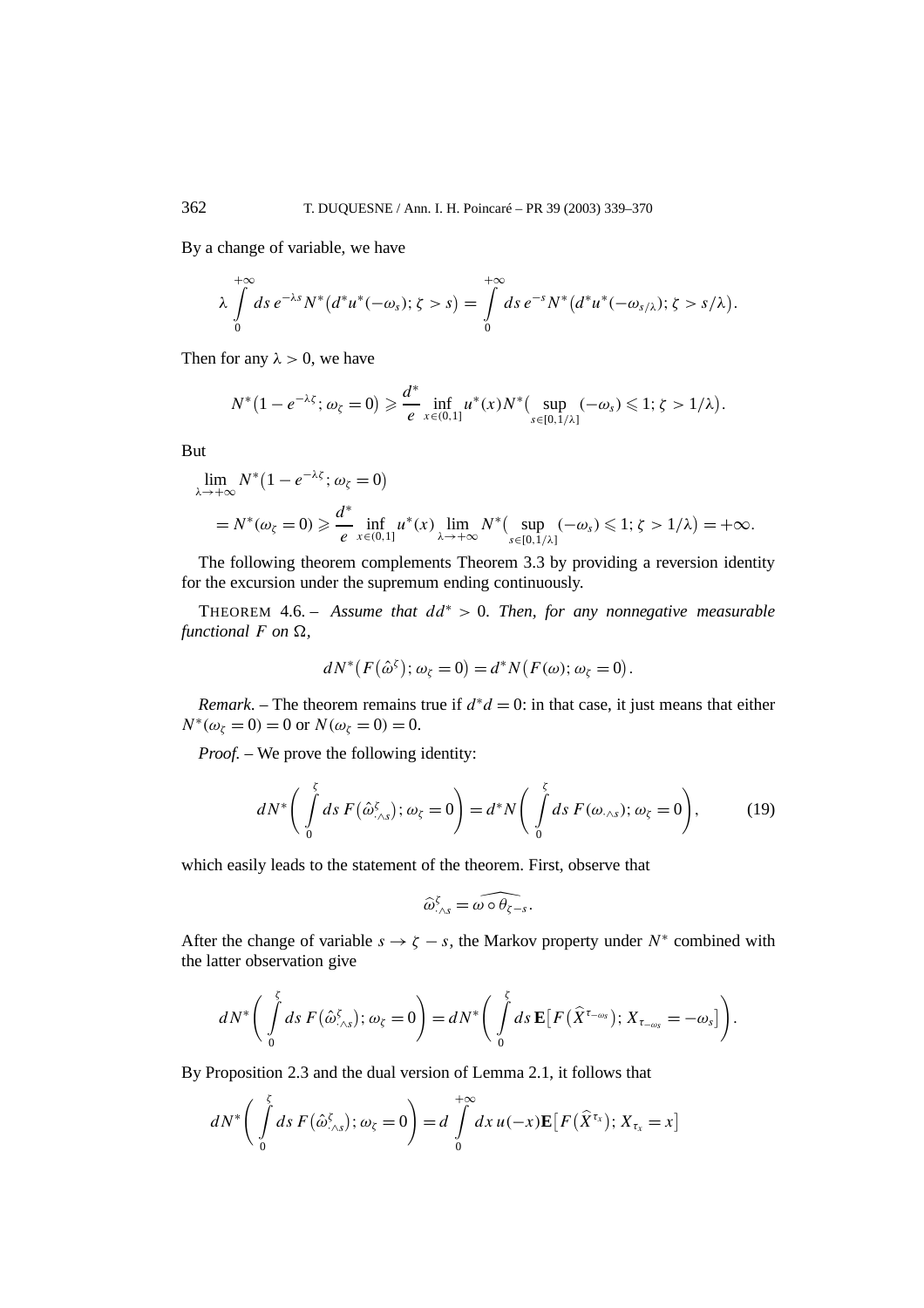By a change of variable, we have

$$
\lambda \int\limits_{0}^{+\infty} ds \, e^{-\lambda s} N^{*} \big( d^{*} u^{*}(-\omega_{s}); \zeta > s \big) = \int\limits_{0}^{+\infty} ds \, e^{-s} N^{*} \big( d^{*} u^{*}(-\omega_{s/\lambda}); \zeta > s/\lambda \big).
$$

Then for any  $\lambda > 0$ , we have

$$
N^*(1-e^{-\lambda \zeta};\omega_{\zeta}=0)\geq \frac{d^*}{e}\inf_{x\in(0,1]}u^*(x)N^*\big(\sup_{s\in[0,1/\lambda]}(-\omega_s)\leq 1;\zeta>1/\lambda\big).
$$

But

$$
\lim_{\lambda \to +\infty} N^*(1 - e^{-\lambda \zeta}; \omega_{\zeta} = 0)
$$
\n
$$
= N^*(\omega_{\zeta} = 0) \ge \frac{d^*}{e} \inf_{x \in (0,1]} u^*(x) \lim_{\lambda \to +\infty} N^*(\sup_{s \in [0,1/\lambda]} (-\omega_s) \le 1; \zeta > 1/\lambda) = +\infty.
$$

The following theorem complements Theorem 3.3 by providing a reversion identity for the excursion under the supremum ending continuously.

THEOREM 4.6. – *Assume that dd*<sup>∗</sup> *>* 0*. Then, for any nonnegative measurable functional*  $F$  *on*  $\Omega$ *,* 

$$
dN^*(F(\hat{\omega}^{\zeta}); \omega_{\zeta} = 0) = d^*N(F(\omega); \omega_{\zeta} = 0).
$$

*Remark*. – The theorem remains true if  $d^*d = 0$ : in that case, it just means that either  $N^*(\omega_{\zeta} = 0) = 0$  or  $N(\omega_{\zeta} = 0) = 0$ .

*Proof. –* We prove the following identity:

$$
dN^* \bigg( \int\limits_0^{\xi} ds \, F(\hat{\omega}_{\cdot \wedge s}^{\xi}); \omega_{\zeta} = 0 \bigg) = d^*N \bigg( \int\limits_0^{\xi} ds \, F(\omega_{\cdot \wedge s}); \omega_{\zeta} = 0 \bigg), \tag{19}
$$

which easily leads to the statement of the theorem. First, observe that

$$
\widehat{\omega}^\zeta_{\cdot \wedge s} = \widehat{\omega \circ \theta_{\zeta - s}}.
$$

After the change of variable  $s \rightarrow \zeta - s$ , the Markov property under  $N^*$  combined with the latter observation give

$$
dN^*\bigg(\int\limits_0^{\zeta}ds\,F\big(\hat{\omega}_{\cdot\wedge s}^{\zeta}\big);\omega_{\zeta}=0\bigg)=dN^*\bigg(\int\limits_0^{\zeta}ds\,\mathbf{E}\big[F\big(\widehat{X}^{\tau_{-\omega s}}\big);X_{\tau_{-\omega s}}=-\omega_s\big]\bigg).
$$

By Proposition 2.3 and the dual version of Lemma 2.1, it follows that

$$
dN^* \bigg( \int\limits_0^{\zeta} ds \, F(\hat{\omega}_{\cdot \wedge s}^{\zeta}); \omega_{\zeta} = 0 \bigg) = d \int\limits_0^{+\infty} dx \, u(-x) \mathbf{E} \big[ F(\hat{X}^{\tau_x}); X_{\tau_x} = x \big]
$$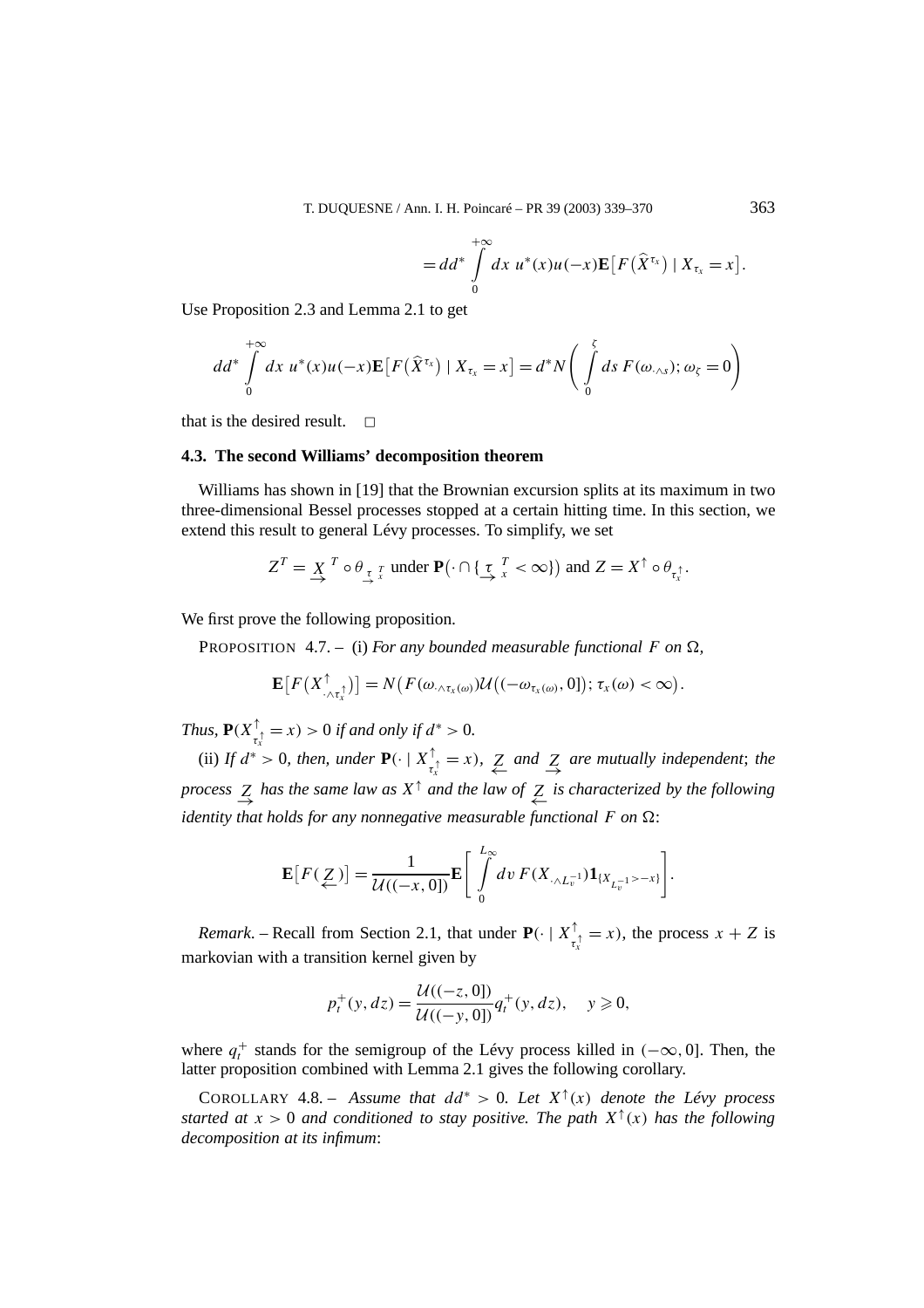$= dd^*\int^{+\infty}_{0}$ 

Use Proposition 2.3 and Lemma 2.1 to get

$$
dd^* \int\limits_{0}^{+\infty} dx \ u^*(x) u(-x) \mathbf{E} \big[ F(\widehat{X}^{\tau_x}) \mid X_{\tau_x} = x \big] = d^* N \bigg( \int\limits_{0}^{x} ds \ F(\omega_{\cdot \wedge s}); \omega_{\zeta} = 0 \bigg)
$$

0

that is the desired result.  $\Box$ 

## **4.3. The second Williams' decomposition theorem**

Williams has shown in [19] that the Brownian excursion splits at its maximum in two three-dimensional Bessel processes stopped at a certain hitting time. In this section, we extend this result to general Lévy processes. To simplify, we set

$$
Z^T = \underset{\rightarrow}{X}^T \circ \theta_{\underset{\rightarrow}{\tau}}^T \underset{x}{\text{ under }} \mathbf{P}(\cdot \cap \{\underset{x}{\tau}^T < \infty\}) \text{ and } Z = X^\uparrow \circ \theta_{\tau_x^{\uparrow}}.
$$

We first prove the following proposition.

PROPOSITION 4.7. – (i) For any bounded measurable functional F on  $\Omega$ ,

$$
\mathbf{E}\big[F\big(X_{\cdot\wedge\tau_x^{\uparrow}}^{\uparrow}\big)\big]=N\big(F(\omega_{\cdot\wedge\tau_x(\omega)})\mathcal{U}\big((-\omega_{\tau_x(\omega)},0]\big);\,\tau_x(\omega)<\infty\big).
$$

*Thus,*  $P(X_{\tau_x^{\uparrow}}^{\uparrow} = x) > 0$  *if and only if*  $d^* > 0$ *.* 

(ii) *If*  $d^* > 0$ *, then, under*  $\mathbf{P}(\cdot | X_{\tau_x^{\uparrow}}^{\uparrow} = x)$ *,*  $\sum_{\leftarrow}$  and  $\sum_{\rightarrow}$  are mutually independent; the *process*  $\leq$  *has the same law as*  $X^{\uparrow}$  *and the law of*  $\leq$  *is characterized by the following identity that holds for any nonnegative measurable functional*  $F$  *on*  $\Omega$ :

$$
\mathbf{E}[F(\underline{Z})] = \frac{1}{\mathcal{U}((-x,0])} \mathbf{E}\left[\int_{0}^{L_{\infty}} dv F(X_{\cdot \wedge L_{v}^{-1}}) \mathbf{1}_{\{X_{L_{v}^{-1}} > -x\}}\right].
$$

*Remark*. – Recall from Section 2.1, that under  $P(\cdot | X^{\uparrow}_{\tau_x^{\uparrow}} = x)$ , the process  $x + Z$  is markovian with a transition kernel given by

$$
p_t^+(y, dz) = \frac{\mathcal{U}((-z, 0))}{\mathcal{U}((-y, 0))} q_t^+(y, dz), \quad y \geq 0,
$$

where  $q_t^+$  stands for the semigroup of the Lévy process killed in  $(-\infty, 0]$ . Then, the latter proposition combined with Lemma 2.1 gives the following corollary.

COROLLARY 4.8. – *Assume that*  $dd^* > 0$ . Let  $X^{\uparrow}(x)$  denote the Lévy process *started at*  $x > 0$  *and conditioned to stay positive. The path*  $X^{\uparrow}(x)$  *has the following decomposition at its infimum*: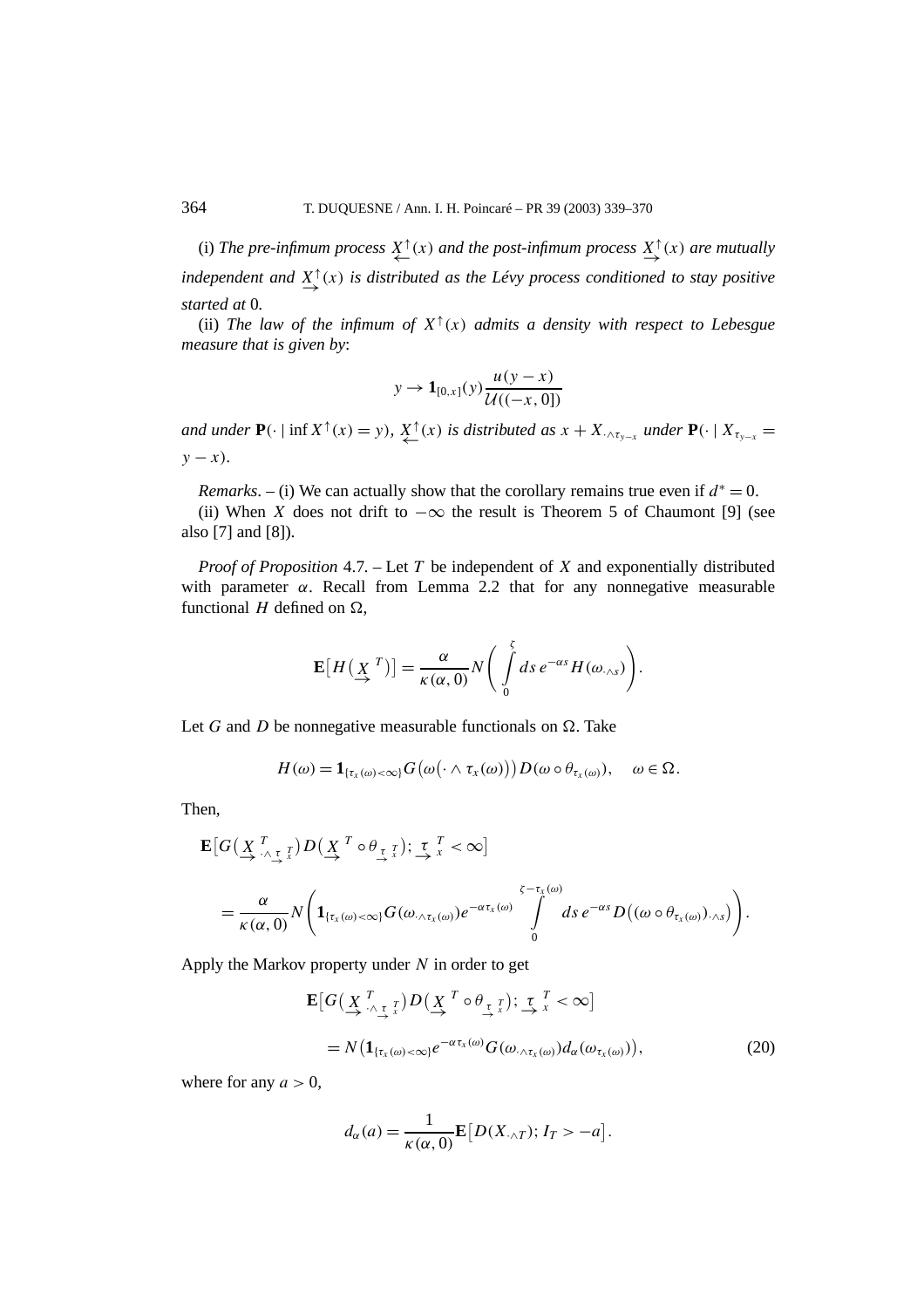(i) *The pre-infimum process*  $\overline{X}^{\uparrow}(x)$  *and the post-infimum process*  $\overline{X}^{\uparrow}(x)$  *are mutually independent and X*<sup>↑</sup> <sup>→</sup>*(x) is distributed as the Lévy process conditioned to stay positive started at* 0*.*

(ii) *The law of the infimum of*  $X^{\uparrow}(x)$  *admits a density with respect to Lebesgue measure that is given by*:

$$
y \to \mathbf{1}_{[0,x]}(y) \frac{u(y-x)}{\mathcal{U}((-x,0])}
$$

*and under*  $P(\cdot | \inf X^{\uparrow}(x) = y)$ *,*  $\sum_{\leftarrow}^{x} f(x)$  *is distributed as*  $x + X_{\cdot \wedge \tau_{y-x}}$  *under*  $P(\cdot | X_{\tau_{y-x}} = y)$ *y* − *x*)*.* 

*Remarks*. – (i) We can actually show that the corollary remains true even if  $d^* = 0$ .

(ii) When *X* does not drift to  $-\infty$  the result is Theorem 5 of Chaumont [9] (see also [7] and [8]).

*Proof of Proposition* 4.7*. –* Let *T* be independent of *X* and exponentially distributed with parameter  $\alpha$ . Recall from Lemma 2.2 that for any nonnegative measurable functional  $H$  defined on  $\Omega$ ,

$$
\mathbf{E}[H(\underline{X}^T)] = \frac{\alpha}{\kappa(\alpha,0)} N\bigg(\int\limits_0^{\xi} ds \, e^{-\alpha s} H(\omega_{\cdot \wedge s})\bigg).
$$

Let *G* and *D* be nonnegative measurable functionals on  $\Omega$ . Take

$$
H(\omega) = \mathbf{1}_{\{\tau_x(\omega) < \infty\}} G\big(\omega(\cdot \wedge \tau_x(\omega))\big) D(\omega \circ \theta_{\tau_x(\omega)}), \quad \omega \in \Omega.
$$

Then,

$$
\mathbf{E}\big[G\big(\underline{X}_{\lambda}^T, \underline{\tau}_{\lambda}^T\big)D\big(\underline{X}_{\lambda}^T\circ\theta_{\underline{\tau}}^T\big);\n\underline{\tau}_{\lambda}^T < \infty\big]\n= \frac{\alpha}{\kappa(\alpha,0)}N\bigg(\mathbf{1}_{\{\tau_x(\omega)<\infty\}}G(\omega,\Delta_{\tau_x(\omega)})e^{-\alpha\tau_x(\omega)}\int\limits_{0}^{\zeta-\tau_x(\omega)}ds\,e^{-\alpha s}D\big((\omega\circ\theta_{\tau_x(\omega)}),\Delta_s\big)\bigg).
$$

Apply the Markov property under *N* in order to get

$$
\mathbf{E}\big[G\big(\underset{\rightarrow}{X}\underset{\wedge}{\overset{T}{\underset{\sim}{\wedge}}\underset{\tau}{\downarrow}}\right]D\big(\underset{\rightarrow}{X}\overset{T}{\underset{\sim}{\wedge}}\theta\underset{\tau}{\underset{\tau}{\underset{\tau}{\wedge}}\right]};\ \underset{\sim}{\overset{T}{\underset{\sim}{\wedge}}\xi}}\times\infty\big]
$$
\n
$$
=N\big(\mathbf{1}_{\{\tau_x(\omega)<\infty\}}e^{-\alpha\tau_x(\omega)}G(\omega_{\wedge\tau_x(\omega)})d_{\alpha}(\omega_{\tau_x(\omega)})\big),\tag{20}
$$

where for any  $a > 0$ ,

$$
d_{\alpha}(a) = \frac{1}{\kappa(\alpha, 0)} \mathbf{E}\big[D(X_{\cdot \wedge T}); I_T > -a\big].
$$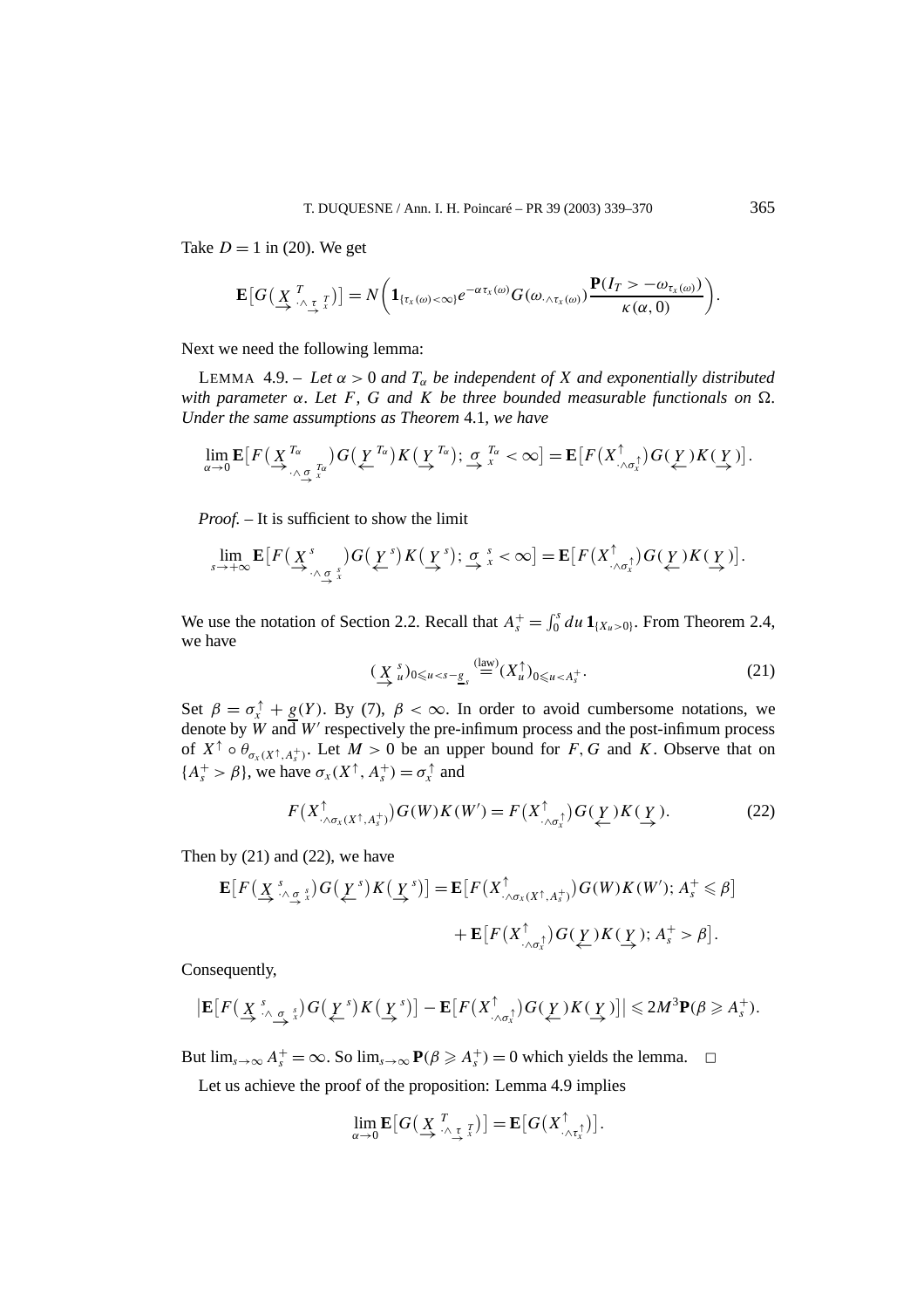Take  $D = 1$  in (20). We get

$$
\mathbf{E}\big[G\big(\underset{\sim}{X}\underset{\wedge\underset{\sim}{\tau}}{^{T}}_{\mathcal{X}}\big)\big]=N\bigg(\mathbf{1}_{\{\tau_{x}(\omega)<\infty\}}e^{-\alpha\tau_{x}(\omega)}G(\omega_{\wedge\tau_{x}(\omega)})\frac{\mathbf{P}(I_{T}>\omega_{\tau_{x}(\omega)})}{\kappa(\alpha,0)}\bigg).
$$

Next we need the following lemma:

LEMMA 4.9. – Let  $\alpha > 0$  and  $T_{\alpha}$  be independent of X and exponentially distributed *with parameter α. Let F, G and K be three bounded measurable functionals on . Under the same assumptions as Theorem* 4.1*, we have*

$$
\lim_{\alpha\to 0} \mathbf{E}\big[F\big(\underline{X}_{\stackrel{\tau_\alpha}{\to} \ldots \stackrel{\tau_\alpha}{\to}}^{\tau_\alpha}\big)G\big(\underline{Y}_{\stackrel{\tau_\alpha}{\to}}\big)K\big(\underline{Y}_{\stackrel{\tau_\alpha}{\to}}\big); \underset{\alpha}{\sigma}^{\tau_\alpha}_{x}<\infty\big] = \mathbf{E}\big[F\big(X_{\stackrel{\tau_\alpha}{\to} \sigma_x^{\uparrow}}\big)G\big(\underline{Y}_{\stackrel{\tau}{\to}}\big)K\big(\underline{Y}_{\stackrel{\tau}{\to}}\big)\big].
$$

*Proof. –* It is sufficient to show the limit

$$
\lim_{s\to+\infty}\mathbf{E}\big[F\big(\underline{X}^s\big)_{\Lambda_{\underline{\sigma},\overline{x}}}\big)G\big(\underline{Y}^s\big)K\big(\underline{Y}^s\big);\,\underline{\sigma},\,s^<\infty\big]=\mathbf{E}\big[F\big(X_{\Lambda_{\sigma,\overline{x}}}^\uparrow\big)G\big(\underline{Y}\big)K\big(\underline{Y}\big)\big].
$$

We use the notation of Section 2.2. Recall that  $A_s^+ = \int_0^s du \, \mathbf{1}_{\{X_u > 0\}}$ . From Theorem 2.4, we have

$$
(\underline{X}_{u}^{s})_{0\leqslant u
$$

Set  $\beta = \sigma_x^{\uparrow} + g(Y)$ . By (7),  $\beta < \infty$ . In order to avoid cumbersome notations, we denote by  $\hat{W}$  and  $W'$  respectively the pre-infimum process and the post-infimum process of  $X^{\uparrow} \circ \theta_{\sigma_X(X^{\uparrow}, A^+_S)}$ . Let  $M > 0$  be an upper bound for *F*, *G* and *K*. Observe that on  ${A_s^+ > \beta}$ , we have  $\sigma_x(X^{\uparrow}, A_s^+) = \sigma_x^{\uparrow}$  and

$$
F(X^{\uparrow}_{\cdot \wedge \sigma_x(X^{\uparrow}, A^+_s)}) G(W) K(W') = F(X^{\uparrow}_{\cdot \wedge \sigma_x^{\uparrow}}) G(\underline{Y}) K(\underline{Y}). \tag{22}
$$

Then by  $(21)$  and  $(22)$ , we have

$$
\mathbf{E}\big[F\big(\underline{X}^s, \underline{X}^s, \underline{X}^s\big)G\big(\underline{Y}^s\big)K\big(\underline{Y}^s\big)\big] = \mathbf{E}\big[F\big(X^{\uparrow}, \underline{X}^s, \underline{X}^s, \underline{X}^s\big)G(W)K(W'); A_s^+ \leq \beta\big] + \mathbf{E}\big[F\big(X^{\uparrow}, \underline{X}^s, \underline{X}^s\big)G(\underline{Y}^s)K(\underline{Y}^s); A_s^+ > \beta\big].
$$

Consequently,

$$
\left|\mathbf{E}\big[F\big(\underline{X}^{s}\underset{\wedge\Delta g}{\wedge}\underline{\sigma}_{s}\big)G\big(\underline{\underline{Y}}^{s}\big)K\big(\underline{\underline{Y}}^{s}\big)\big]-\mathbf{E}\big[F\big(X^{\uparrow}_{\cdot\wedge\sigma_{x}^{\uparrow}}\big)G\big(\underline{\underline{Y}}\big)K\big(\underline{\underline{Y}}\big)\big]\right|\leqslant 2M^{3}\mathbf{P}(\beta\geqslant A_{s}^{+}).
$$

But  $\lim_{s \to \infty} A_s^+ = \infty$ . So  $\lim_{s \to \infty} P(\beta \geq A_s^+) = 0$  which yields the lemma.  $\Box$ 

Let us achieve the proof of the proposition: Lemma 4.9 implies

$$
\lim_{\alpha\to 0} \mathbf{E}\big[G\big(\underset{\longrightarrow}{X}\underset{\wedge}{\overset{T}{\wedge}}\underset{\gamma}{\underset{\gamma}{\uparrow}}\big] \big] = \mathbf{E}\big[G\big(X\underset{\wedge}{\overset{\uparrow}{\wedge}}\underset{\gamma}{\downarrow}\big]\big].
$$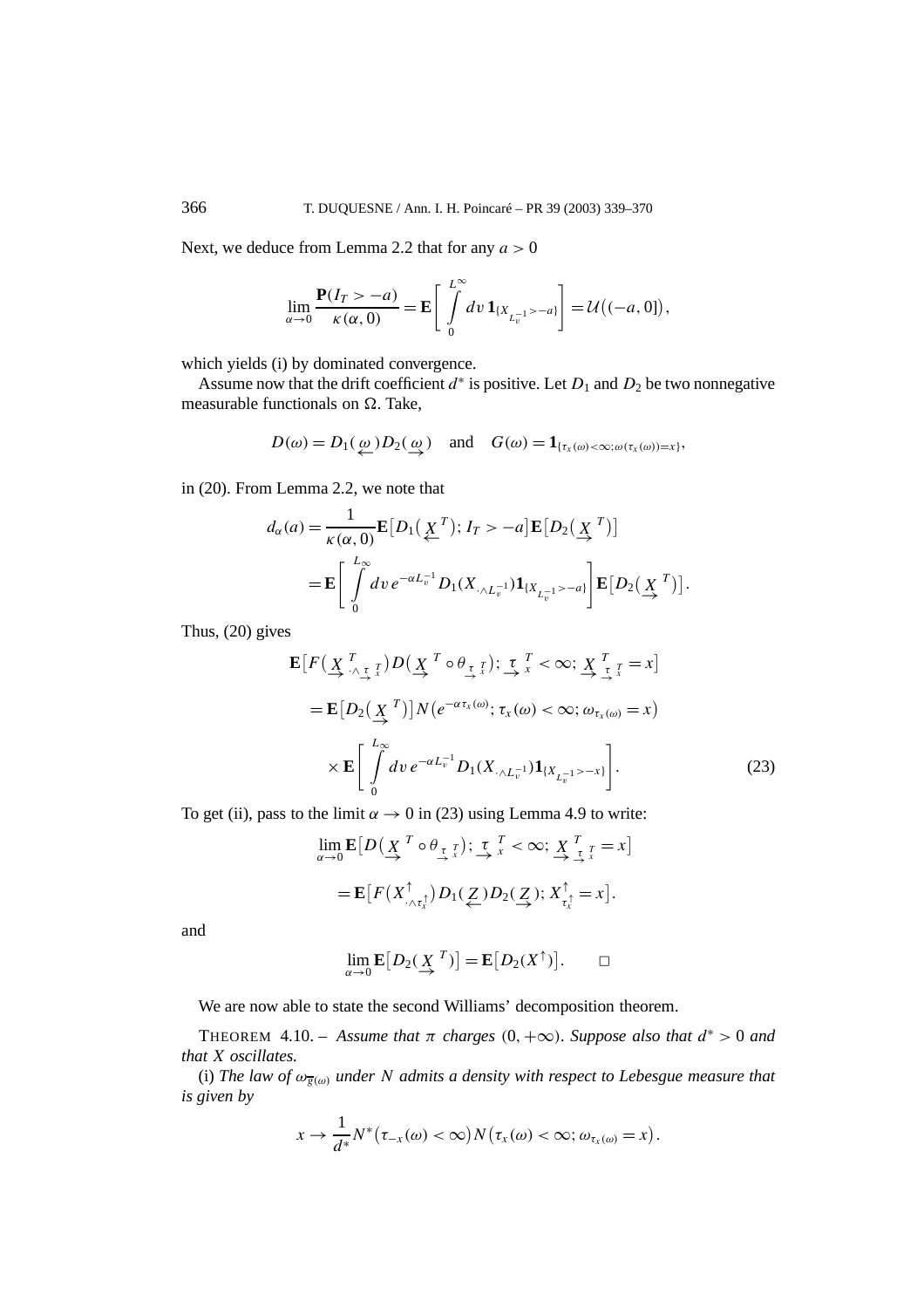Next, we deduce from Lemma 2.2 that for any *a >* 0

$$
\lim_{\alpha \to 0} \frac{\mathbf{P}(I_T > -a)}{\kappa(\alpha, 0)} = \mathbf{E} \left[ \int_{0}^{L^{\infty}} dv \, \mathbf{1}_{\{X_{L_v^{-1}} > -a\}} \right] = \mathcal{U}\big((-a, 0]\big),
$$

which yields (i) by dominated convergence.

Assume now that the drift coefficient  $d^*$  is positive. Let  $D_1$  and  $D_2$  be two nonnegative measurable functionals on  $\Omega$ . Take,

$$
D(\omega) = D_1(\underline{\omega}) D_2(\underline{\omega})
$$
 and  $G(\omega) = \mathbf{1}_{\{\tau_x(\omega) < \infty; \omega(\tau_x(\omega)) = x\}},$ 

in (20). From Lemma 2.2, we note that

$$
d_{\alpha}(a) = \frac{1}{\kappa(\alpha, 0)} \mathbf{E}\big[D_1\big(\underline{X}^T\big); I_T > -a\big] \mathbf{E}\big[D_2\big(\underline{X}^T\big)\big]
$$
  
= 
$$
\mathbf{E}\bigg[\int_0^{L_{\infty}} dv \, e^{-\alpha L_v^{-1}} D_1(X_{\cdot \wedge L_v^{-1}}) \mathbf{1}_{\{X_{L_v^{-1}} > -a\}}\bigg] \mathbf{E}\big[D_2\big(\underline{X}^T\big)\big].
$$

Thus, (20) gives

$$
\mathbf{E}\big[F\big(\underline{X}_{\cdot}^T \underline{\tau}_{\cdot}^T\big)D\big(\underline{X}_{\cdot}^T \circ \theta_{\frac{\tau}{\cdot}^T}\big); \underline{\tau}_{\cdot}^T < \infty; \underline{X}_{\cdot}^T \underline{\tau}_{\cdot}^T = x\big]
$$
\n
$$
= \mathbf{E}\big[D_2\big(\underline{X}_{\cdot}^T\big)\big]N\big(e^{-\alpha\tau_x(\omega)}; \tau_x(\omega) < \infty; \omega_{\tau_x(\omega)} = x\big)
$$
\n
$$
\times \mathbf{E}\bigg[\int_0^{L_{\infty}} dv \, e^{-\alpha L_v^{-1}} D_1(X_{\cdot \wedge L_v^{-1}}) \mathbf{1}_{\{X_{L_v^{-1}} > -x\}}\bigg]. \tag{23}
$$

To get (ii), pass to the limit  $\alpha \to 0$  in (23) using Lemma 4.9 to write:

$$
\lim_{\alpha \to 0} \mathbf{E}\big[D\big(\underset{\alpha}{\underline{X}}^T \circ \theta_{\underset{\alpha}{\underline{\tau}}}^T\big); \underset{\alpha}{\underline{\tau}}^T \underset{x}{\xrightarrow{\tau}} < \infty; \underset{\alpha}{\underline{X}}^T \underset{\alpha}{\underset{\underline{\tau}}}^T = x\big]
$$
\n
$$
= \mathbf{E}\big[F\big(X_{\cdot \wedge \tau_x^{\uparrow}}^{\uparrow}\big)D_1(\underset{\alpha}{\underline{Z}})D_2(\underset{\alpha}{\underline{Z}}); X_{\tau_x^{\uparrow}}^{\uparrow} = x\big].
$$

and

$$
\lim_{\alpha \to 0} \mathbf{E}[D_2(\underline{X}^T)] = \mathbf{E}[D_2(X^{\uparrow})]. \square
$$

We are now able to state the second Williams' decomposition theorem.

THEOREM 4.10. – *Assume that*  $\pi$  *charges* (0*,* + $\infty$ )*. Suppose also that*  $d^* > 0$  *and that X oscillates.*

(i) *The law of ωg(ω) under N admits a density with respect to Lebesgue measure that is given by*

$$
x \to \frac{1}{d^*} N^*(\tau_{-x}(\omega) < \infty) N(\tau_x(\omega) < \infty; \omega_{\tau_x(\omega)} = x).
$$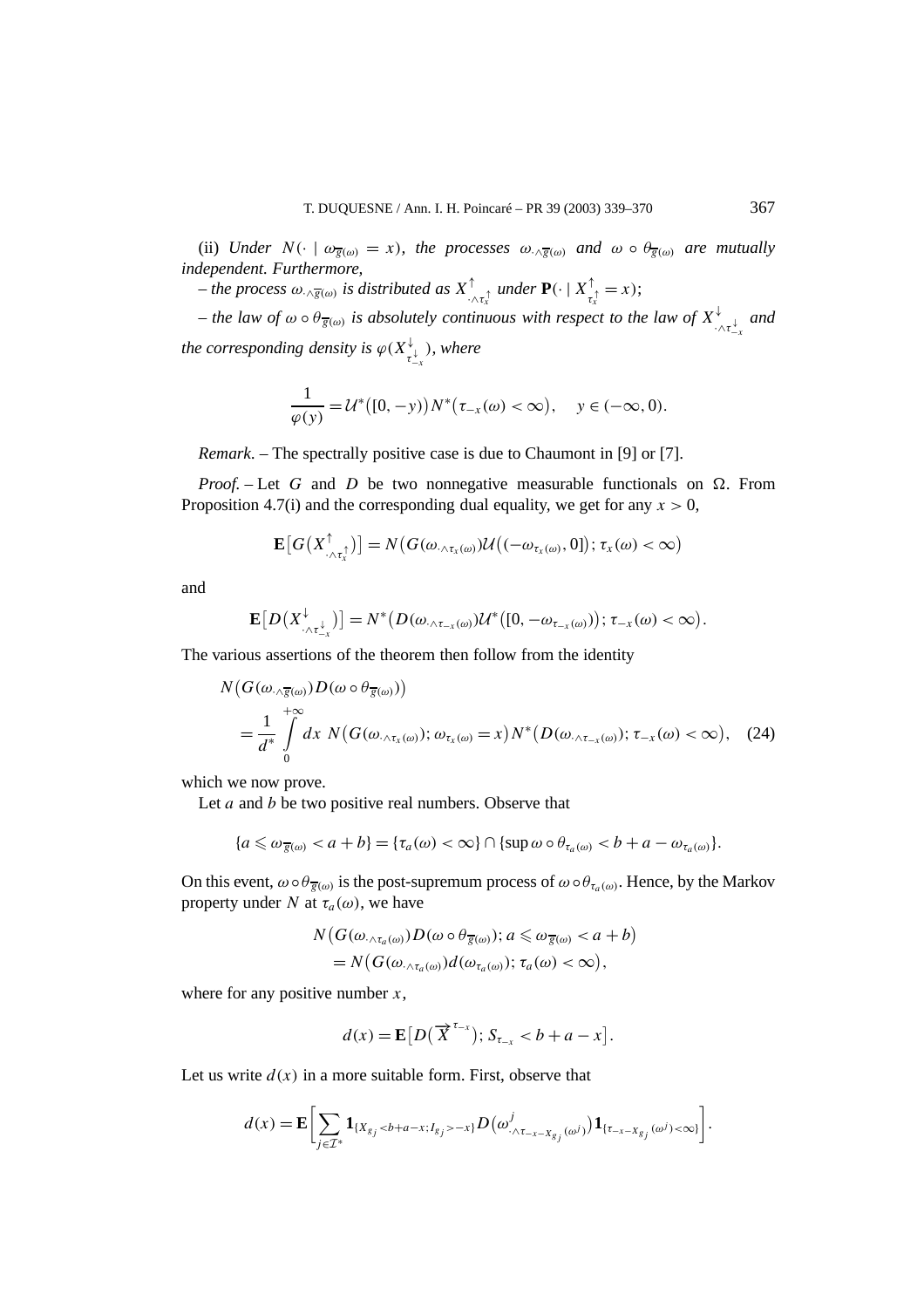(ii) *Under*  $N(\cdot \mid \omega_{\overline{g}(\omega)} = x)$ *, the processes*  $\omega_{\wedge \overline{g}(\omega)}$  *and*  $\omega \circ \theta_{\overline{g}(\omega)}$  *are mutually independent. Furthermore,*

 $-i$ *he process*  $\omega_{\cdot \wedge \overline{g}(\omega)}$  *is distributed as*  $X^{\uparrow}_{\cdot \wedge \tau^{\uparrow}_x}$  *under*  $\mathbf{P}(\cdot | X^{\uparrow}_{\tau^{\uparrow}_x} = x)$ ;

 $-$  *the law of*  $\omega \circ \theta_{\overline{g}(\omega)}$  *is absolutely continuous with respect to the law of*  $X^{\downarrow}_{\cdot \wedge \tau^{\downarrow}_{-\chi}}$  *and the corresponding density is*  $\varphi(X_{\tau_{-x}^{\downarrow}}^{\downarrow})$ *, where* 

$$
\frac{1}{\varphi(y)} = \mathcal{U}^*([0, -y))N^*(\tau_{-x}(\omega) < \infty), \quad y \in (-\infty, 0).
$$

*Remark*. – The spectrally positive case is due to Chaumont in [9] or [7].

*Proof.* – Let G and D be two nonnegative measurable functionals on  $\Omega$ . From Proposition 4.7(i) and the corresponding dual equality, we get for any  $x > 0$ ,

$$
\mathbf{E}\big[G\big(X_{\cdot\wedge\tau_x^{\uparrow}}^{\uparrow}\big)\big]=N\big(G(\omega_{\cdot\wedge\tau_x(\omega)})\mathcal{U}\big((-\omega_{\tau_x(\omega)},0]\big);\,\tau_x(\omega)<\infty\big)
$$

and

$$
\mathbf{E}\big[D\big(X_{\cdot\wedge\tau_{-x}^{\downarrow}}^{\downarrow}\big)\big]=N^*\big(D(\omega_{\cdot\wedge\tau_{-x}(\omega)})\mathcal{U}^*\big([0,-\omega_{\tau_{-x}(\omega)})\big);\tau_{-x}(\omega)<\infty\big).
$$

The various assertions of the theorem then follow from the identity

$$
N\big(G(\omega_{\cdot\wedge\overline{g}(\omega)})D(\omega\circ\theta_{\overline{g}(\omega)})\big)
$$
  
=  $\frac{1}{d^*}\int_0^{+\infty}dx\ N\big(G(\omega_{\cdot\wedge\tau_x(\omega)});\omega_{\tau_x(\omega)}=x\big)N^*\big(D(\omega_{\cdot\wedge\tau_{-x}(\omega)});\tau_{-x}(\omega)<\infty\big),$  (24)

which we now prove.

Let *a* and *b* be two positive real numbers. Observe that

$$
\{a \leq \omega_{\overline{g}(\omega)} < a+b\} = \{\tau_a(\omega) < \infty\} \cap \{\sup \omega \circ \theta_{\tau_a(\omega)} < b+a-\omega_{\tau_a(\omega)}\}.
$$

On this event,  $\omega \circ \theta_{\overline{g}(\omega)}$  is the post-supremum process of  $\omega \circ \theta_{\tau_a(\omega)}$ . Hence, by the Markov property under *N* at  $\tau_a(\omega)$ , we have

$$
N\big(G(\omega_{\cdot\wedge\tau_a(\omega)})D(\omega\circ\theta_{\overline{g}(\omega)}); a\leq\omega_{\overline{g}(\omega)}  
=
$$
N\big(G(\omega_{\cdot\wedge\tau_a(\omega)})d(\omega_{\tau_a(\omega)}); \tau_a(\omega)<\infty\big),
$$
$$

where for any positive number *x*,

$$
d(x) = \mathbf{E}\big[D\big(\overrightarrow{X}^{\tau_{-x}}\big); S_{\tau_{-x}} < b + a - x\big].
$$

Let us write  $d(x)$  in a more suitable form. First, observe that

$$
d(x) = \mathbf{E} \bigg[ \sum_{j \in \mathcal{I}^*} \mathbf{1}_{\{X_{g_j} < b+a-x; I_{g_j} > -x\}} D\big(\omega^j_{\cdot \wedge \tau_{-x-X_{g_j}}(\omega^j)}\big) \mathbf{1}_{\{\tau_{-x-X_{g_j}}(\omega^j) < \infty\}} \bigg].
$$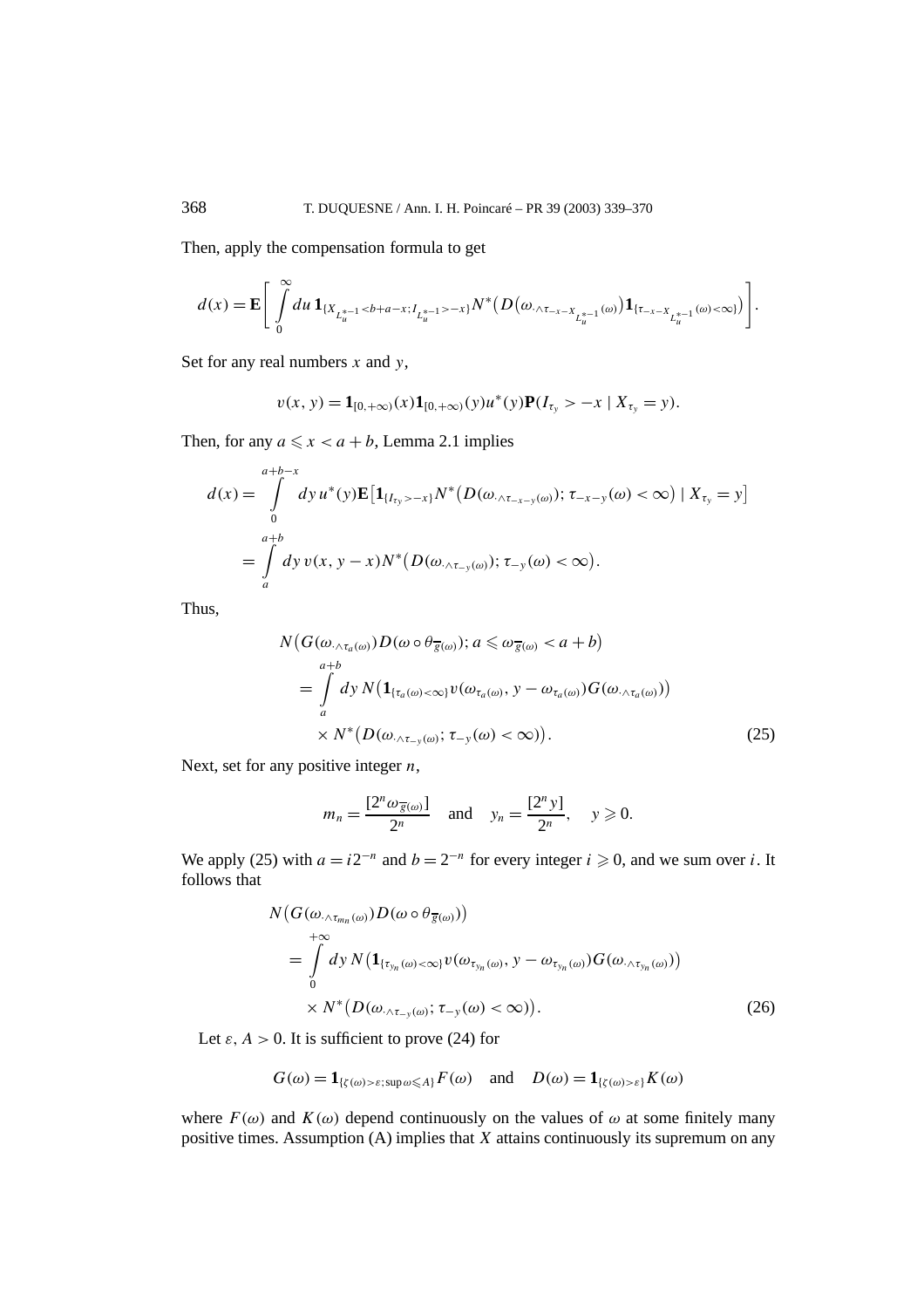Then, apply the compensation formula to get

$$
d(x) = \mathbf{E} \left[ \int\limits_{0}^{\infty} du \, \mathbf{1}_{\{X_{L_{u}^{*-1}} < b+a-x; I_{L_{u}^{*-1}} > -x\}} N^*(D(\omega, \Delta_{\tau-x-X_{L_{u}^{*-1}}}(\omega)) \mathbf{1}_{\{\tau-x-X_{L_{u}^{*-1}}}(\omega) < \infty)} ) \right].
$$

Set for any real numbers *x* and *y*,

$$
v(x, y) = \mathbf{1}_{[0, +\infty)}(x)\mathbf{1}_{[0, +\infty)}(y)u^*(y)\mathbf{P}(I_{\tau_y} > -x \mid X_{\tau_y} = y).
$$

Then, for any  $a \le x < a + b$ , Lemma 2.1 implies

$$
d(x) = \int_{0}^{a+b-x} dy u^{*}(y) \mathbf{E} [\mathbf{1}_{\{I_{\tau_{y}} > -x\}} N^{*} (D(\omega_{\wedge \tau_{-x-y}(\omega)}); \tau_{-x-y}(\omega) < \infty) | X_{\tau_{y}} = y]
$$
  
= 
$$
\int_{a}^{a+b} dy v(x, y-x) N^{*} (D(\omega_{\wedge \tau_{-y}(\omega)}); \tau_{-y}(\omega) < \infty).
$$

Thus,

$$
N\big(G(\omega_{\wedge\tau_a(\omega)})D(\omega\circ\theta_{\overline{g}(\omega)}); a\leq \omega_{\overline{g}(\omega)}  
= 
$$
\int_a^{a+b} dy N\big(\mathbf{1}_{\{\tau_a(\omega)<\infty\}}v(\omega_{\tau_a(\omega)}, y-\omega_{\tau_a(\omega)})G(\omega_{\wedge\tau_a(\omega)})\big) \times N^*\big(D(\omega_{\wedge\tau_{-\nu}(\omega)}; \tau_{-\nu}(\omega)<\infty)\big).
$$
 (25)
$$

Next, set for any positive integer *n*,

$$
m_n = \frac{[2^n \omega_{\overline{g}(\omega)}]}{2^n} \quad \text{and} \quad y_n = \frac{[2^n y]}{2^n}, \quad y \geq 0.
$$

We apply (25) with  $a = i2^{-n}$  and  $b = 2^{-n}$  for every integer  $i \ge 0$ , and we sum over *i*. It follows that

$$
N\big(G(\omega_{\cdot\wedge\tau_{m_n}(\omega)})D(\omega\circ\theta_{\overline{g}(\omega)})\big) =\int\limits_0^{+\infty} dy \, N\big(\mathbf{1}_{\{\tau_{y_n}(\omega)<\infty\}}v(\omega_{\tau_{y_n}(\omega)}, y-\omega_{\tau_{y_n}(\omega)})G(\omega_{\cdot\wedge\tau_{y_n}(\omega)})\big) \times N^*\big(D(\omega_{\cdot\wedge\tau_{-y}(\omega)};\tau_{-y}(\omega)<\infty)\big).
$$
 (26)

Let  $\varepsilon$ ,  $A > 0$ . It is sufficient to prove (24) for

$$
G(\omega) = \mathbf{1}_{\{\zeta(\omega) > \varepsilon; \sup \omega \le A\}} F(\omega) \quad \text{and} \quad D(\omega) = \mathbf{1}_{\{\zeta(\omega) > \varepsilon\}} K(\omega)
$$

where  $F(\omega)$  and  $K(\omega)$  depend continuously on the values of  $\omega$  at some finitely many positive times. Assumption (A) implies that *X* attains continuously its supremum on any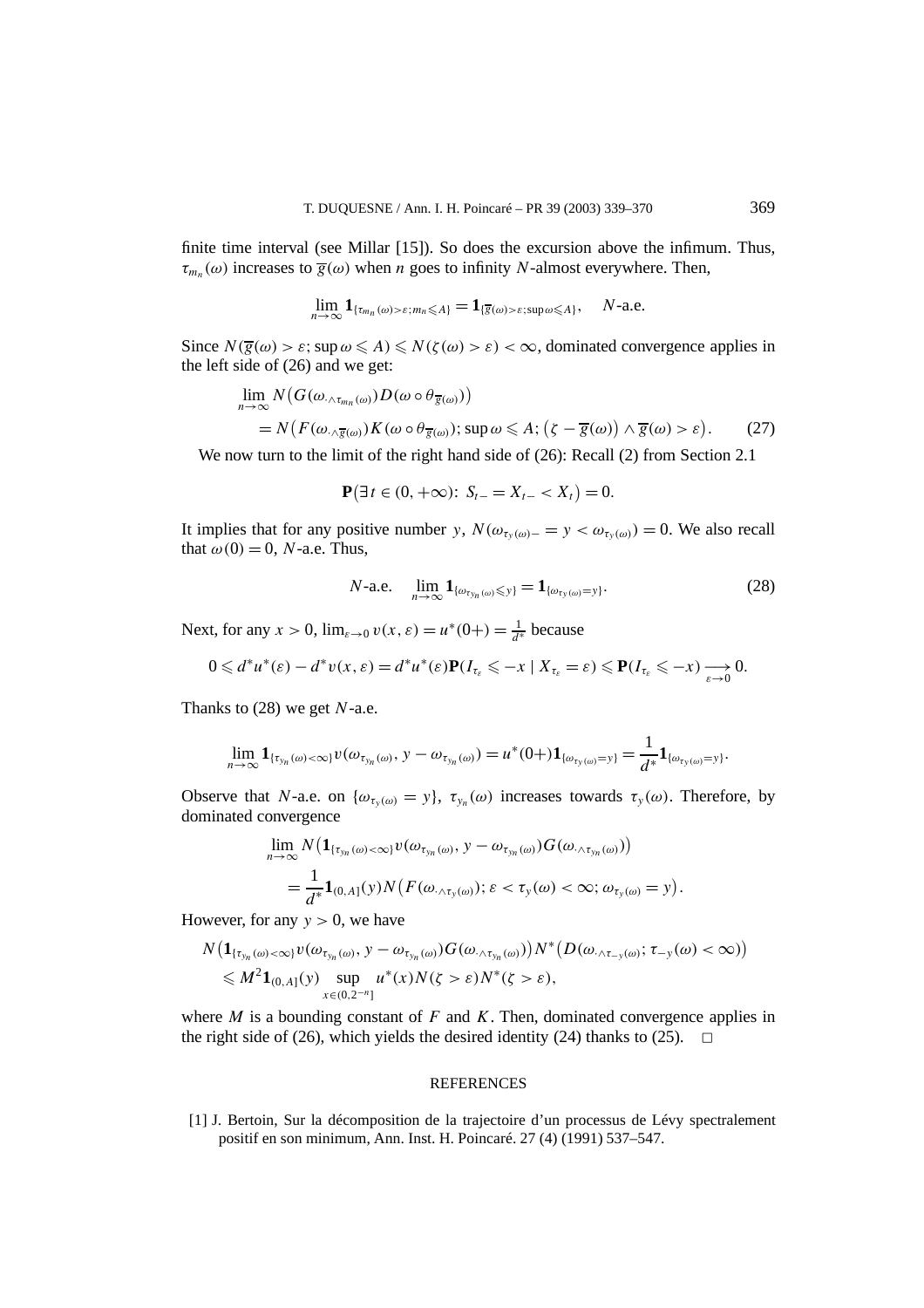finite time interval (see Millar [15]). So does the excursion above the infimum. Thus,  $\tau_{m_n}(\omega)$  increases to  $\overline{g}(\omega)$  when *n* goes to infinity *N*-almost everywhere. Then,

$$
\lim_{n\to\infty} \mathbf{1}_{\{\tau_{m_n}(\omega)>\varepsilon; m_n\leqslant A\}} = \mathbf{1}_{\{\overline{g}(\omega)>\varepsilon; \sup \omega \leqslant A\}}, \quad N\text{-a.e.}
$$

Since  $N(\overline{g}(\omega) > \varepsilon; \sup \omega \leq A) \leq N(\zeta(\omega) > \varepsilon) < \infty$ , dominated convergence applies in the left side of (26) and we get:

$$
\lim_{n \to \infty} N\big(G(\omega_{\cdot \wedge \overline{\epsilon}_{m_n}(\omega)})D(\omega \circ \theta_{\overline{g}(\omega)})\big) \n= N\big(F(\omega_{\cdot \wedge \overline{g}(\omega)})K(\omega \circ \theta_{\overline{g}(\omega)})\big; \sup \omega \leqslant A; \big(\zeta - \overline{g}(\omega)\big) \wedge \overline{g}(\omega) > \varepsilon\big).
$$
\n(27)

We now turn to the limit of the right hand side of (26): Recall (2) from Section 2.1

$$
\mathbf{P}(\exists t \in (0, +\infty): S_{t-} = X_{t-} < X_t) = 0.
$$

It implies that for any positive number *y*,  $N(\omega_{\tau_y(\omega)-} = y < \omega_{\tau_y(\omega)}) = 0$ . We also recall that  $\omega(0) = 0$ , *N*-a.e. Thus,

$$
N\text{-a.e. } \lim_{n \to \infty} \mathbf{1}_{\{\omega_{\tau_{yn}(\omega)} \leq y\}} = \mathbf{1}_{\{\omega_{\tau_y(\omega)} = y\}}.
$$
\n(28)

Next, for any  $x > 0$ ,  $\lim_{\varepsilon \to 0} v(x, \varepsilon) = u^*(0+) = \frac{1}{d^*}$  because

$$
0\leq d^*u^*(\varepsilon)-d^*v(x,\varepsilon)=d^*u^*(\varepsilon)\mathbf{P}(I_{\tau_{\varepsilon}}\leq -x\mid X_{\tau_{\varepsilon}}=\varepsilon)\leqslant \mathbf{P}(I_{\tau_{\varepsilon}}\leqslant -x)\xrightarrow[\varepsilon\to 0]{}0.
$$

Thanks to (28) we get *N*-a.e.

$$
\lim_{n\to\infty} \mathbf{1}_{\{\tau_{y_n}(\omega)<\infty\}} \nu(\omega_{\tau_{y_n}(\omega)}, y - \omega_{\tau_{y_n}(\omega)}) = u^*(0+) \mathbf{1}_{\{\omega_{\tau_y(\omega)}=y\}} = \frac{1}{d^*} \mathbf{1}_{\{\omega_{\tau_y(\omega)}=y\}}.
$$

Observe that *N*-a.e. on  $\{\omega_{\tau_{\nu}(\omega)} = y\}$ ,  $\tau_{\nu_n}(\omega)$  increases towards  $\tau_{\nu}(\omega)$ . Therefore, by dominated convergence

$$
\lim_{n\to\infty} N\big(\mathbf{1}_{\{\tau_{y_n}(\omega)<\infty\}}v(\omega_{\tau_{y_n}(\omega)}, y-\omega_{\tau_{y_n}(\omega)})G(\omega_{\cdot\wedge\tau_{y_n}(\omega)})\big) \n= \frac{1}{d^*}\mathbf{1}_{(0,A]}(y)N\big(F(\omega_{\cdot\wedge\tau_y(\omega)}); \varepsilon<\tau_y(\omega)<\infty; \omega_{\tau_y(\omega)}=y\big).
$$

However, for any  $y > 0$ , we have

$$
N\big(\mathbf{1}_{\{\tau_{y_n}(\omega)<\infty\}}\nu(\omega_{\tau_{y_n}(\omega)},\mathbf{y}-\omega_{\tau_{y_n}(\omega)})G(\omega_{\cdot\wedge\tau_{y_n}(\omega)})\big)N^*\big(D(\omega_{\cdot\wedge\tau_{-y}(\omega)};\tau_{-y}(\omega)<\infty)\big)\\ \leq M^2\mathbf{1}_{(0,A]}(\mathbf{y})\sup_{x\in(0,2^{-n}]}\mu^*(x)N(\zeta>\varepsilon)N^*(\zeta>\varepsilon),
$$

where *M* is a bounding constant of *F* and *K*. Then, dominated convergence applies in the right side of (26), which yields the desired identity (24) thanks to (25).  $\Box$ 

#### **REFERENCES**

[1] J. Bertoin, Sur la décomposition de la trajectoire d'un processus de Lévy spectralement positif en son minimum, Ann. Inst. H. Poincaré. 27 (4) (1991) 537–547.